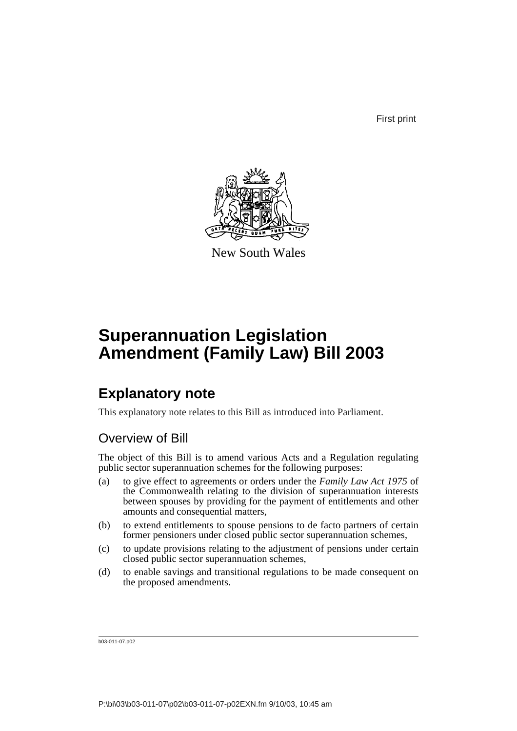First print



New South Wales

# **Superannuation Legislation Amendment (Family Law) Bill 2003**

# **Explanatory note**

This explanatory note relates to this Bill as introduced into Parliament.

## Overview of Bill

The object of this Bill is to amend various Acts and a Regulation regulating public sector superannuation schemes for the following purposes:

- (a) to give effect to agreements or orders under the *Family Law Act 1975* of the Commonwealth relating to the division of superannuation interests between spouses by providing for the payment of entitlements and other amounts and consequential matters,
- (b) to extend entitlements to spouse pensions to de facto partners of certain former pensioners under closed public sector superannuation schemes,
- (c) to update provisions relating to the adjustment of pensions under certain closed public sector superannuation schemes,
- (d) to enable savings and transitional regulations to be made consequent on the proposed amendments.

b03-011-07.p02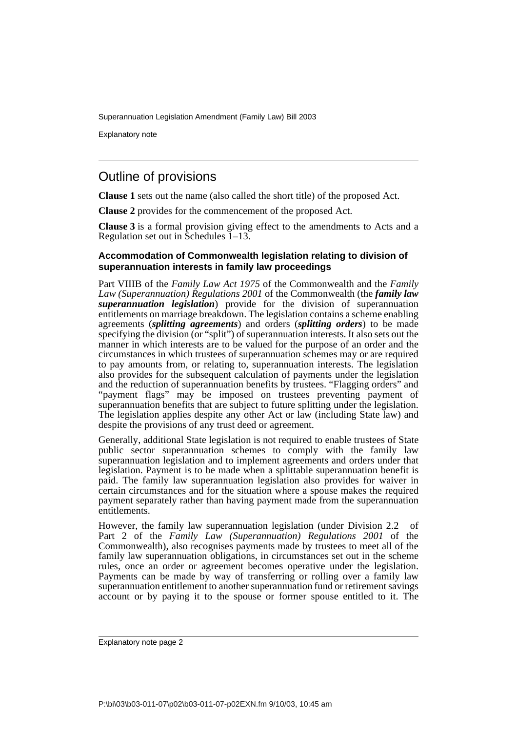Explanatory note

## Outline of provisions

**Clause 1** sets out the name (also called the short title) of the proposed Act.

**Clause 2** provides for the commencement of the proposed Act.

**Clause 3** is a formal provision giving effect to the amendments to Acts and a Regulation set out in Schedules  $1-13$ .

#### **Accommodation of Commonwealth legislation relating to division of superannuation interests in family law proceedings**

Part VIIIB of the *Family Law Act 1975* of the Commonwealth and the *Family Law (Superannuation) Regulations 2001* of the Commonwealth (the *family law superannuation legislation*) provide for the division of superannuation entitlements on marriage breakdown. The legislation contains a scheme enabling agreements (*splitting agreements*) and orders (*splitting orders*) to be made specifying the division (or "split") of superannuation interests. It also sets out the manner in which interests are to be valued for the purpose of an order and the circumstances in which trustees of superannuation schemes may or are required to pay amounts from, or relating to, superannuation interests. The legislation also provides for the subsequent calculation of payments under the legislation and the reduction of superannuation benefits by trustees. "Flagging orders" and "payment flags" may be imposed on trustees preventing payment of superannuation benefits that are subject to future splitting under the legislation. The legislation applies despite any other Act or law (including State law) and despite the provisions of any trust deed or agreement.

Generally, additional State legislation is not required to enable trustees of State public sector superannuation schemes to comply with the family law superannuation legislation and to implement agreements and orders under that legislation. Payment is to be made when a splittable superannuation benefit is paid. The family law superannuation legislation also provides for waiver in certain circumstances and for the situation where a spouse makes the required payment separately rather than having payment made from the superannuation entitlements.

However, the family law superannuation legislation (under Division 2.2 of Part 2 of the *Family Law (Superannuation) Regulations 2001* of the Commonwealth), also recognises payments made by trustees to meet all of the family law superannuation obligations, in circumstances set out in the scheme rules, once an order or agreement becomes operative under the legislation. Payments can be made by way of transferring or rolling over a family law superannuation entitlement to another superannuation fund or retirement savings account or by paying it to the spouse or former spouse entitled to it. The

Explanatory note page 2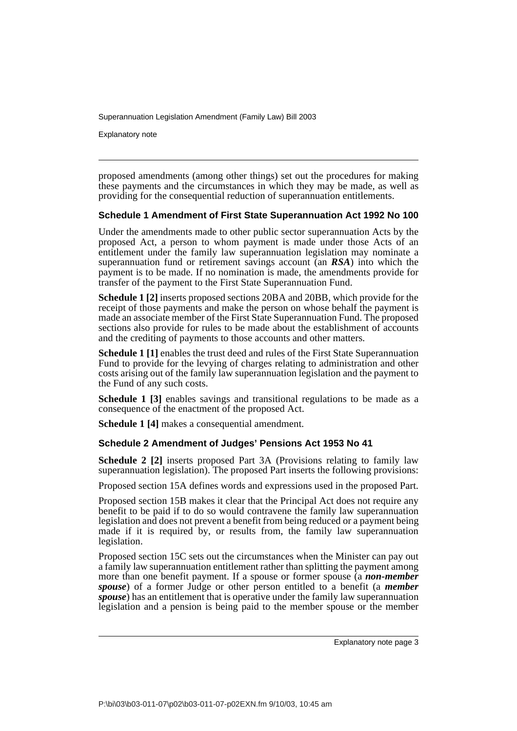Explanatory note

proposed amendments (among other things) set out the procedures for making these payments and the circumstances in which they may be made, as well as providing for the consequential reduction of superannuation entitlements.

#### **Schedule 1 Amendment of First State Superannuation Act 1992 No 100**

Under the amendments made to other public sector superannuation Acts by the proposed Act, a person to whom payment is made under those Acts of an entitlement under the family law superannuation legislation may nominate a superannuation fund or retirement savings account (an *RSA*) into which the payment is to be made. If no nomination is made, the amendments provide for transfer of the payment to the First State Superannuation Fund.

**Schedule 1 [2]** inserts proposed sections 20BA and 20BB, which provide for the receipt of those payments and make the person on whose behalf the payment is made an associate member of the First State Superannuation Fund. The proposed sections also provide for rules to be made about the establishment of accounts and the crediting of payments to those accounts and other matters.

**Schedule 1 [1]** enables the trust deed and rules of the First State Superannuation Fund to provide for the levying of charges relating to administration and other costs arising out of the family law superannuation legislation and the payment to the Fund of any such costs.

**Schedule 1** [3] enables savings and transitional regulations to be made as a consequence of the enactment of the proposed Act.

**Schedule 1 [4]** makes a consequential amendment.

#### **Schedule 2 Amendment of Judges' Pensions Act 1953 No 41**

**Schedule 2 [2]** inserts proposed Part 3A (Provisions relating to family law superannuation legislation). The proposed Part inserts the following provisions:

Proposed section 15A defines words and expressions used in the proposed Part.

Proposed section 15B makes it clear that the Principal Act does not require any benefit to be paid if to do so would contravene the family law superannuation legislation and does not prevent a benefit from being reduced or a payment being made if it is required by, or results from, the family law superannuation legislation.

Proposed section 15C sets out the circumstances when the Minister can pay out a family law superannuation entitlement rather than splitting the payment among more than one benefit payment. If a spouse or former spouse (a *non-member spouse*) of a former Judge or other person entitled to a benefit (a *member spouse*) has an entitlement that is operative under the family law superannuation legislation and a pension is being paid to the member spouse or the member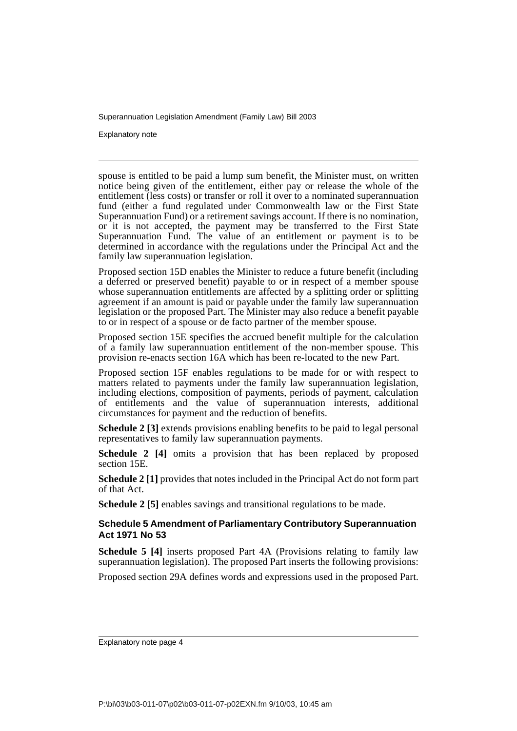Explanatory note

spouse is entitled to be paid a lump sum benefit, the Minister must, on written notice being given of the entitlement, either pay or release the whole of the entitlement (less costs) or transfer or roll it over to a nominated superannuation fund (either a fund regulated under Commonwealth law or the First State Superannuation Fund) or a retirement savings account. If there is no nomination, or it is not accepted, the payment may be transferred to the First State Superannuation Fund. The value of an entitlement or payment is to be determined in accordance with the regulations under the Principal Act and the family law superannuation legislation.

Proposed section 15D enables the Minister to reduce a future benefit (including a deferred or preserved benefit) payable to or in respect of a member spouse whose superannuation entitlements are affected by a splitting order or splitting agreement if an amount is paid or payable under the family law superannuation legislation or the proposed Part. The Minister may also reduce a benefit payable to or in respect of a spouse or de facto partner of the member spouse.

Proposed section 15E specifies the accrued benefit multiple for the calculation of a family law superannuation entitlement of the non-member spouse. This provision re-enacts section 16A which has been re-located to the new Part.

Proposed section 15F enables regulations to be made for or with respect to matters related to payments under the family law superannuation legislation, including elections, composition of payments, periods of payment, calculation of entitlements and the value of superannuation interests, additional circumstances for payment and the reduction of benefits.

**Schedule 2** [3] extends provisions enabling benefits to be paid to legal personal representatives to family law superannuation payments.

**Schedule 2 [4]** omits a provision that has been replaced by proposed section 15E.

**Schedule 2 [1]** provides that notes included in the Principal Act do not form part of that Act.

**Schedule 2 [5]** enables savings and transitional regulations to be made.

### **Schedule 5 Amendment of Parliamentary Contributory Superannuation Act 1971 No 53**

**Schedule 5 [4]** inserts proposed Part 4A (Provisions relating to family law superannuation legislation). The proposed Part inserts the following provisions:

Proposed section 29A defines words and expressions used in the proposed Part.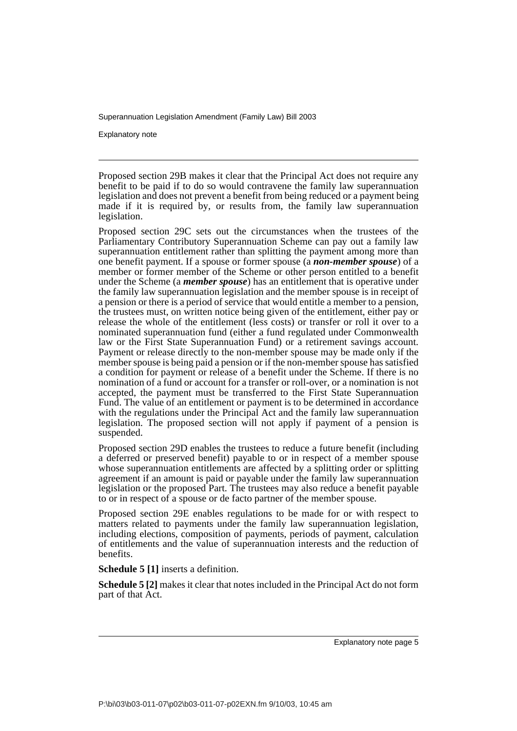Explanatory note

Proposed section 29B makes it clear that the Principal Act does not require any benefit to be paid if to do so would contravene the family law superannuation legislation and does not prevent a benefit from being reduced or a payment being made if it is required by, or results from, the family law superannuation legislation.

Proposed section 29C sets out the circumstances when the trustees of the Parliamentary Contributory Superannuation Scheme can pay out a family law superannuation entitlement rather than splitting the payment among more than one benefit payment. If a spouse or former spouse (a *non-member spouse*) of a member or former member of the Scheme or other person entitled to a benefit under the Scheme (a *member spouse*) has an entitlement that is operative under the family law superannuation legislation and the member spouse is in receipt of a pension or there is a period of service that would entitle a member to a pension, the trustees must, on written notice being given of the entitlement, either pay or release the whole of the entitlement (less costs) or transfer or roll it over to a nominated superannuation fund (either a fund regulated under Commonwealth law or the First State Superannuation Fund) or a retirement savings account. Payment or release directly to the non-member spouse may be made only if the member spouse is being paid a pension or if the non-member spouse has satisfied a condition for payment or release of a benefit under the Scheme. If there is no nomination of a fund or account for a transfer or roll-over, or a nomination is not accepted, the payment must be transferred to the First State Superannuation Fund. The value of an entitlement or payment is to be determined in accordance with the regulations under the Principal Act and the family law superannuation legislation. The proposed section will not apply if payment of a pension is suspended.

Proposed section 29D enables the trustees to reduce a future benefit (including a deferred or preserved benefit) payable to or in respect of a member spouse whose superannuation entitlements are affected by a splitting order or splitting agreement if an amount is paid or payable under the family law superannuation legislation or the proposed Part. The trustees may also reduce a benefit payable to or in respect of a spouse or de facto partner of the member spouse.

Proposed section 29E enables regulations to be made for or with respect to matters related to payments under the family law superannuation legislation, including elections, composition of payments, periods of payment, calculation of entitlements and the value of superannuation interests and the reduction of benefits.

**Schedule 5 [1]** inserts a definition.

**Schedule 5 [2]** makes it clear that notes included in the Principal Act do not form part of that Act.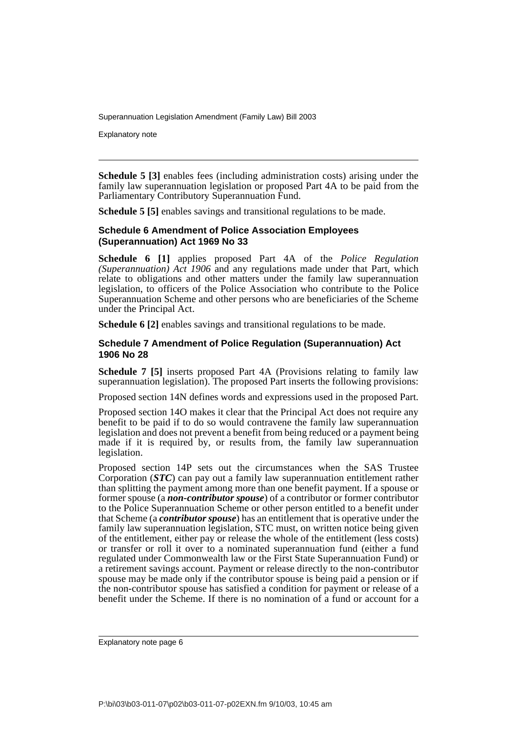Explanatory note

**Schedule 5** [3] enables fees (including administration costs) arising under the family law superannuation legislation or proposed Part 4A to be paid from the Parliamentary Contributory Superannuation Fund.

**Schedule 5 [5]** enables savings and transitional regulations to be made.

#### **Schedule 6 Amendment of Police Association Employees (Superannuation) Act 1969 No 33**

**Schedule 6 [1]** applies proposed Part 4A of the *Police Regulation (Superannuation) Act 1906* and any regulations made under that Part, which relate to obligations and other matters under the family law superannuation legislation, to officers of the Police Association who contribute to the Police Superannuation Scheme and other persons who are beneficiaries of the Scheme under the Principal Act.

**Schedule 6 [2]** enables savings and transitional regulations to be made.

#### **Schedule 7 Amendment of Police Regulation (Superannuation) Act 1906 No 28**

**Schedule 7 [5]** inserts proposed Part 4A (Provisions relating to family law superannuation legislation). The proposed Part inserts the following provisions:

Proposed section 14N defines words and expressions used in the proposed Part.

Proposed section 14O makes it clear that the Principal Act does not require any benefit to be paid if to do so would contravene the family law superannuation legislation and does not prevent a benefit from being reduced or a payment being made if it is required by, or results from, the family law superannuation legislation.

Proposed section 14P sets out the circumstances when the SAS Trustee Corporation (*STC*) can pay out a family law superannuation entitlement rather than splitting the payment among more than one benefit payment. If a spouse or former spouse (a *non-contributor spouse*) of a contributor or former contributor to the Police Superannuation Scheme or other person entitled to a benefit under that Scheme (a *contributor spouse*) has an entitlement that is operative under the family law superannuation legislation, STC must, on written notice being given of the entitlement, either pay or release the whole of the entitlement (less costs) or transfer or roll it over to a nominated superannuation fund (either a fund regulated under Commonwealth law or the First State Superannuation Fund) or a retirement savings account. Payment or release directly to the non-contributor spouse may be made only if the contributor spouse is being paid a pension or if the non-contributor spouse has satisfied a condition for payment or release of a benefit under the Scheme. If there is no nomination of a fund or account for a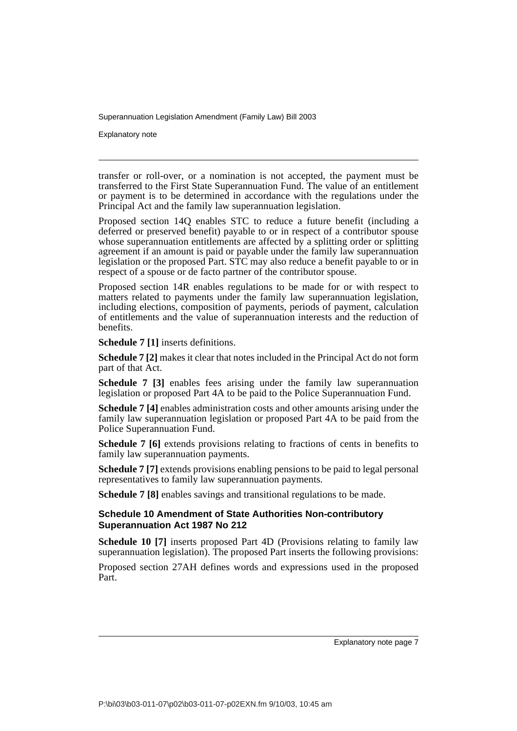Explanatory note

transfer or roll-over, or a nomination is not accepted, the payment must be transferred to the First State Superannuation Fund. The value of an entitlement or payment is to be determined in accordance with the regulations under the Principal Act and the family law superannuation legislation.

Proposed section 14Q enables STC to reduce a future benefit (including a deferred or preserved benefit) payable to or in respect of a contributor spouse whose superannuation entitlements are affected by a splitting order or splitting agreement if an amount is paid or payable under the family law superannuation legislation or the proposed Part. STC may also reduce a benefit payable to or in respect of a spouse or de facto partner of the contributor spouse.

Proposed section 14R enables regulations to be made for or with respect to matters related to payments under the family law superannuation legislation, including elections, composition of payments, periods of payment, calculation of entitlements and the value of superannuation interests and the reduction of benefits.

**Schedule 7 [1]** inserts definitions.

**Schedule 7 [2]** makes it clear that notes included in the Principal Act do not form part of that Act.

**Schedule 7 [3]** enables fees arising under the family law superannuation legislation or proposed Part 4A to be paid to the Police Superannuation Fund.

**Schedule 7 [4]** enables administration costs and other amounts arising under the family law superannuation legislation or proposed Part 4A to be paid from the Police Superannuation Fund.

**Schedule 7 [6]** extends provisions relating to fractions of cents in benefits to family law superannuation payments.

**Schedule 7 [7]** extends provisions enabling pensions to be paid to legal personal representatives to family law superannuation payments.

**Schedule 7 [8]** enables savings and transitional regulations to be made.

### **Schedule 10 Amendment of State Authorities Non-contributory Superannuation Act 1987 No 212**

**Schedule 10 [7]** inserts proposed Part 4D (Provisions relating to family law superannuation legislation). The proposed Part inserts the following provisions:

Proposed section 27AH defines words and expressions used in the proposed Part.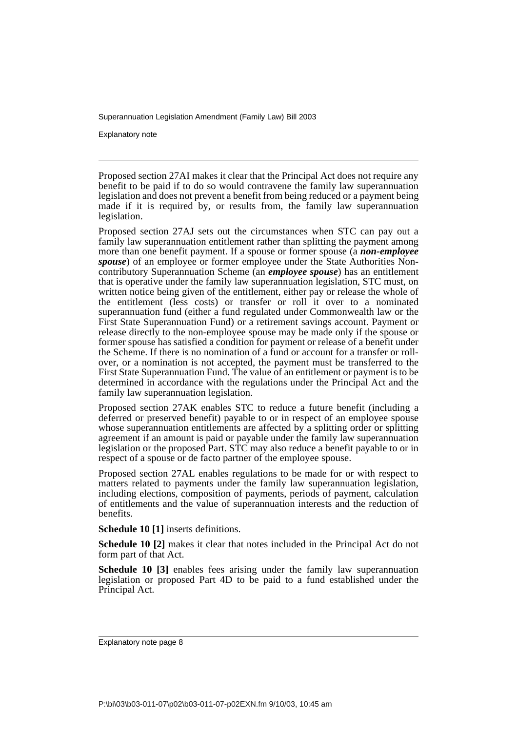Explanatory note

Proposed section 27AI makes it clear that the Principal Act does not require any benefit to be paid if to do so would contravene the family law superannuation legislation and does not prevent a benefit from being reduced or a payment being made if it is required by, or results from, the family law superannuation legislation.

Proposed section 27AJ sets out the circumstances when STC can pay out a family law superannuation entitlement rather than splitting the payment among more than one benefit payment. If a spouse or former spouse (a *non-employee spouse*) of an employee or former employee under the State Authorities Noncontributory Superannuation Scheme (an *employee spouse*) has an entitlement that is operative under the family law superannuation legislation, STC must, on written notice being given of the entitlement, either pay or release the whole of the entitlement (less costs) or transfer or roll it over to a nominated superannuation fund (either a fund regulated under Commonwealth law or the First State Superannuation Fund) or a retirement savings account. Payment or release directly to the non-employee spouse may be made only if the spouse or former spouse has satisfied a condition for payment or release of a benefit under the Scheme. If there is no nomination of a fund or account for a transfer or rollover, or a nomination is not accepted, the payment must be transferred to the First State Superannuation Fund. The value of an entitlement or payment is to be determined in accordance with the regulations under the Principal Act and the family law superannuation legislation.

Proposed section 27AK enables STC to reduce a future benefit (including a deferred or preserved benefit) payable to or in respect of an employee spouse whose superannuation entitlements are affected by a splitting order or splitting agreement if an amount is paid or payable under the family law superannuation legislation or the proposed Part. STC may also reduce a benefit payable to or in respect of a spouse or de facto partner of the employee spouse.

Proposed section 27AL enables regulations to be made for or with respect to matters related to payments under the family law superannuation legislation, including elections, composition of payments, periods of payment, calculation of entitlements and the value of superannuation interests and the reduction of benefits.

**Schedule 10 [1]** inserts definitions.

**Schedule 10 [2]** makes it clear that notes included in the Principal Act do not form part of that Act.

**Schedule 10 [3]** enables fees arising under the family law superannuation legislation or proposed Part 4D to be paid to a fund established under the Principal Act.

Explanatory note page 8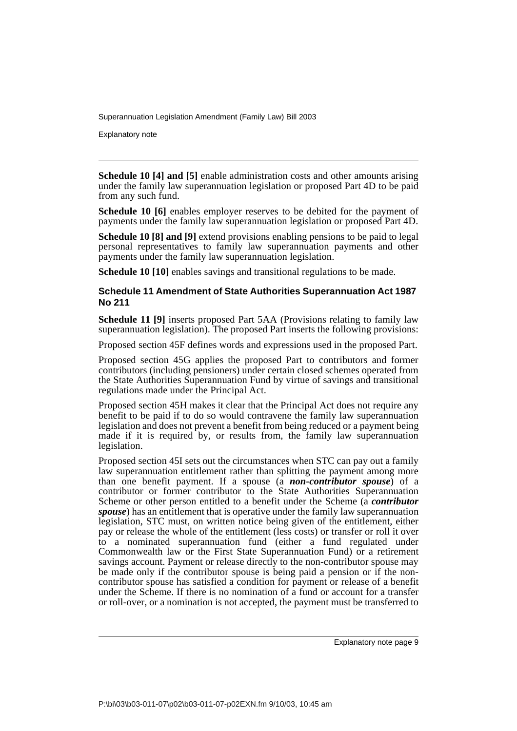Explanatory note

**Schedule 10 [4] and [5]** enable administration costs and other amounts arising under the family law superannuation legislation or proposed Part 4D to be paid from any such fund.

**Schedule 10 [6]** enables employer reserves to be debited for the payment of payments under the family law superannuation legislation or proposed Part 4D.

**Schedule 10 [8] and [9]** extend provisions enabling pensions to be paid to legal personal representatives to family law superannuation payments and other payments under the family law superannuation legislation.

**Schedule 10 [10]** enables savings and transitional regulations to be made.

#### **Schedule 11 Amendment of State Authorities Superannuation Act 1987 No 211**

**Schedule 11 [9]** inserts proposed Part 5AA (Provisions relating to family law superannuation legislation). The proposed Part inserts the following provisions:

Proposed section 45F defines words and expressions used in the proposed Part.

Proposed section 45G applies the proposed Part to contributors and former contributors (including pensioners) under certain closed schemes operated from the State Authorities Superannuation Fund by virtue of savings and transitional regulations made under the Principal Act.

Proposed section 45H makes it clear that the Principal Act does not require any benefit to be paid if to do so would contravene the family law superannuation legislation and does not prevent a benefit from being reduced or a payment being made if it is required by, or results from, the family law superannuation legislation.

Proposed section 45I sets out the circumstances when STC can pay out a family law superannuation entitlement rather than splitting the payment among more than one benefit payment. If a spouse (a *non-contributor spouse*) of a contributor or former contributor to the State Authorities Superannuation Scheme or other person entitled to a benefit under the Scheme (a *contributor spouse*) has an entitlement that is operative under the family law superannuation legislation, STC must, on written notice being given of the entitlement, either pay or release the whole of the entitlement (less costs) or transfer or roll it over to a nominated superannuation fund (either a fund regulated under Commonwealth law or the First State Superannuation Fund) or a retirement savings account. Payment or release directly to the non-contributor spouse may be made only if the contributor spouse is being paid a pension or if the noncontributor spouse has satisfied a condition for payment or release of a benefit under the Scheme. If there is no nomination of a fund or account for a transfer or roll-over, or a nomination is not accepted, the payment must be transferred to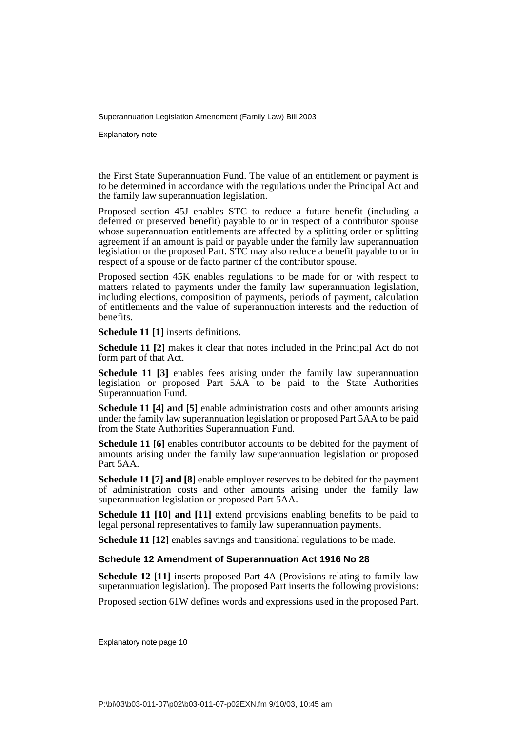Explanatory note

the First State Superannuation Fund. The value of an entitlement or payment is to be determined in accordance with the regulations under the Principal Act and the family law superannuation legislation.

Proposed section 45J enables STC to reduce a future benefit (including a deferred or preserved benefit) payable to or in respect of a contributor spouse whose superannuation entitlements are affected by a splitting order or splitting agreement if an amount is paid or payable under the family law superannuation legislation or the proposed Part. STC may also reduce a benefit payable to or in respect of a spouse or de facto partner of the contributor spouse.

Proposed section 45K enables regulations to be made for or with respect to matters related to payments under the family law superannuation legislation, including elections, composition of payments, periods of payment, calculation of entitlements and the value of superannuation interests and the reduction of benefits.

**Schedule 11 [1]** inserts definitions.

**Schedule 11 [2]** makes it clear that notes included in the Principal Act do not form part of that Act.

**Schedule 11 [3]** enables fees arising under the family law superannuation legislation or proposed Part 5AA to be paid to the State Authorities Superannuation Fund.

**Schedule 11 [4] and [5]** enable administration costs and other amounts arising under the family law superannuation legislation or proposed Part 5AA to be paid from the State Authorities Superannuation Fund.

**Schedule 11 [6]** enables contributor accounts to be debited for the payment of amounts arising under the family law superannuation legislation or proposed Part 5AA.

**Schedule 11 [7] and [8]** enable employer reserves to be debited for the payment of administration costs and other amounts arising under the family law superannuation legislation or proposed Part 5AA.

**Schedule 11 [10] and [11]** extend provisions enabling benefits to be paid to legal personal representatives to family law superannuation payments.

**Schedule 11 [12]** enables savings and transitional regulations to be made.

#### **Schedule 12 Amendment of Superannuation Act 1916 No 28**

**Schedule 12 [11]** inserts proposed Part 4A (Provisions relating to family law superannuation legislation). The proposed Part inserts the following provisions:

Proposed section 61W defines words and expressions used in the proposed Part.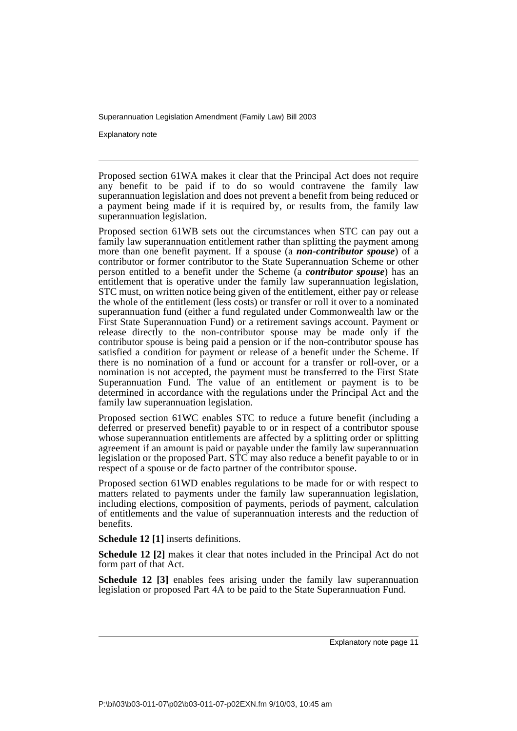Explanatory note

Proposed section 61WA makes it clear that the Principal Act does not require any benefit to be paid if to do so would contravene the family law superannuation legislation and does not prevent a benefit from being reduced or a payment being made if it is required by, or results from, the family law superannuation legislation.

Proposed section 61WB sets out the circumstances when STC can pay out a family law superannuation entitlement rather than splitting the payment among more than one benefit payment. If a spouse (a *non-contributor spouse*) of a contributor or former contributor to the State Superannuation Scheme or other person entitled to a benefit under the Scheme (a *contributor spouse*) has an entitlement that is operative under the family law superannuation legislation, STC must, on written notice being given of the entitlement, either pay or release the whole of the entitlement (less costs) or transfer or roll it over to a nominated superannuation fund (either a fund regulated under Commonwealth law or the First State Superannuation Fund) or a retirement savings account. Payment or release directly to the non-contributor spouse may be made only if the contributor spouse is being paid a pension or if the non-contributor spouse has satisfied a condition for payment or release of a benefit under the Scheme. If there is no nomination of a fund or account for a transfer or roll-over, or a nomination is not accepted, the payment must be transferred to the First State Superannuation Fund. The value of an entitlement or payment is to be determined in accordance with the regulations under the Principal Act and the family law superannuation legislation.

Proposed section 61WC enables STC to reduce a future benefit (including a deferred or preserved benefit) payable to or in respect of a contributor spouse whose superannuation entitlements are affected by a splitting order or splitting agreement if an amount is paid or payable under the family law superannuation legislation or the proposed Part. STC may also reduce a benefit payable to or in respect of a spouse or de facto partner of the contributor spouse.

Proposed section 61WD enables regulations to be made for or with respect to matters related to payments under the family law superannuation legislation, including elections, composition of payments, periods of payment, calculation of entitlements and the value of superannuation interests and the reduction of benefits.

**Schedule 12 [1]** inserts definitions.

**Schedule 12 [2]** makes it clear that notes included in the Principal Act do not form part of that Act.

**Schedule 12 [3]** enables fees arising under the family law superannuation legislation or proposed Part 4A to be paid to the State Superannuation Fund.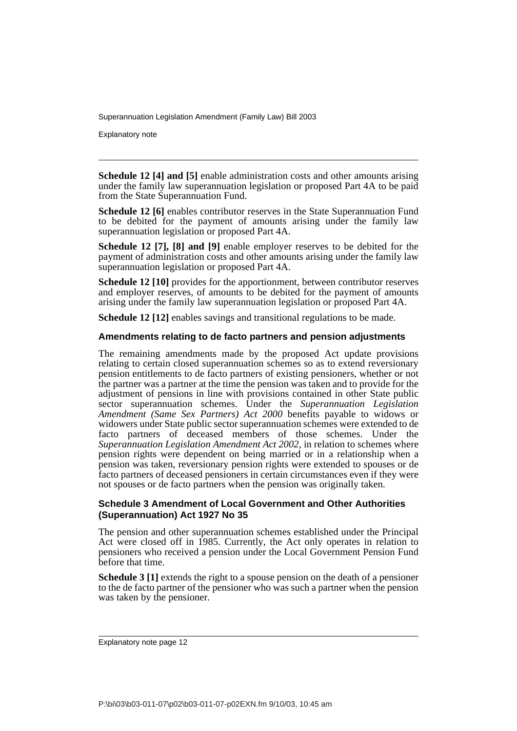Explanatory note

**Schedule 12 [4] and [5]** enable administration costs and other amounts arising under the family law superannuation legislation or proposed Part 4A to be paid from the State Superannuation Fund.

**Schedule 12 [6]** enables contributor reserves in the State Superannuation Fund to be debited for the payment of amounts arising under the family law superannuation legislation or proposed Part 4A.

**Schedule 12 [7], [8] and [9]** enable employer reserves to be debited for the payment of administration costs and other amounts arising under the family law superannuation legislation or proposed Part 4A.

**Schedule 12 [10]** provides for the apportionment, between contributor reserves and employer reserves, of amounts to be debited for the payment of amounts arising under the family law superannuation legislation or proposed Part 4A.

**Schedule 12** [12] enables savings and transitional regulations to be made.

#### **Amendments relating to de facto partners and pension adjustments**

The remaining amendments made by the proposed Act update provisions relating to certain closed superannuation schemes so as to extend reversionary pension entitlements to de facto partners of existing pensioners, whether or not the partner was a partner at the time the pension was taken and to provide for the adjustment of pensions in line with provisions contained in other State public sector superannuation schemes. Under the *Superannuation Legislation Amendment (Same Sex Partners) Act 2000* benefits payable to widows or widowers under State public sector superannuation schemes were extended to de facto partners of deceased members of those schemes. Under the *Superannuation Legislation Amendment Act 2002*, in relation to schemes where pension rights were dependent on being married or in a relationship when a pension was taken, reversionary pension rights were extended to spouses or de facto partners of deceased pensioners in certain circumstances even if they were not spouses or de facto partners when the pension was originally taken.

#### **Schedule 3 Amendment of Local Government and Other Authorities (Superannuation) Act 1927 No 35**

The pension and other superannuation schemes established under the Principal Act were closed off in 1985. Currently, the Act only operates in relation to pensioners who received a pension under the Local Government Pension Fund before that time.

**Schedule 3** [1] extends the right to a spouse pension on the death of a pensioner to the de facto partner of the pensioner who was such a partner when the pension was taken by the pensioner.

Explanatory note page 12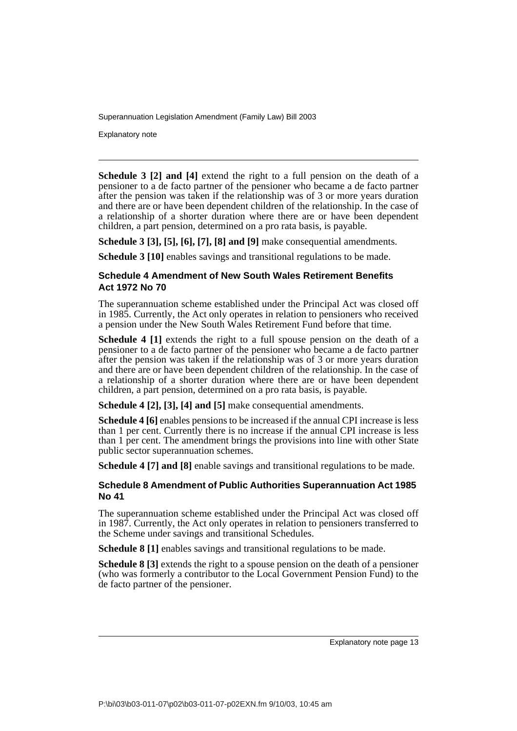Explanatory note

**Schedule 3 [2] and [4]** extend the right to a full pension on the death of a pensioner to a de facto partner of the pensioner who became a de facto partner after the pension was taken if the relationship was of 3 or more years duration and there are or have been dependent children of the relationship. In the case of a relationship of a shorter duration where there are or have been dependent children, a part pension, determined on a pro rata basis, is payable.

**Schedule 3 [3], [5], [6], [7], [8] and [9]** make consequential amendments.

**Schedule 3 [10]** enables savings and transitional regulations to be made.

#### **Schedule 4 Amendment of New South Wales Retirement Benefits Act 1972 No 70**

The superannuation scheme established under the Principal Act was closed off in 1985. Currently, the Act only operates in relation to pensioners who received a pension under the New South Wales Retirement Fund before that time.

**Schedule 4 [1]** extends the right to a full spouse pension on the death of a pensioner to a de facto partner of the pensioner who became a de facto partner after the pension was taken if the relationship was of 3 or more years duration and there are or have been dependent children of the relationship. In the case of a relationship of a shorter duration where there are or have been dependent children, a part pension, determined on a pro rata basis, is payable.

**Schedule 4 [2], [3], [4] and [5]** make consequential amendments.

**Schedule 4 [6]** enables pensions to be increased if the annual CPI increase is less than 1 per cent. Currently there is no increase if the annual CPI increase is less than 1 per cent. The amendment brings the provisions into line with other State public sector superannuation schemes.

**Schedule 4 [7] and [8]** enable savings and transitional regulations to be made.

### **Schedule 8 Amendment of Public Authorities Superannuation Act 1985 No 41**

The superannuation scheme established under the Principal Act was closed off in 1987. Currently, the Act only operates in relation to pensioners transferred to the Scheme under savings and transitional Schedules.

**Schedule 8 [1]** enables savings and transitional regulations to be made.

**Schedule 8 [3]** extends the right to a spouse pension on the death of a pensioner (who was formerly a contributor to the Local Government Pension Fund) to the de facto partner of the pensioner.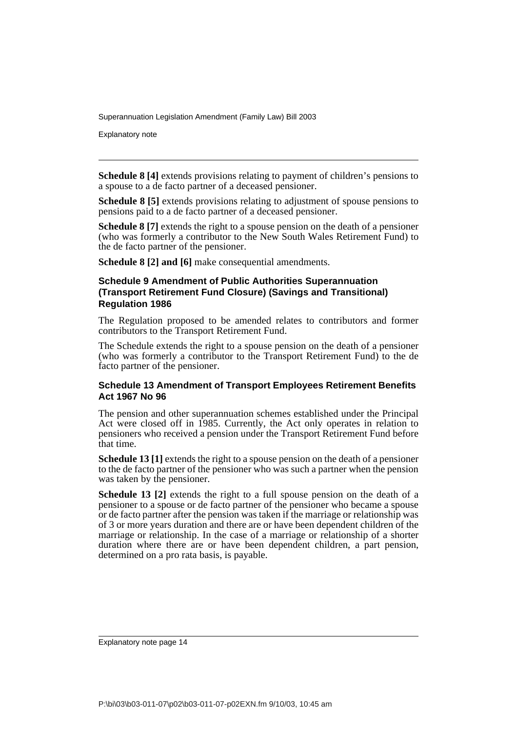Explanatory note

**Schedule 8 [4]** extends provisions relating to payment of children's pensions to a spouse to a de facto partner of a deceased pensioner.

**Schedule 8 [5]** extends provisions relating to adjustment of spouse pensions to pensions paid to a de facto partner of a deceased pensioner.

**Schedule 8** [7] extends the right to a spouse pension on the death of a pensioner (who was formerly a contributor to the New South Wales Retirement Fund) to the de facto partner of the pensioner.

**Schedule 8 [2] and [6]** make consequential amendments.

#### **Schedule 9 Amendment of Public Authorities Superannuation (Transport Retirement Fund Closure) (Savings and Transitional) Regulation 1986**

The Regulation proposed to be amended relates to contributors and former contributors to the Transport Retirement Fund.

The Schedule extends the right to a spouse pension on the death of a pensioner (who was formerly a contributor to the Transport Retirement Fund) to the de facto partner of the pensioner.

#### **Schedule 13 Amendment of Transport Employees Retirement Benefits Act 1967 No 96**

The pension and other superannuation schemes established under the Principal Act were closed off in 1985. Currently, the Act only operates in relation to pensioners who received a pension under the Transport Retirement Fund before that time.

**Schedule 13 [1]** extends the right to a spouse pension on the death of a pensioner to the de facto partner of the pensioner who was such a partner when the pension was taken by the pensioner.

**Schedule 13 [2]** extends the right to a full spouse pension on the death of a pensioner to a spouse or de facto partner of the pensioner who became a spouse or de facto partner after the pension was taken if the marriage or relationship was of 3 or more years duration and there are or have been dependent children of the marriage or relationship. In the case of a marriage or relationship of a shorter duration where there are or have been dependent children, a part pension, determined on a pro rata basis, is payable.

Explanatory note page 14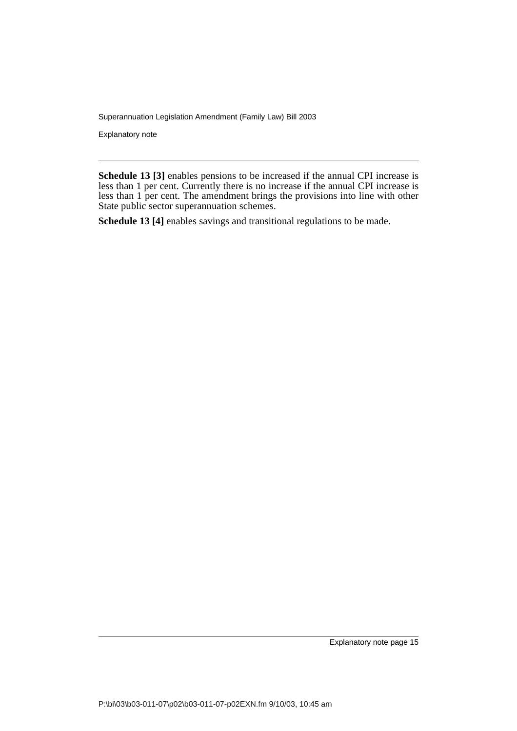Explanatory note

**Schedule 13 [3]** enables pensions to be increased if the annual CPI increase is less than 1 per cent. Currently there is no increase if the annual CPI increase is less than 1 per cent. The amendment brings the provisions into line with other State public sector superannuation schemes.

**Schedule 13 [4]** enables savings and transitional regulations to be made.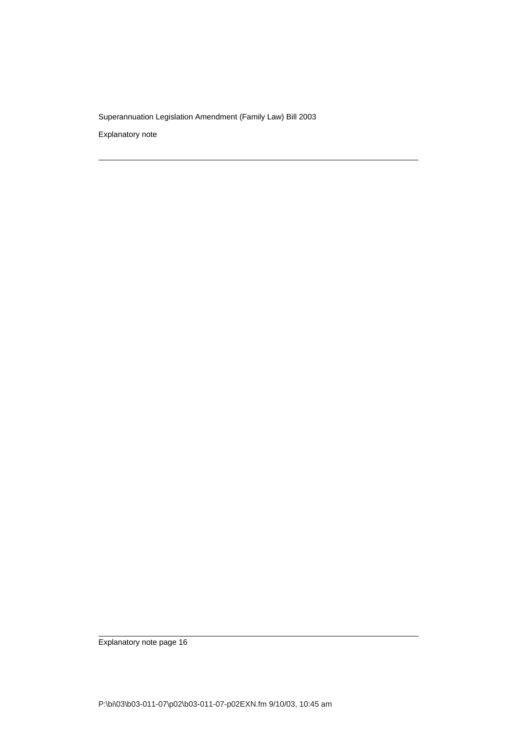Explanatory note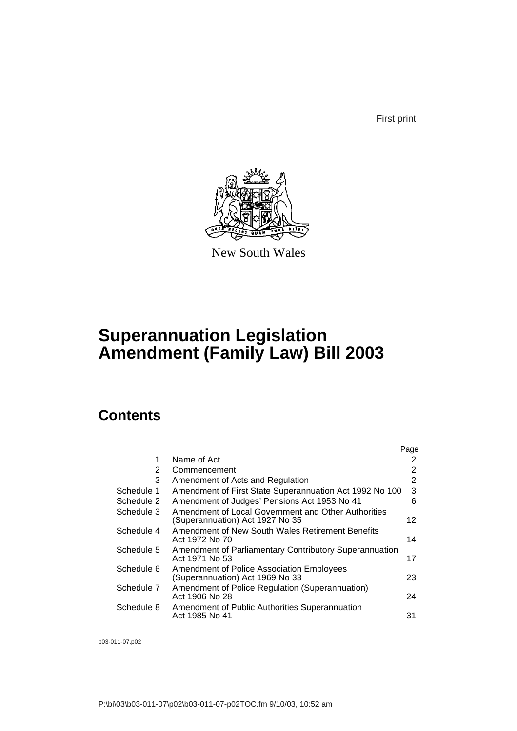First print



New South Wales

# **Superannuation Legislation Amendment (Family Law) Bill 2003**

# **Contents**

|                |                                                                                        | Page           |
|----------------|----------------------------------------------------------------------------------------|----------------|
| 1              | Name of Act                                                                            | 2              |
| $\overline{2}$ | Commencement                                                                           | 2              |
| 3              | Amendment of Acts and Regulation                                                       | $\overline{2}$ |
| Schedule 1     | Amendment of First State Superannuation Act 1992 No 100                                | 3              |
| Schedule 2     | Amendment of Judges' Pensions Act 1953 No 41                                           | 6              |
| Schedule 3     | Amendment of Local Government and Other Authorities<br>(Superannuation) Act 1927 No 35 | 12             |
| Schedule 4     | Amendment of New South Wales Retirement Benefits<br>Act 1972 No 70                     | 14             |
| Schedule 5     | Amendment of Parliamentary Contributory Superannuation<br>Act 1971 No 53               | 17             |
| Schedule 6     | Amendment of Police Association Employees<br>(Superannuation) Act 1969 No 33           | 23             |
| Schedule 7     | Amendment of Police Regulation (Superannuation)<br>Act 1906 No 28                      | 24             |
| Schedule 8     | Amendment of Public Authorities Superannuation<br>Act 1985 No 41                       | 31             |
|                |                                                                                        |                |

b03-011-07.p02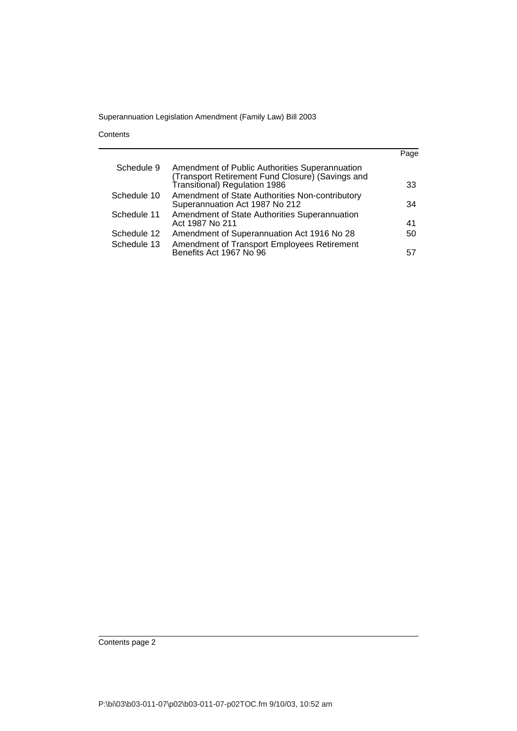**Contents** 

|             |                                                                                                                                     | Page |
|-------------|-------------------------------------------------------------------------------------------------------------------------------------|------|
| Schedule 9  | Amendment of Public Authorities Superannuation<br>(Transport Retirement Fund Closure) (Savings and<br>Transitional) Regulation 1986 | 33   |
| Schedule 10 | Amendment of State Authorities Non-contributory<br>Superannuation Act 1987 No 212                                                   | 34   |
| Schedule 11 | Amendment of State Authorities Superannuation<br>Act 1987 No 211                                                                    | 41   |
| Schedule 12 | Amendment of Superannuation Act 1916 No 28                                                                                          | 50   |
| Schedule 13 | Amendment of Transport Employees Retirement<br>Benefits Act 1967 No 96                                                              | 57   |

Contents page 2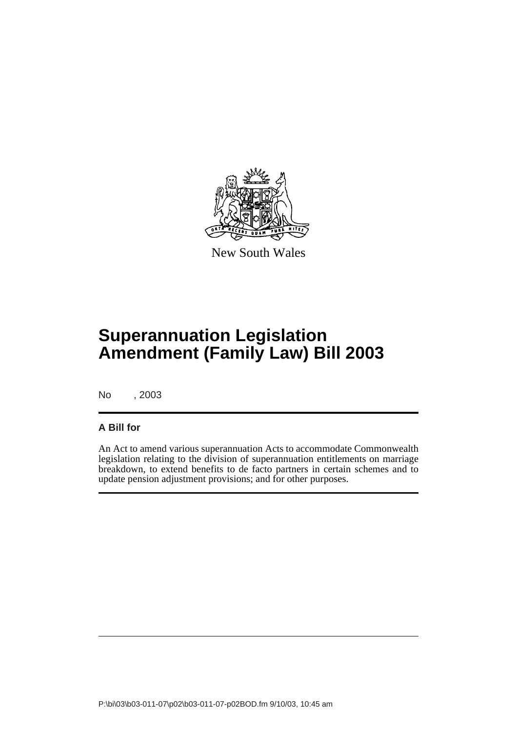

New South Wales

# **Superannuation Legislation Amendment (Family Law) Bill 2003**

No , 2003

### **A Bill for**

An Act to amend various superannuation Acts to accommodate Commonwealth legislation relating to the division of superannuation entitlements on marriage breakdown, to extend benefits to de facto partners in certain schemes and to update pension adjustment provisions; and for other purposes.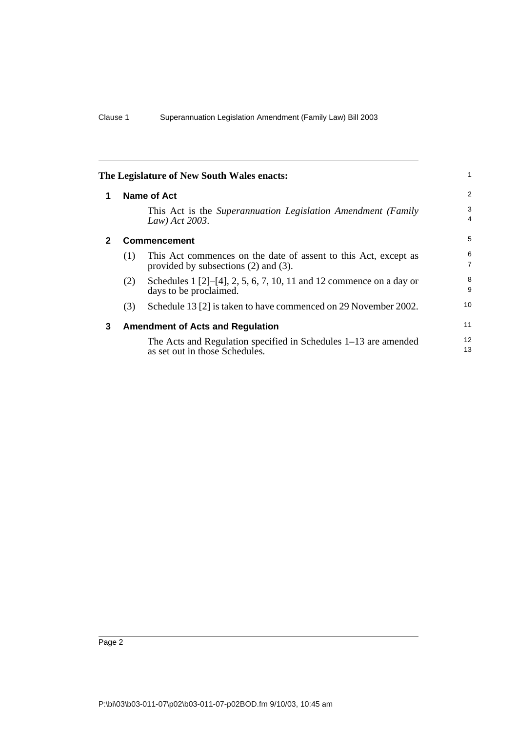<span id="page-19-2"></span><span id="page-19-1"></span><span id="page-19-0"></span>

|              |     | The Legislature of New South Wales enacts:                                                                   | 1                   |
|--------------|-----|--------------------------------------------------------------------------------------------------------------|---------------------|
| 1            |     | Name of Act                                                                                                  | 2                   |
|              |     | This Act is the Superannuation Legislation Amendment (Family<br>Law) Act 2003.                               | 3<br>4              |
| $\mathbf{2}$ |     | <b>Commencement</b>                                                                                          | 5                   |
|              | (1) | This Act commences on the date of assent to this Act, except as<br>provided by subsections $(2)$ and $(3)$ . | 6<br>$\overline{7}$ |
|              | (2) | Schedules $1 [2] - [4]$ , 2, 5, 6, 7, 10, 11 and 12 commence on a day or<br>days to be proclaimed.           | 8<br>9              |
|              | (3) | Schedule 13 [2] is taken to have commenced on 29 November 2002.                                              | 10                  |
| 3            |     | <b>Amendment of Acts and Regulation</b>                                                                      | 11                  |
|              |     | The Acts and Regulation specified in Schedules $1-13$ are amended<br>as set out in those Schedules.          | 12<br>13            |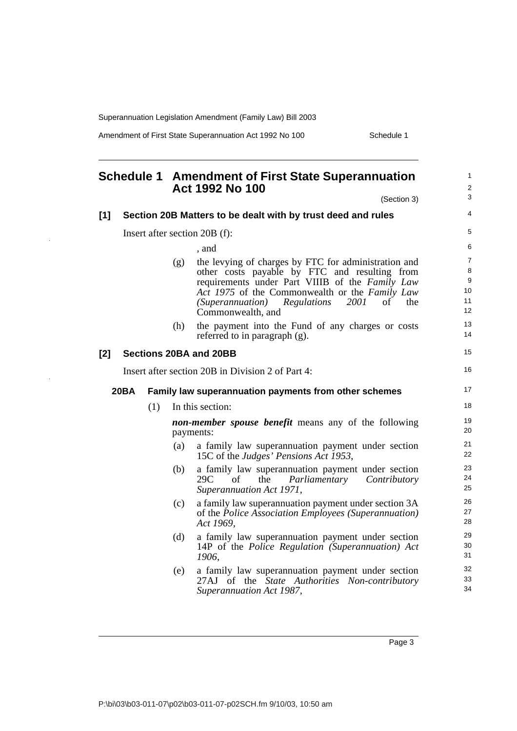Amendment of First State Superannuation Act 1992 No 100 Schedule 1

<span id="page-20-0"></span>

|     |             |     |     | <b>Schedule 1 Amendment of First State Superannuation</b><br>Act 1992 No 100                                                                                                                                                                                                            | $\mathbf{1}$<br>2                                       |
|-----|-------------|-----|-----|-----------------------------------------------------------------------------------------------------------------------------------------------------------------------------------------------------------------------------------------------------------------------------------------|---------------------------------------------------------|
|     |             |     |     | (Section 3)                                                                                                                                                                                                                                                                             | 3                                                       |
| [1] |             |     |     | Section 20B Matters to be dealt with by trust deed and rules                                                                                                                                                                                                                            | 4                                                       |
|     |             |     |     | Insert after section 20B (f):                                                                                                                                                                                                                                                           | 5                                                       |
|     |             |     |     | , and                                                                                                                                                                                                                                                                                   | 6                                                       |
|     |             |     | (g) | the levying of charges by FTC for administration and<br>other costs payable by FTC and resulting from<br>requirements under Part VIIIB of the Family Law<br>Act 1975 of the Commonwealth or the Family Law<br>2001<br>(Superannuation)<br>Regulations<br>of<br>the<br>Commonwealth, and | $\overline{7}$<br>8<br>9<br>10<br>11<br>12 <sup>2</sup> |
|     |             |     | (h) | the payment into the Fund of any charges or costs<br>referred to in paragraph (g).                                                                                                                                                                                                      | 13<br>14                                                |
| [2] |             |     |     | <b>Sections 20BA and 20BB</b>                                                                                                                                                                                                                                                           | 15                                                      |
|     |             |     |     | Insert after section 20B in Division 2 of Part 4:                                                                                                                                                                                                                                       | 16                                                      |
|     | <b>20BA</b> |     |     | Family law superannuation payments from other schemes                                                                                                                                                                                                                                   | 17                                                      |
|     |             | (1) |     | In this section:                                                                                                                                                                                                                                                                        | 18                                                      |
|     |             |     |     | <b>non-member spouse benefit</b> means any of the following<br>payments:                                                                                                                                                                                                                | 19<br>20                                                |
|     |             |     | (a) | a family law superannuation payment under section<br>15C of the Judges' Pensions Act 1953,                                                                                                                                                                                              | 21<br>22                                                |
|     |             |     | (b) | a family law superannuation payment under section<br>29C<br>Contributory<br>of<br>the<br>Parliamentary<br>Superannuation Act 1971,                                                                                                                                                      | 23<br>24<br>25                                          |
|     |             |     | (c) | a family law superannuation payment under section 3A<br>of the Police Association Employees (Superannuation)<br>Act 1969,                                                                                                                                                               | 26<br>27<br>28                                          |
|     |             |     | (d) | a family law superannuation payment under section<br>14P of the Police Regulation (Superannuation) Act<br>1906,                                                                                                                                                                         | 29<br>30<br>31                                          |
|     |             |     | (e) | a family law superannuation payment under section<br>27AJ of the State Authorities Non-contributory<br>Superannuation Act 1987,                                                                                                                                                         | 32<br>33<br>34                                          |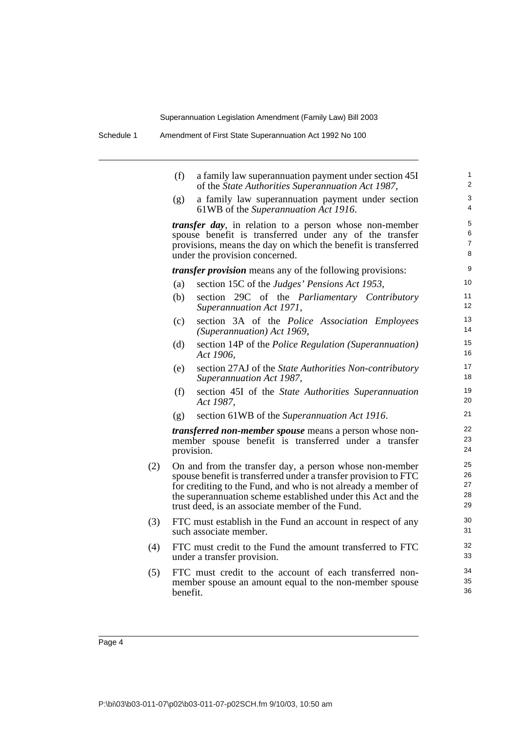Schedule 1 Amendment of First State Superannuation Act 1992 No 100

|     | (f)      | a family law superannuation payment under section 45I<br>of the State Authorities Superannuation Act 1987,                                                                                                                                                                                                     | 1<br>$\overline{2}$               |
|-----|----------|----------------------------------------------------------------------------------------------------------------------------------------------------------------------------------------------------------------------------------------------------------------------------------------------------------------|-----------------------------------|
|     | (g)      | a family law superannuation payment under section<br>61WB of the Superannuation Act 1916.                                                                                                                                                                                                                      | 3<br>$\overline{4}$               |
|     |          | <i>transfer day</i> , in relation to a person whose non-member<br>spouse benefit is transferred under any of the transfer<br>provisions, means the day on which the benefit is transferred<br>under the provision concerned.                                                                                   | 5<br>$\,6$<br>$\overline{7}$<br>8 |
|     |          | <i>transfer provision</i> means any of the following provisions:                                                                                                                                                                                                                                               | 9                                 |
|     | (a)      | section 15C of the Judges' Pensions Act 1953,                                                                                                                                                                                                                                                                  | 10                                |
|     | (b)      | section 29C of the <i>Parliamentary Contributory</i><br>Superannuation Act 1971,                                                                                                                                                                                                                               | 11<br>12                          |
|     | (c)      | section 3A of the Police Association Employees<br>(Superannuation) Act 1969,                                                                                                                                                                                                                                   | 13<br>14                          |
|     | (d)      | section 14P of the <i>Police Regulation</i> (Superannuation)<br>Act 1906,                                                                                                                                                                                                                                      | 15<br>16                          |
|     | (e)      | section 27AJ of the State Authorities Non-contributory<br>Superannuation Act 1987,                                                                                                                                                                                                                             | 17<br>18                          |
|     | (f)      | section 45I of the State Authorities Superannuation<br>Act 1987,                                                                                                                                                                                                                                               | 19<br>20                          |
|     | (g)      | section 61WB of the Superannuation Act 1916.                                                                                                                                                                                                                                                                   | 21                                |
|     |          | <i>transferred non-member spouse</i> means a person whose non-<br>member spouse benefit is transferred under a transfer<br>provision.                                                                                                                                                                          | 22<br>23<br>24                    |
| (2) |          | On and from the transfer day, a person whose non-member<br>spouse benefit is transferred under a transfer provision to FTC<br>for crediting to the Fund, and who is not already a member of<br>the superannuation scheme established under this Act and the<br>trust deed, is an associate member of the Fund. | 25<br>26<br>27<br>28<br>29        |
| (3) |          | FTC must establish in the Fund an account in respect of any<br>such associate member.                                                                                                                                                                                                                          | 30<br>31                          |
| (4) |          | FTC must credit to the Fund the amount transferred to FTC<br>under a transfer provision.                                                                                                                                                                                                                       | 32<br>33                          |
| (5) | benefit. | FTC must credit to the account of each transferred non-<br>member spouse an amount equal to the non-member spouse                                                                                                                                                                                              | 34<br>35<br>36                    |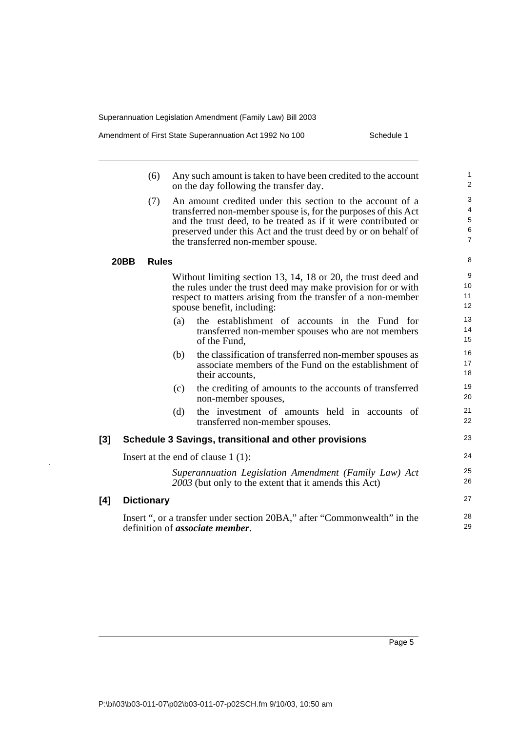Amendment of First State Superannuation Act 1992 No 100 Schedule 1

|     |             | (6)               |     | Any such amount is taken to have been credited to the account<br>on the day following the transfer day.                                                                                                                                                                                               | $\mathbf{1}$<br>$\overline{2}$                               |
|-----|-------------|-------------------|-----|-------------------------------------------------------------------------------------------------------------------------------------------------------------------------------------------------------------------------------------------------------------------------------------------------------|--------------------------------------------------------------|
|     |             | (7)               |     | An amount credited under this section to the account of a<br>transferred non-member spouse is, for the purposes of this Act<br>and the trust deed, to be treated as if it were contributed or<br>preserved under this Act and the trust deed by or on behalf of<br>the transferred non-member spouse. | 3<br>$\overline{4}$<br>$\sqrt{5}$<br>$\,6$<br>$\overline{7}$ |
|     | <b>20BB</b> | <b>Rules</b>      |     |                                                                                                                                                                                                                                                                                                       | 8                                                            |
|     |             |                   |     | Without limiting section 13, 14, 18 or 20, the trust deed and<br>the rules under the trust deed may make provision for or with<br>respect to matters arising from the transfer of a non-member<br>spouse benefit, including:                                                                          | 9<br>10<br>11<br>12                                          |
|     |             |                   | (a) | the establishment of accounts in the Fund for<br>transferred non-member spouses who are not members<br>of the Fund,                                                                                                                                                                                   | 13<br>14<br>15                                               |
|     |             |                   | (b) | the classification of transferred non-member spouses as<br>associate members of the Fund on the establishment of<br>their accounts.                                                                                                                                                                   | 16<br>17<br>18                                               |
|     |             |                   | (c) | the crediting of amounts to the accounts of transferred<br>non-member spouses,                                                                                                                                                                                                                        | 19<br>20                                                     |
|     |             |                   | (d) | the investment of amounts held in accounts of<br>transferred non-member spouses.                                                                                                                                                                                                                      | 21<br>22                                                     |
| [3] |             |                   |     | Schedule 3 Savings, transitional and other provisions                                                                                                                                                                                                                                                 | 23                                                           |
|     |             |                   |     | Insert at the end of clause $1(1)$ :                                                                                                                                                                                                                                                                  | 24                                                           |
|     |             |                   |     | Superannuation Legislation Amendment (Family Law) Act<br>2003 (but only to the extent that it amends this Act)                                                                                                                                                                                        | 25<br>26                                                     |
| [4] |             | <b>Dictionary</b> |     |                                                                                                                                                                                                                                                                                                       | 27                                                           |
|     |             |                   |     | Insert ", or a transfer under section 20BA," after "Commonwealth" in the<br>definition of <i>associate member</i> .                                                                                                                                                                                   | 28<br>29                                                     |
|     |             |                   |     |                                                                                                                                                                                                                                                                                                       |                                                              |

Page 5

 $[4]$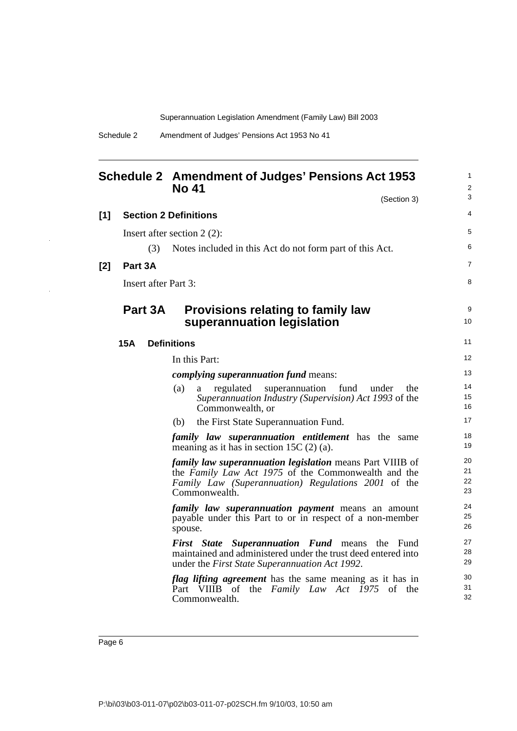<span id="page-23-0"></span>

|       |                             | Schedule 2 Amendment of Judges' Pensions Act 1953<br><b>No 41</b>                                                                                                                        |                      |
|-------|-----------------------------|------------------------------------------------------------------------------------------------------------------------------------------------------------------------------------------|----------------------|
|       |                             | (Section 3)                                                                                                                                                                              | 2<br>3               |
| $[1]$ |                             | <b>Section 2 Definitions</b>                                                                                                                                                             | 4                    |
|       |                             | Insert after section $2(2)$ :                                                                                                                                                            | 5                    |
|       | (3)                         | Notes included in this Act do not form part of this Act.                                                                                                                                 | 6                    |
| $[2]$ | Part 3A                     |                                                                                                                                                                                          | $\overline{7}$       |
|       | <b>Insert after Part 3:</b> |                                                                                                                                                                                          | 8                    |
|       | Part 3A                     | <b>Provisions relating to family law</b><br>superannuation legislation                                                                                                                   | 9<br>10              |
|       | <b>15A</b>                  | <b>Definitions</b>                                                                                                                                                                       | 11                   |
|       |                             | In this Part:                                                                                                                                                                            | 12                   |
|       |                             | <i>complying superannuation fund means:</i>                                                                                                                                              | 13                   |
|       |                             | superannuation fund<br>(a)<br>regulated<br>under<br>the<br>a<br>Superannuation Industry (Supervision) Act 1993 of the<br>Commonwealth, or                                                | 14<br>15<br>16       |
|       |                             | the First State Superannuation Fund.<br>(b)                                                                                                                                              | 17                   |
|       |                             | <i>family law superannuation entitlement</i> has the same<br>meaning as it has in section 15C $(2)$ (a).                                                                                 | 18<br>19             |
|       |                             | family law superannuation legislation means Part VIIIB of<br>the Family Law Act 1975 of the Commonwealth and the<br>Family Law (Superannuation) Regulations 2001 of the<br>Commonwealth. | 20<br>21<br>22<br>23 |
|       |                             | <i>family law superannuation payment</i> means an amount<br>payable under this Part to or in respect of a non-member<br>spouse.                                                          | 24<br>25<br>26       |
|       |                             | <b>First State Superannuation Fund means</b><br>the Fund<br>maintained and administered under the trust deed entered into<br>under the <i>First State Superannuation Act 1992</i> .      | 27<br>28<br>29       |
|       |                             | <i>flag lifting agreement</i> has the same meaning as it has in<br>Part<br><b>VIIIB</b><br>οf<br>the Family Law Act 1975 of<br>the<br>Commonwealth.                                      | 30<br>31<br>32       |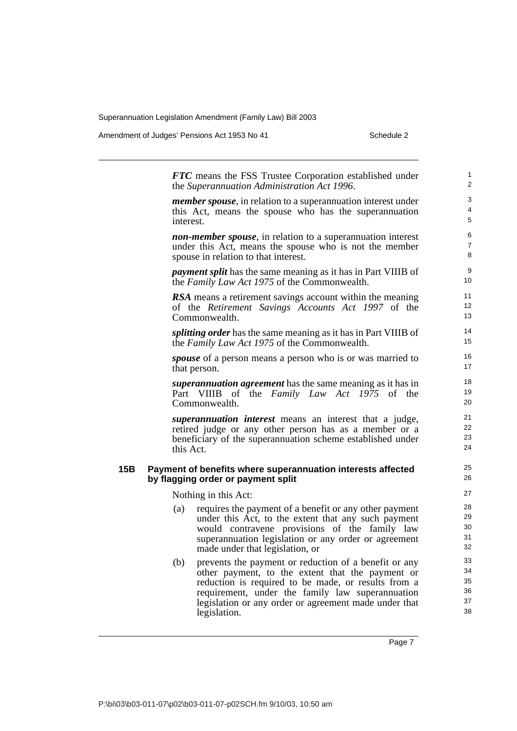Amendment of Judges' Pensions Act 1953 No 41 Schedule 2

*FTC* means the FSS Trustee Corporation established under the *Superannuation Administration Act 1996*. *member spouse*, in relation to a superannuation interest under this Act, means the spouse who has the superannuation interest. *non-member spouse*, in relation to a superannuation interest under this Act, means the spouse who is not the member spouse in relation to that interest. *payment split* has the same meaning as it has in Part VIIIB of the *Family Law Act 1975* of the Commonwealth. *RSA* means a retirement savings account within the meaning of the *Retirement Savings Accounts Act 1997* of the Commonwealth. *splitting order* has the same meaning as it has in Part VIIIB of the *Family Law Act 1975* of the Commonwealth. *spouse* of a person means a person who is or was married to that person. *superannuation agreement* has the same meaning as it has in Part VIIIB of the *Family Law Act 1975* of the Commonwealth. *superannuation interest* means an interest that a judge, retired judge or any other person has as a member or a beneficiary of the superannuation scheme established under this Act. **15B Payment of benefits where superannuation interests affected by flagging order or payment split** Nothing in this Act: (a) requires the payment of a benefit or any other payment under this Act, to the extent that any such payment would contravene provisions of the family law superannuation legislation or any order or agreement made under that legislation, or (b) prevents the payment or reduction of a benefit or any other payment, to the extent that the payment or reduction is required to be made, or results from a requirement, under the family law superannuation 10 11 12 13 14 15 16 17 18 19 20 21 22 23 24 25 26 27 28 29 30 31 32 33 34 35 36

legislation or any order or agreement made under that

Page 7

37 38

legislation.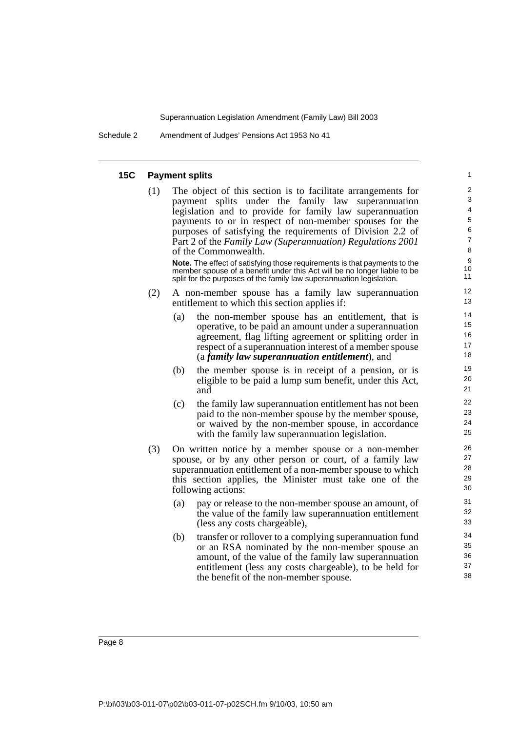Schedule 2 Amendment of Judges' Pensions Act 1953 No 41

#### **15C Payment splits**

(1) The object of this section is to facilitate arrangements for payment splits under the family law superannuation legislation and to provide for family law superannuation payments to or in respect of non-member spouses for the purposes of satisfying the requirements of Division 2.2 of Part 2 of the *Family Law (Superannuation) Regulations 2001* of the Commonwealth. **Note.** The effect of satisfying those requirements is that payments to the

member spouse of a benefit under this Act will be no longer liable to be split for the purposes of the family law superannuation legislation.

- (2) A non-member spouse has a family law superannuation entitlement to which this section applies if:
	- (a) the non-member spouse has an entitlement, that is operative, to be paid an amount under a superannuation agreement, flag lifting agreement or splitting order in respect of a superannuation interest of a member spouse (a *family law superannuation entitlement*), and
	- (b) the member spouse is in receipt of a pension, or is eligible to be paid a lump sum benefit, under this Act, and
	- (c) the family law superannuation entitlement has not been paid to the non-member spouse by the member spouse, or waived by the non-member spouse, in accordance with the family law superannuation legislation.
- (3) On written notice by a member spouse or a non-member spouse, or by any other person or court, of a family law superannuation entitlement of a non-member spouse to which this section applies, the Minister must take one of the following actions:
	- (a) pay or release to the non-member spouse an amount, of the value of the family law superannuation entitlement (less any costs chargeable),
	- (b) transfer or rollover to a complying superannuation fund or an RSA nominated by the non-member spouse an amount, of the value of the family law superannuation entitlement (less any costs chargeable), to be held for the benefit of the non-member spouse.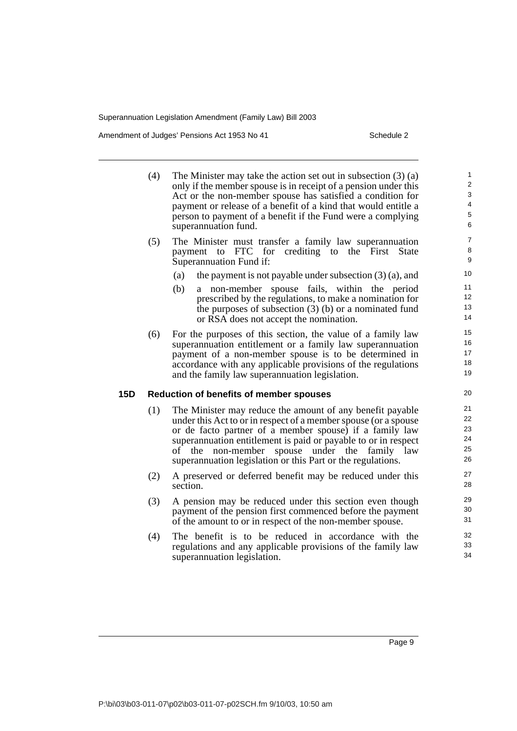Amendment of Judges' Pensions Act 1953 No 41 Schedule 2

- (4) The Minister may take the action set out in subsection (3) (a) only if the member spouse is in receipt of a pension under this Act or the non-member spouse has satisfied a condition for payment or release of a benefit of a kind that would entitle a person to payment of a benefit if the Fund were a complying superannuation fund.
- (5) The Minister must transfer a family law superannuation payment to FTC for crediting to the First State Superannuation Fund if:
	- (a) the payment is not payable under subsection  $(3)$  (a), and
	- (b) a non-member spouse fails, within the period prescribed by the regulations, to make a nomination for the purposes of subsection (3) (b) or a nominated fund or RSA does not accept the nomination.
- (6) For the purposes of this section, the value of a family law superannuation entitlement or a family law superannuation payment of a non-member spouse is to be determined in accordance with any applicable provisions of the regulations and the family law superannuation legislation.

#### **15D Reduction of benefits of member spouses**

- (1) The Minister may reduce the amount of any benefit payable under this Act to or in respect of a member spouse (or a spouse or de facto partner of a member spouse) if a family law superannuation entitlement is paid or payable to or in respect of the non-member spouse under the family law superannuation legislation or this Part or the regulations.
- (2) A preserved or deferred benefit may be reduced under this section.
- (3) A pension may be reduced under this section even though payment of the pension first commenced before the payment of the amount to or in respect of the non-member spouse.
- (4) The benefit is to be reduced in accordance with the regulations and any applicable provisions of the family law superannuation legislation.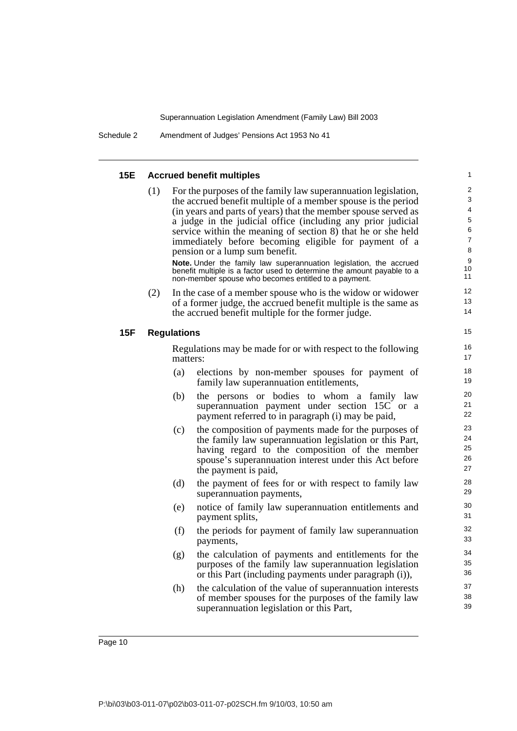#### **15E Accrued benefit multiples** (1) For the purposes of the family law superannuation legislation, the accrued benefit multiple of a member spouse is the period (in years and parts of years) that the member spouse served as a judge in the judicial office (including any prior judicial service within the meaning of section 8) that he or she held immediately before becoming eligible for payment of a pension or a lump sum benefit. **Note.** Under the family law superannuation legislation, the accrued benefit multiple is a factor used to determine the amount payable to a non-member spouse who becomes entitled to a payment. (2) In the case of a member spouse who is the widow or widower of a former judge, the accrued benefit multiple is the same as the accrued benefit multiple for the former judge. **15F Regulations** Regulations may be made for or with respect to the following matters: (a) elections by non-member spouses for payment of family law superannuation entitlements, (b) the persons or bodies to whom a family law superannuation payment under section 15C or a payment referred to in paragraph (i) may be paid, (c) the composition of payments made for the purposes of the family law superannuation legislation or this Part, having regard to the composition of the member spouse's superannuation interest under this Act before the payment is paid, (d) the payment of fees for or with respect to family law superannuation payments, (e) notice of family law superannuation entitlements and payment splits, (f) the periods for payment of family law superannuation payments, (g) the calculation of payments and entitlements for the purposes of the family law superannuation legislation or this Part (including payments under paragraph (i)), (h) the calculation of the value of superannuation interests of member spouses for the purposes of the family law superannuation legislation or this Part, 1 2 3 4 5 6 7 8 9 10 11 12 13 14 15 16 17 18 19 20 21 22 23 24 25 26 27 28 29 30 31 32 33 34 35 36 37 38 39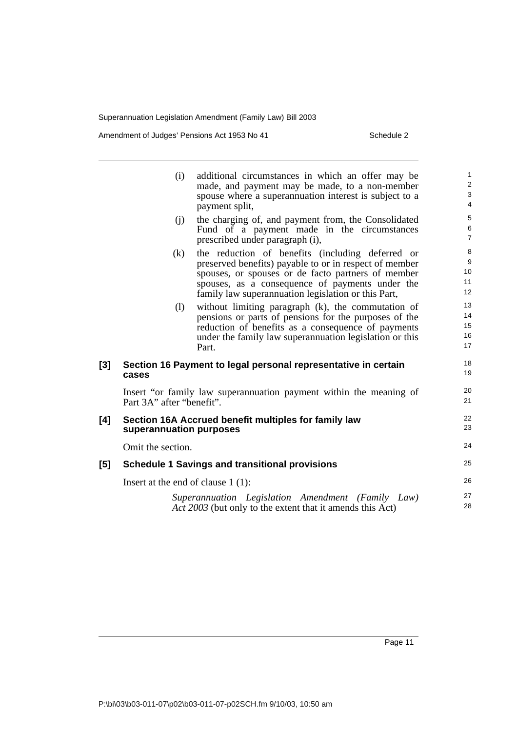Amendment of Judges' Pensions Act 1953 No 41 Schedule 2

|     | (i)                                  | additional circumstances in which an offer may be<br>made, and payment may be made, to a non-member<br>spouse where a superannuation interest is subject to a<br>payment split,                                                                                            | 1<br>$\overline{2}$<br>3<br>$\overline{4}$ |
|-----|--------------------------------------|----------------------------------------------------------------------------------------------------------------------------------------------------------------------------------------------------------------------------------------------------------------------------|--------------------------------------------|
|     | (j)                                  | the charging of, and payment from, the Consolidated<br>Fund of a payment made in the circumstances<br>prescribed under paragraph (i),                                                                                                                                      | 5<br>6<br>$\overline{7}$                   |
|     | (k)                                  | the reduction of benefits (including deferred or<br>preserved benefits) payable to or in respect of member<br>spouses, or spouses or de facto partners of member<br>spouses, as a consequence of payments under the<br>family law superannuation legislation or this Part, | 8<br>9<br>10<br>11<br>12 <sup>2</sup>      |
|     | (1)<br>Part.                         | without limiting paragraph (k), the commutation of<br>pensions or parts of pensions for the purposes of the<br>reduction of benefits as a consequence of payments<br>under the family law superannuation legislation or this                                               | 13<br>14<br>15<br>16<br>17                 |
| [3] | cases                                | Section 16 Payment to legal personal representative in certain                                                                                                                                                                                                             | 18<br>19                                   |
|     | Part 3A" after "benefit".            | Insert "or family law superannuation payment within the meaning of                                                                                                                                                                                                         | 20<br>21                                   |
| [4] | superannuation purposes              | Section 16A Accrued benefit multiples for family law                                                                                                                                                                                                                       | 22<br>23                                   |
|     | Omit the section.                    |                                                                                                                                                                                                                                                                            | 24                                         |
| [5] |                                      | <b>Schedule 1 Savings and transitional provisions</b>                                                                                                                                                                                                                      | 25                                         |
|     | Insert at the end of clause $1(1)$ : |                                                                                                                                                                                                                                                                            | 26                                         |
|     |                                      | Superannuation Legislation Amendment (Family Law)<br>Act 2003 (but only to the extent that it amends this Act)                                                                                                                                                             | 27<br>28                                   |
|     |                                      |                                                                                                                                                                                                                                                                            |                                            |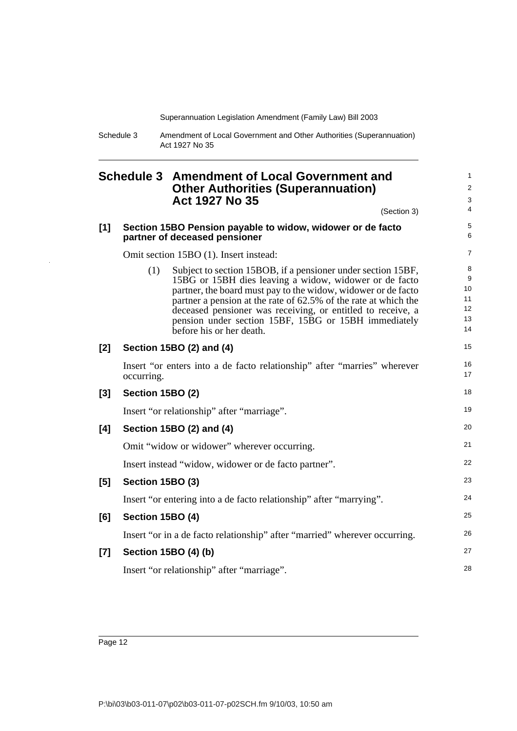1  $\mathfrak{p}$ 3

Schedule 3 Amendment of Local Government and Other Authorities (Superannuation) Act 1927 No 35

### <span id="page-29-0"></span>**Schedule 3 Amendment of Local Government and Other Authorities (Superannuation) Act 1927 No 35**

#### (Section 3) **[1] Section 15BO Pension payable to widow, widower or de facto partner of deceased pensioner** Omit section 15BO (1). Insert instead: (1) Subject to section 15BOB, if a pensioner under section 15BF, 15BG or 15BH dies leaving a widow, widower or de facto partner, the board must pay to the widow, widower or de facto partner a pension at the rate of 62.5% of the rate at which the deceased pensioner was receiving, or entitled to receive, a pension under section 15BF, 15BG or 15BH immediately before his or her death. **[2] Section 15BO (2) and (4)** Insert "or enters into a de facto relationship" after "marries" wherever occurring. **[3] Section 15BO (2)** Insert "or relationship" after "marriage". **[4] Section 15BO (2) and (4)** Omit "widow or widower" wherever occurring. Insert instead "widow, widower or de facto partner". **[5] Section 15BO (3)** Insert "or entering into a de facto relationship" after "marrying". **[6] Section 15BO (4)** Insert "or in a de facto relationship" after "married" wherever occurring. **[7] Section 15BO (4) (b)** Insert "or relationship" after "marriage". 4 5 6 7 8 9 10 11 12 13 14 15 16 17 18 19 20 21 22 23 24 25 26 27 28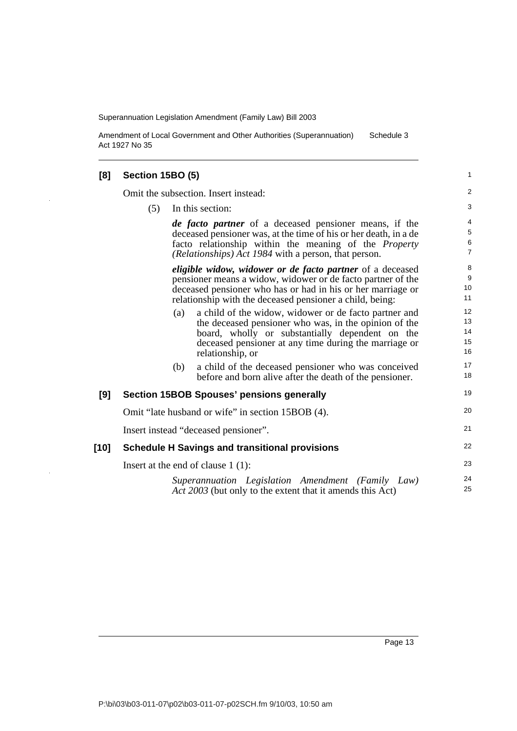Amendment of Local Government and Other Authorities (Superannuation) Act 1927 No 35 Schedule 3

#### **[8] Section 15BO (5)** Omit the subsection. Insert instead: (5) In this section: *de facto partner* of a deceased pensioner means, if the deceased pensioner was, at the time of his or her death, in a de facto relationship within the meaning of the *Property (Relationships) Act 1984* with a person, that person. *eligible widow, widower or de facto partner* of a deceased pensioner means a widow, widower or de facto partner of the deceased pensioner who has or had in his or her marriage or relationship with the deceased pensioner a child, being: (a) a child of the widow, widower or de facto partner and the deceased pensioner who was, in the opinion of the board, wholly or substantially dependent on the deceased pensioner at any time during the marriage or relationship, or (b) a child of the deceased pensioner who was conceived before and born alive after the death of the pensioner. **[9] Section 15BOB Spouses' pensions generally** Omit "late husband or wife" in section 15BOB (4). Insert instead "deceased pensioner". **[10] Schedule H Savings and transitional provisions** Insert at the end of clause 1 (1): *Superannuation Legislation Amendment (Family Law) Act 2003* (but only to the extent that it amends this Act) 1  $\mathfrak{p}$ 3 4 5 6 7 8 9 10 11 12 13 14 15 16 17 18 19 20 21 22 23 24 25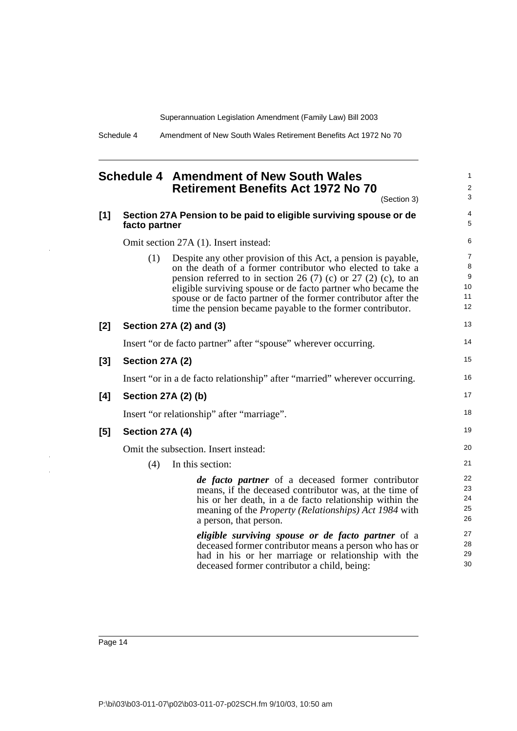Schedule 4 Amendment of New South Wales Retirement Benefits Act 1972 No 70

## <span id="page-31-0"></span>**Schedule 4 Amendment of New South Wales Retirement Benefits Act 1972 No 70**

(Section 3)

| [1]   | facto partner                                                              | Section 27A Pension to be paid to eligible surviving spouse or de                                                                                                                                                                                                                                                                                                                              | 4<br>5                                     |  |  |
|-------|----------------------------------------------------------------------------|------------------------------------------------------------------------------------------------------------------------------------------------------------------------------------------------------------------------------------------------------------------------------------------------------------------------------------------------------------------------------------------------|--------------------------------------------|--|--|
|       | Omit section 27A (1). Insert instead:                                      |                                                                                                                                                                                                                                                                                                                                                                                                |                                            |  |  |
|       | (1)                                                                        | Despite any other provision of this Act, a pension is payable,<br>on the death of a former contributor who elected to take a<br>pension referred to in section 26 (7) (c) or 27 (2) (c), to an<br>eligible surviving spouse or de facto partner who became the<br>spouse or de facto partner of the former contributor after the<br>time the pension became payable to the former contributor. | $\overline{7}$<br>8<br>9<br>10<br>11<br>12 |  |  |
| $[2]$ |                                                                            | Section 27A (2) and (3)                                                                                                                                                                                                                                                                                                                                                                        | 13                                         |  |  |
|       | Insert "or de facto partner" after "spouse" wherever occurring.            |                                                                                                                                                                                                                                                                                                                                                                                                |                                            |  |  |
| $[3]$ | Section 27A (2)                                                            |                                                                                                                                                                                                                                                                                                                                                                                                | 15                                         |  |  |
|       | Insert "or in a de facto relationship" after "married" wherever occurring. |                                                                                                                                                                                                                                                                                                                                                                                                |                                            |  |  |
| [4]   | Section 27A (2) (b)                                                        |                                                                                                                                                                                                                                                                                                                                                                                                | 17                                         |  |  |
|       |                                                                            | Insert "or relationship" after "marriage".                                                                                                                                                                                                                                                                                                                                                     | 18                                         |  |  |
| [5]   | Section 27A (4)                                                            |                                                                                                                                                                                                                                                                                                                                                                                                | 19                                         |  |  |
|       | Omit the subsection. Insert instead:                                       |                                                                                                                                                                                                                                                                                                                                                                                                |                                            |  |  |
|       | (4)                                                                        | In this section:                                                                                                                                                                                                                                                                                                                                                                               | 21                                         |  |  |
|       |                                                                            | <i>de facto partner</i> of a deceased former contributor<br>means, if the deceased contributor was, at the time of<br>his or her death, in a de facto relationship within the<br>meaning of the <i>Property (Relationships)</i> Act 1984 with<br>a person, that person.                                                                                                                        | 22<br>23<br>24<br>25<br>26                 |  |  |
|       |                                                                            | <i>eligible surviving spouse or de facto partner</i> of a<br>deceased former contributor means a person who has or<br>had in his or her marriage or relationship with the<br>deceased former contributor a child, being:                                                                                                                                                                       | 27<br>28<br>29<br>30                       |  |  |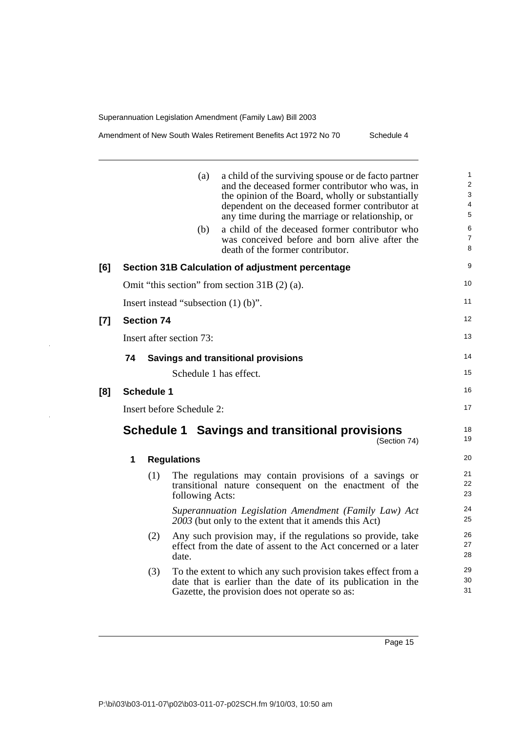$\ddot{\phantom{a}}$ 

| Amendment of New South Wales Retirement Benefits Act 1972 No 70 | Schedule 4 |
|-----------------------------------------------------------------|------------|
|-----------------------------------------------------------------|------------|

|     |                   |                          | (a)<br>(b)                | a child of the surviving spouse or de facto partner<br>and the deceased former contributor who was, in<br>the opinion of the Board, wholly or substantially<br>dependent on the deceased former contributor at<br>any time during the marriage or relationship, or<br>a child of the deceased former contributor who<br>was conceived before and born alive after the<br>death of the former contributor. | 1<br>2<br>3<br>4<br>5<br>6<br>$\overline{7}$<br>8 |
|-----|-------------------|--------------------------|---------------------------|-----------------------------------------------------------------------------------------------------------------------------------------------------------------------------------------------------------------------------------------------------------------------------------------------------------------------------------------------------------------------------------------------------------|---------------------------------------------------|
| [6] |                   |                          |                           | Section 31B Calculation of adjustment percentage                                                                                                                                                                                                                                                                                                                                                          | 9                                                 |
|     |                   |                          |                           | Omit "this section" from section 31B (2) (a).                                                                                                                                                                                                                                                                                                                                                             | 10                                                |
|     |                   |                          |                           | Insert instead "subsection $(1)$ $(b)$ ".                                                                                                                                                                                                                                                                                                                                                                 | 11                                                |
| [7] | <b>Section 74</b> |                          |                           |                                                                                                                                                                                                                                                                                                                                                                                                           | 12                                                |
|     |                   | Insert after section 73: |                           |                                                                                                                                                                                                                                                                                                                                                                                                           | 13                                                |
|     | 74                |                          |                           | <b>Savings and transitional provisions</b>                                                                                                                                                                                                                                                                                                                                                                | 14                                                |
|     |                   |                          |                           | Schedule 1 has effect.                                                                                                                                                                                                                                                                                                                                                                                    | 15                                                |
| [8] | <b>Schedule 1</b> |                          |                           |                                                                                                                                                                                                                                                                                                                                                                                                           | 16                                                |
|     |                   |                          | Insert before Schedule 2: |                                                                                                                                                                                                                                                                                                                                                                                                           | 17                                                |
|     |                   |                          |                           | <b>Schedule 1 Savings and transitional provisions</b><br>(Section 74)                                                                                                                                                                                                                                                                                                                                     | 18<br>19                                          |
|     | 1                 | <b>Regulations</b>       |                           |                                                                                                                                                                                                                                                                                                                                                                                                           | 20                                                |
|     |                   | (1)                      | following Acts:           | The regulations may contain provisions of a savings or<br>transitional nature consequent on the enactment of the                                                                                                                                                                                                                                                                                          | 21<br>22<br>23                                    |
|     |                   |                          |                           | Superannuation Legislation Amendment (Family Law) Act<br>2003 (but only to the extent that it amends this Act)                                                                                                                                                                                                                                                                                            | 24<br>25                                          |
|     |                   | (2)<br>date.             |                           | Any such provision may, if the regulations so provide, take<br>effect from the date of assent to the Act concerned or a later                                                                                                                                                                                                                                                                             | 26<br>27<br>28                                    |
|     |                   | (3)                      |                           | To the extent to which any such provision takes effect from a<br>date that is earlier than the date of its publication in the<br>Gazette, the provision does not operate so as:                                                                                                                                                                                                                           | 29<br>30<br>31                                    |
|     |                   |                          |                           |                                                                                                                                                                                                                                                                                                                                                                                                           |                                                   |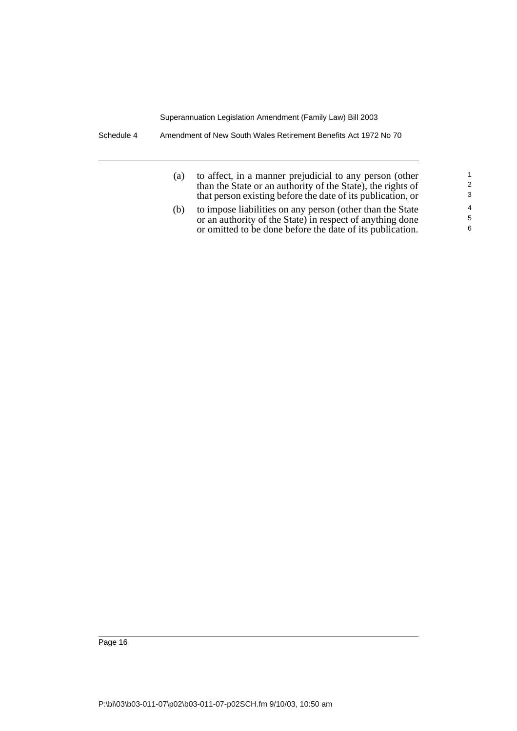| (a) | to affect, in a manner prejudicial to any person (other     | 1             |
|-----|-------------------------------------------------------------|---------------|
|     | than the State or an authority of the State), the rights of | $\mathcal{P}$ |
|     | that person existing before the date of its publication, or | 3             |
| (b) | to impose liabilities on any person (other than the State   | 4             |
|     | or an authority of the State) in respect of anything done   | 5             |
|     | or omitted to be done before the date of its publication.   | 6             |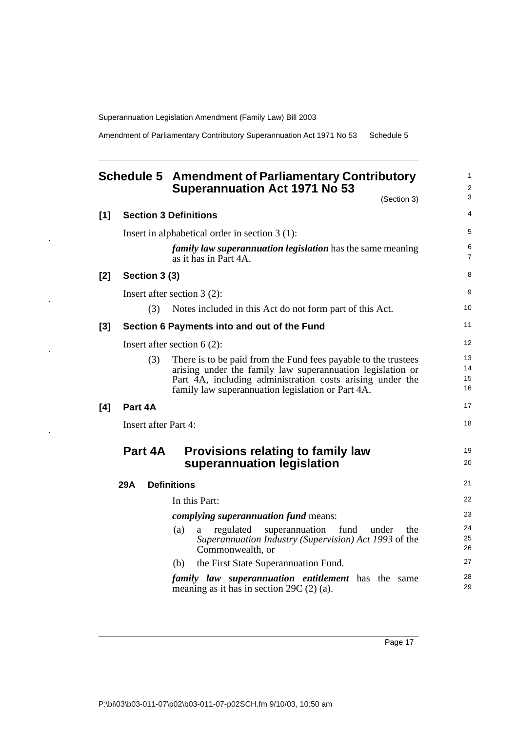$\bar{z}$ 

 $\frac{1}{\sqrt{2}}$ 

Amendment of Parliamentary Contributory Superannuation Act 1971 No 53 Schedule 5

<span id="page-34-0"></span>

|     |                             | <b>Schedule 5 Amendment of Parliamentary Contributory</b><br><b>Superannuation Act 1971 No 53</b>                                                                                                                                              | 1<br>$\overline{c}$<br>3 |
|-----|-----------------------------|------------------------------------------------------------------------------------------------------------------------------------------------------------------------------------------------------------------------------------------------|--------------------------|
|     |                             | (Section 3)                                                                                                                                                                                                                                    |                          |
| [1] |                             | <b>Section 3 Definitions</b>                                                                                                                                                                                                                   | 4                        |
|     |                             | Insert in alphabetical order in section $3(1)$ :                                                                                                                                                                                               | 5                        |
|     |                             | <i>family law superannuation legislation</i> has the same meaning<br>as it has in Part 4A.                                                                                                                                                     | 6<br>$\overline{7}$      |
| [2] | Section 3 (3)               |                                                                                                                                                                                                                                                | 8                        |
|     |                             | Insert after section $3(2)$ :                                                                                                                                                                                                                  | 9                        |
|     | (3)                         | Notes included in this Act do not form part of this Act.                                                                                                                                                                                       | 10                       |
| [3] |                             | Section 6 Payments into and out of the Fund                                                                                                                                                                                                    | 11                       |
|     |                             | Insert after section $6(2)$ :                                                                                                                                                                                                                  | 12                       |
|     | (3)                         | There is to be paid from the Fund fees payable to the trustees<br>arising under the family law superannuation legislation or<br>Part 4A, including administration costs arising under the<br>family law superannuation legislation or Part 4A. | 13<br>14<br>15<br>16     |
| [4] | Part 4A                     |                                                                                                                                                                                                                                                | 17                       |
|     | <b>Insert after Part 4:</b> |                                                                                                                                                                                                                                                | 18                       |
|     | Part 4A                     | <b>Provisions relating to family law</b><br>superannuation legislation                                                                                                                                                                         | 19<br>20                 |
|     | <b>29A</b>                  | <b>Definitions</b>                                                                                                                                                                                                                             | 21                       |
|     |                             | In this Part:                                                                                                                                                                                                                                  | 22                       |
|     |                             | <i>complying superannuation fund means:</i>                                                                                                                                                                                                    | 23                       |
|     |                             | regulated<br>superannuation fund<br>(a)<br>under<br>the<br>a<br>Superannuation Industry (Supervision) Act 1993 of the<br>Commonwealth, or                                                                                                      | 24<br>25<br>26           |
|     |                             | the First State Superannuation Fund.<br>(b)                                                                                                                                                                                                    | 27                       |
|     |                             | <i>family law superannuation entitlement</i> has the same<br>meaning as it has in section $29C(2)$ (a).                                                                                                                                        | 28<br>29                 |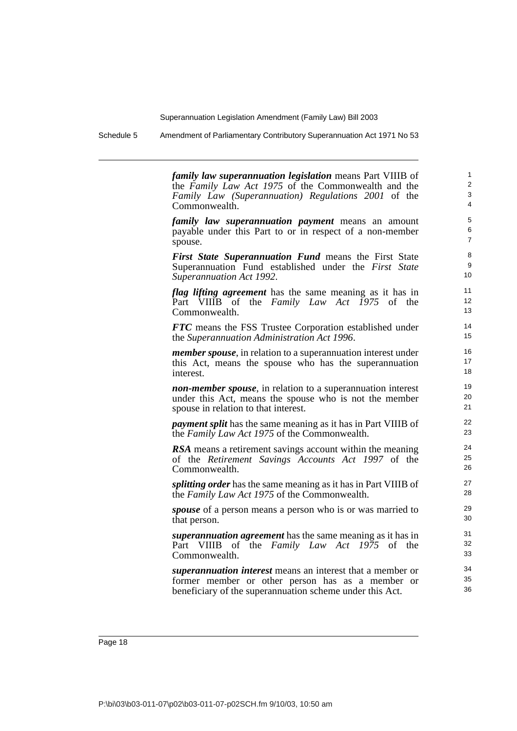Schedule 5 Amendment of Parliamentary Contributory Superannuation Act 1971 No 53

*family law superannuation legislation* means Part VIIIB of the *Family Law Act 1975* of the Commonwealth and the *Family Law (Superannuation) Regulations 2001* of the Commonwealth.

*family law superannuation payment* means an amount payable under this Part to or in respect of a non-member spouse.

*First State Superannuation Fund* means the First State Superannuation Fund established under the *First State Superannuation Act 1992*.

*flag lifting agreement* has the same meaning as it has in Part VIIIB of the *Family Law Act 1975* of the Commonwealth.

*FTC* means the FSS Trustee Corporation established under the *Superannuation Administration Act 1996*.

*member spouse*, in relation to a superannuation interest under this Act, means the spouse who has the superannuation interest.

*non-member spouse*, in relation to a superannuation interest under this Act, means the spouse who is not the member spouse in relation to that interest.

*payment split* has the same meaning as it has in Part VIIIB of the *Family Law Act 1975* of the Commonwealth.

*RSA* means a retirement savings account within the meaning of the *Retirement Savings Accounts Act 1997* of the Commonwealth.

*splitting order* has the same meaning as it has in Part VIIIB of the *Family Law Act 1975* of the Commonwealth.

*spouse* of a person means a person who is or was married to that person.

*superannuation agreement* has the same meaning as it has in Part VIIIB of the *Family Law Act 1975* of the Commonwealth.

*superannuation interest* means an interest that a member or former member or other person has as a member or beneficiary of the superannuation scheme under this Act.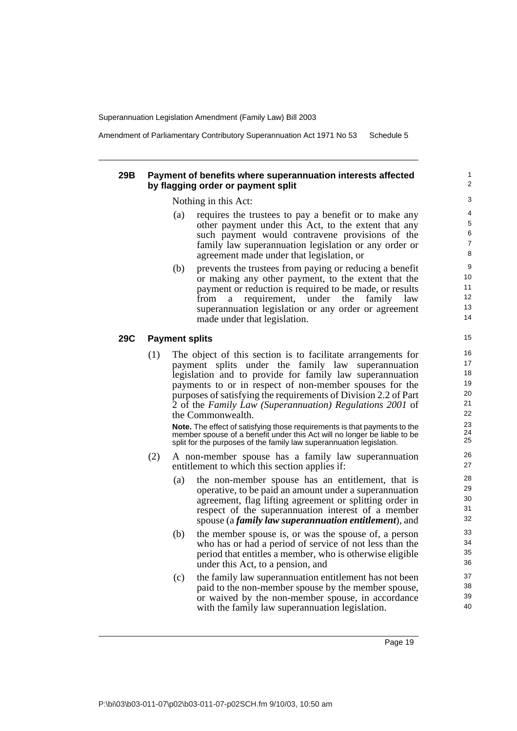Amendment of Parliamentary Contributory Superannuation Act 1971 No 53 Schedule 5

## **29B Payment of benefits where superannuation interests affected by flagging order or payment split**

Nothing in this Act:

- (a) requires the trustees to pay a benefit or to make any other payment under this Act, to the extent that any such payment would contravene provisions of the family law superannuation legislation or any order or agreement made under that legislation, or
- (b) prevents the trustees from paying or reducing a benefit or making any other payment, to the extent that the payment or reduction is required to be made, or results from a requirement, under the family law superannuation legislation or any order or agreement made under that legislation.

## **29C Payment splits**

(1) The object of this section is to facilitate arrangements for payment splits under the family law superannuation legislation and to provide for family law superannuation payments to or in respect of non-member spouses for the purposes of satisfying the requirements of Division 2.2 of Part 2 of the *Family Law (Superannuation) Regulations 2001* of the Commonwealth.

**Note.** The effect of satisfying those requirements is that payments to the member spouse of a benefit under this Act will no longer be liable to be split for the purposes of the family law superannuation legislation.

- (2) A non-member spouse has a family law superannuation entitlement to which this section applies if:
	- (a) the non-member spouse has an entitlement, that is operative, to be paid an amount under a superannuation agreement, flag lifting agreement or splitting order in respect of the superannuation interest of a member spouse (a *family law superannuation entitlement*), and
	- (b) the member spouse is, or was the spouse of, a person who has or had a period of service of not less than the period that entitles a member, who is otherwise eligible under this Act, to a pension, and
	- (c) the family law superannuation entitlement has not been paid to the non-member spouse by the member spouse, or waived by the non-member spouse, in accordance with the family law superannuation legislation.

Page 19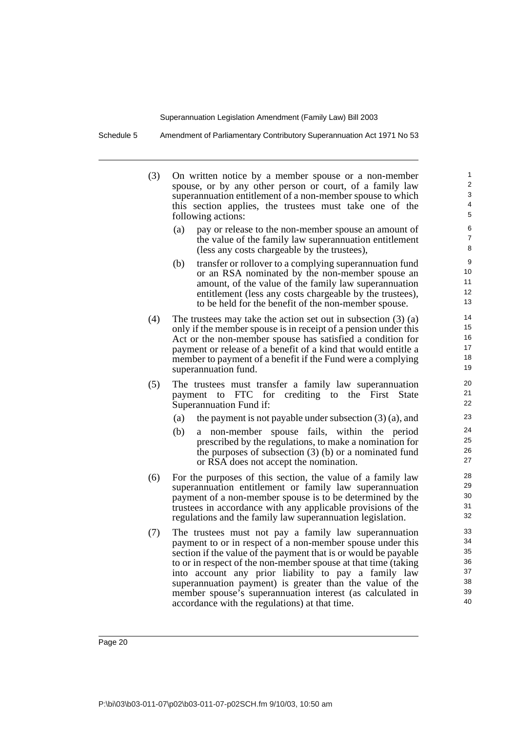Schedule 5 Amendment of Parliamentary Contributory Superannuation Act 1971 No 53

- (3) On written notice by a member spouse or a non-member spouse, or by any other person or court, of a family law superannuation entitlement of a non-member spouse to which this section applies, the trustees must take one of the following actions:
	- (a) pay or release to the non-member spouse an amount of the value of the family law superannuation entitlement (less any costs chargeable by the trustees),

- (b) transfer or rollover to a complying superannuation fund or an RSA nominated by the non-member spouse an amount, of the value of the family law superannuation entitlement (less any costs chargeable by the trustees), to be held for the benefit of the non-member spouse.
- (4) The trustees may take the action set out in subsection (3) (a) only if the member spouse is in receipt of a pension under this Act or the non-member spouse has satisfied a condition for payment or release of a benefit of a kind that would entitle a member to payment of a benefit if the Fund were a complying superannuation fund.
- (5) The trustees must transfer a family law superannuation payment to FTC for crediting to the First State Superannuation Fund if:
	- (a) the payment is not payable under subsection  $(3)$  (a), and
	- (b) a non-member spouse fails, within the period prescribed by the regulations, to make a nomination for the purposes of subsection (3) (b) or a nominated fund or RSA does not accept the nomination.
- (6) For the purposes of this section, the value of a family law superannuation entitlement or family law superannuation payment of a non-member spouse is to be determined by the trustees in accordance with any applicable provisions of the regulations and the family law superannuation legislation.
- (7) The trustees must not pay a family law superannuation payment to or in respect of a non-member spouse under this section if the value of the payment that is or would be payable to or in respect of the non-member spouse at that time (taking into account any prior liability to pay a family law superannuation payment) is greater than the value of the member spouse's superannuation interest (as calculated in accordance with the regulations) at that time.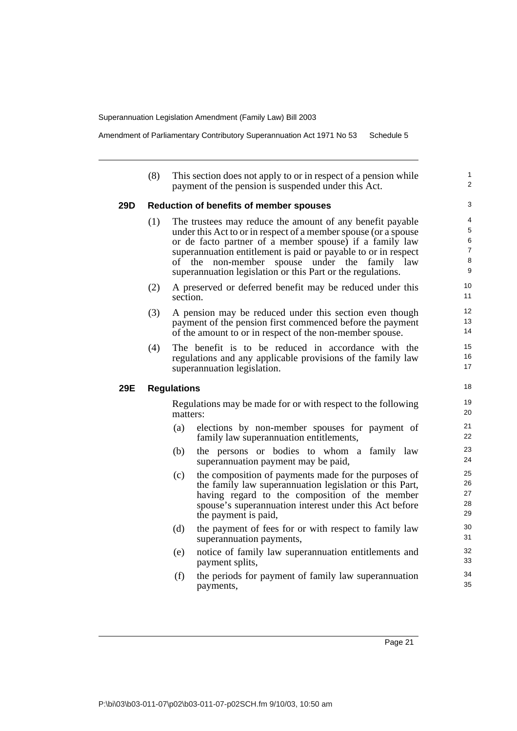Amendment of Parliamentary Contributory Superannuation Act 1971 No 53 Schedule 5

(8) This section does not apply to or in respect of a pension while payment of the pension is suspended under this Act.

#### **29D Reduction of benefits of member spouses**

- (1) The trustees may reduce the amount of any benefit payable under this Act to or in respect of a member spouse (or a spouse or de facto partner of a member spouse) if a family law superannuation entitlement is paid or payable to or in respect of the non-member spouse under the family law superannuation legislation or this Part or the regulations.
- (2) A preserved or deferred benefit may be reduced under this section.
- (3) A pension may be reduced under this section even though payment of the pension first commenced before the payment of the amount to or in respect of the non-member spouse.
- (4) The benefit is to be reduced in accordance with the regulations and any applicable provisions of the family law superannuation legislation.

## **29E Regulations**

Regulations may be made for or with respect to the following matters:

- (a) elections by non-member spouses for payment of family law superannuation entitlements,
- (b) the persons or bodies to whom a family law superannuation payment may be paid,
- (c) the composition of payments made for the purposes of the family law superannuation legislation or this Part, having regard to the composition of the member spouse's superannuation interest under this Act before the payment is paid,
- (d) the payment of fees for or with respect to family law superannuation payments,
- (e) notice of family law superannuation entitlements and payment splits,
- (f) the periods for payment of family law superannuation payments,

Page 21

1  $\overline{2}$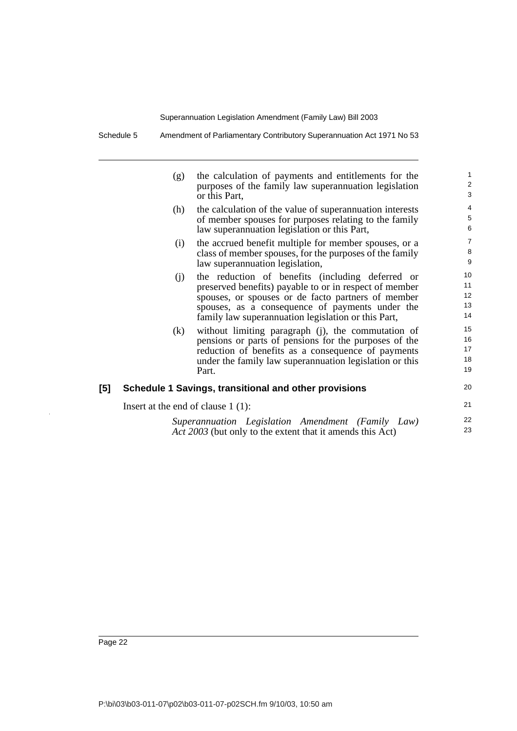Schedule 5 Amendment of Parliamentary Contributory Superannuation Act 1971 No 53

|     | (g)                                  | the calculation of payments and entitlements for the<br>purposes of the family law superannuation legislation<br>or this Part,                                                                                                                                             | 1<br>$\overline{\mathbf{c}}$<br>3  |
|-----|--------------------------------------|----------------------------------------------------------------------------------------------------------------------------------------------------------------------------------------------------------------------------------------------------------------------------|------------------------------------|
|     | (h)                                  | the calculation of the value of superannuation interests<br>of member spouses for purposes relating to the family<br>law superannuation legislation or this Part,                                                                                                          | $\overline{\mathcal{L}}$<br>5<br>6 |
|     | (i)                                  | the accrued benefit multiple for member spouses, or a<br>class of member spouses, for the purposes of the family<br>law superannuation legislation,                                                                                                                        | 7<br>8<br>9                        |
|     | (j)                                  | the reduction of benefits (including deferred or<br>preserved benefits) payable to or in respect of member<br>spouses, or spouses or de facto partners of member<br>spouses, as a consequence of payments under the<br>family law superannuation legislation or this Part, | 10<br>11<br>12<br>13<br>14         |
|     | (k)                                  | without limiting paragraph (j), the commutation of<br>pensions or parts of pensions for the purposes of the<br>reduction of benefits as a consequence of payments<br>under the family law superannuation legislation or this<br>Part.                                      | 15<br>16<br>17<br>18<br>19         |
| [5] |                                      | Schedule 1 Savings, transitional and other provisions                                                                                                                                                                                                                      | 20                                 |
|     | Insert at the end of clause $1(1)$ : |                                                                                                                                                                                                                                                                            | 21                                 |
|     |                                      | Superannuation Legislation Amendment (Family Law)<br>Act 2003 (but only to the extent that it amends this Act)                                                                                                                                                             | 22<br>23                           |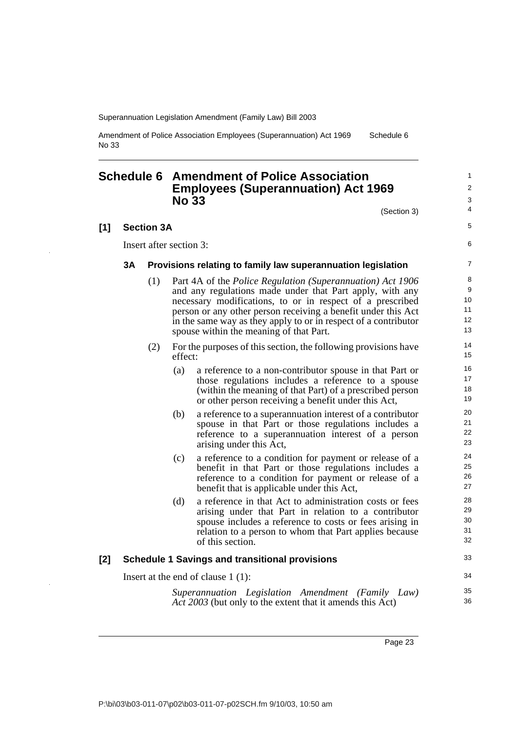Amendment of Police Association Employees (Superannuation) Act 1969 No 33 Schedule 6

# **Schedule 6 Amendment of Police Association Employees (Superannuation) Act 1969 No 33**

(Section 3)

6

33

34 35 36

# **[1] Section 3A**

Insert after section 3:

#### **3A Provisions relating to family law superannuation legislation**

- (1) Part 4A of the *Police Regulation (Superannuation) Act 1906* and any regulations made under that Part apply, with any necessary modifications, to or in respect of a prescribed person or any other person receiving a benefit under this Act in the same way as they apply to or in respect of a contributor spouse within the meaning of that Part.
- (2) For the purposes of this section, the following provisions have effect:
	- (a) a reference to a non-contributor spouse in that Part or those regulations includes a reference to a spouse (within the meaning of that Part) of a prescribed person or other person receiving a benefit under this Act,
	- (b) a reference to a superannuation interest of a contributor spouse in that Part or those regulations includes a reference to a superannuation interest of a person arising under this Act,
	- (c) a reference to a condition for payment or release of a benefit in that Part or those regulations includes a reference to a condition for payment or release of a benefit that is applicable under this Act,
	- (d) a reference in that Act to administration costs or fees arising under that Part in relation to a contributor spouse includes a reference to costs or fees arising in relation to a person to whom that Part applies because of this section.

#### **[2] Schedule 1 Savings and transitional provisions**

Insert at the end of clause 1 (1):

*Superannuation Legislation Amendment (Family Law) Act 2003* (but only to the extent that it amends this Act)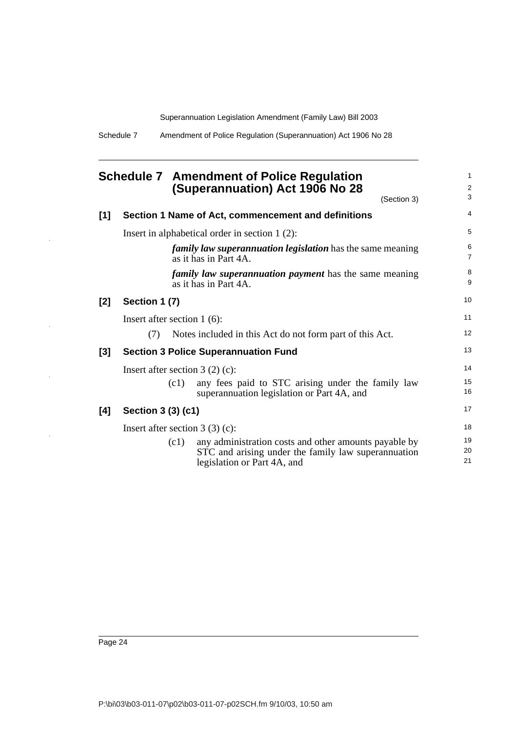Schedule 7 Amendment of Police Regulation (Superannuation) Act 1906 No 28

#### **Schedule 7 Amendment of Police Regulation (Superannuation) Act 1906 No 28** (Section 3) **[1] Section 1 Name of Act, commencement and definitions** Insert in alphabetical order in section 1 (2): *family law superannuation legislation* has the same meaning as it has in Part 4A. *family law superannuation payment* has the same meaning as it has in Part 4A. **[2] Section 1 (7)** Insert after section 1 (6): (7) Notes included in this Act do not form part of this Act. **[3] Section 3 Police Superannuation Fund** Insert after section 3 (2) (c): (c1) any fees paid to STC arising under the family law superannuation legislation or Part 4A, and **[4] Section 3 (3) (c1)** Insert after section 3 (3) (c): (c1) any administration costs and other amounts payable by STC and arising under the family law superannuation legislation or Part 4A, and 1 2 3 4 5 6 7 8 9 10 11 12 13 14 15 16 17 18 19 20 21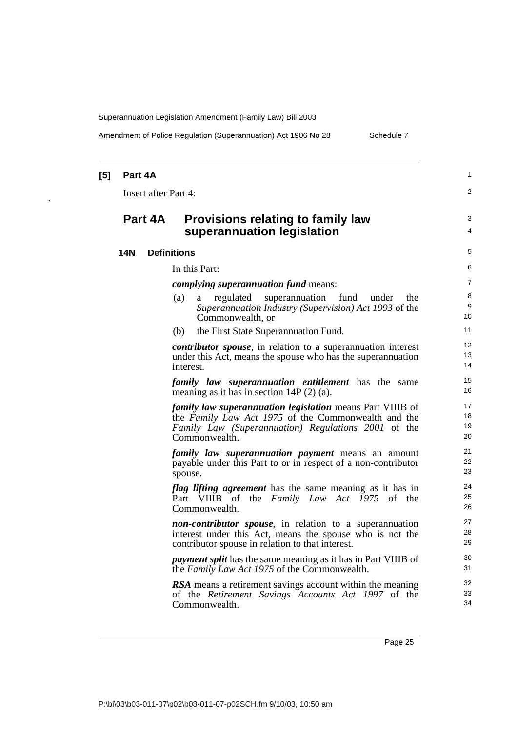Amendment of Police Regulation (Superannuation) Act 1906 No 28 Schedule 7

| [5] | Part 4A    |         | $\mathbf{1}$                                                                                                                                                                                    |                      |
|-----|------------|---------|-------------------------------------------------------------------------------------------------------------------------------------------------------------------------------------------------|----------------------|
|     |            |         | <b>Insert after Part 4:</b>                                                                                                                                                                     | 2                    |
|     |            | Part 4A | <b>Provisions relating to family law</b><br>superannuation legislation                                                                                                                          | 3<br>4               |
|     | <b>14N</b> |         | <b>Definitions</b>                                                                                                                                                                              | 5                    |
|     |            |         | In this Part:                                                                                                                                                                                   | 6                    |
|     |            |         | <i>complying superannuation fund means:</i>                                                                                                                                                     | $\overline{7}$       |
|     |            |         | regulated superannuation fund<br>under<br>(a)<br>the<br>a<br>Superannuation Industry (Supervision) Act 1993 of the<br>Commonwealth, or                                                          | 8<br>9<br>10         |
|     |            |         | the First State Superannuation Fund.<br>(b)                                                                                                                                                     | 11                   |
|     |            |         | <i>contributor spouse</i> , in relation to a superannuation interest<br>under this Act, means the spouse who has the superannuation<br>interest.                                                | 12<br>13<br>14       |
|     |            |         | <i>family law superannuation entitlement</i> has the same<br>meaning as it has in section $14P(2)$ (a).                                                                                         | 15<br>16             |
|     |            |         | <i>family law superannuation legislation</i> means Part VIIIB of<br>the Family Law Act 1975 of the Commonwealth and the<br>Family Law (Superannuation) Regulations 2001 of the<br>Commonwealth. | 17<br>18<br>19<br>20 |
|     |            |         | <i>family law superannuation payment</i> means an amount<br>payable under this Part to or in respect of a non-contributor<br>spouse.                                                            | 21<br>22<br>23       |
|     |            |         | <i>flag lifting agreement</i> has the same meaning as it has in<br>Part VIIIB of the Family Law Act 1975 of the<br>Commonwealth.                                                                | 24<br>25<br>26       |
|     |            |         | <i>non-contributor spouse</i> , in relation to a superannuation<br>interest under this Act, means the spouse who is not the<br>contributor spouse in relation to that interest.                 | 27<br>28<br>29       |
|     |            |         | <i>payment split</i> has the same meaning as it has in Part VIIIB of<br>the Family Law Act 1975 of the Commonwealth.                                                                            | 30<br>31             |
|     |            |         | <b>RSA</b> means a retirement savings account within the meaning<br>of the Retirement Savings Accounts Act 1997 of the<br>Commonwealth.                                                         | 32<br>33<br>34       |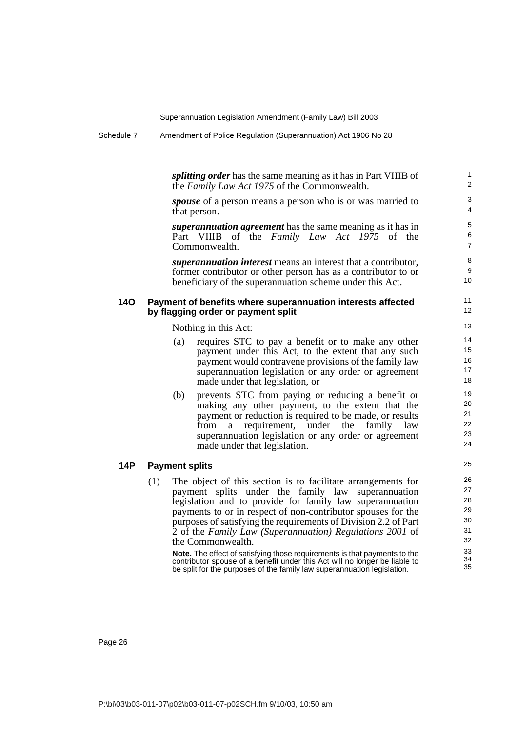*splitting order* has the same meaning as it has in Part VIIIB of the *Family Law Act 1975* of the Commonwealth.

*spouse* of a person means a person who is or was married to that person.

*superannuation agreement* has the same meaning as it has in Part VIIIB of the *Family Law Act 1975* of the Commonwealth.

*superannuation interest* means an interest that a contributor, former contributor or other person has as a contributor to or beneficiary of the superannuation scheme under this Act.

### **14O Payment of benefits where superannuation interests affected by flagging order or payment split**

Nothing in this Act:

- (a) requires STC to pay a benefit or to make any other payment under this Act, to the extent that any such payment would contravene provisions of the family law superannuation legislation or any order or agreement made under that legislation, or
- (b) prevents STC from paying or reducing a benefit or making any other payment, to the extent that the payment or reduction is required to be made, or results from a requirement, under the family law superannuation legislation or any order or agreement made under that legislation.

### **14P Payment splits**

(1) The object of this section is to facilitate arrangements for payment splits under the family law superannuation legislation and to provide for family law superannuation payments to or in respect of non-contributor spouses for the purposes of satisfying the requirements of Division 2.2 of Part 2 of the *Family Law (Superannuation) Regulations 2001* of the Commonwealth.

**Note.** The effect of satisfying those requirements is that payments to the contributor spouse of a benefit under this Act will no longer be liable to be split for the purposes of the family law superannuation legislation.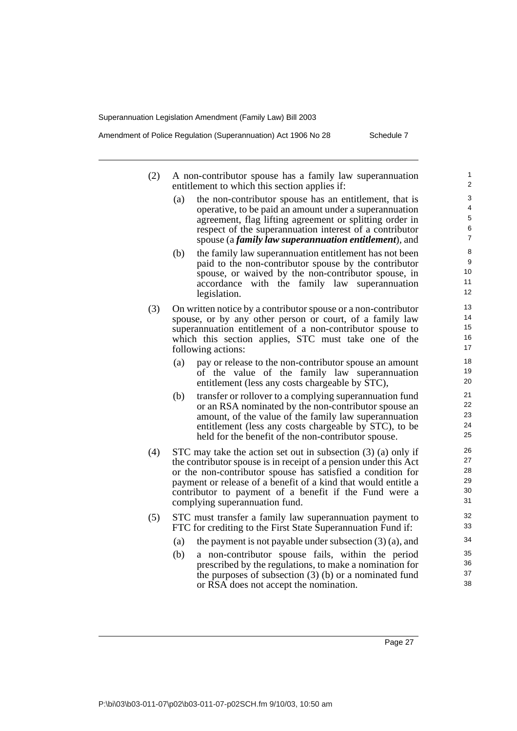Amendment of Police Regulation (Superannuation) Act 1906 No 28 Schedule 7

| (2) | A non-contributor spouse has a family law superannuation |
|-----|----------------------------------------------------------|
|     | entitlement to which this section applies if:            |

- (a) the non-contributor spouse has an entitlement, that is operative, to be paid an amount under a superannuation agreement, flag lifting agreement or splitting order in respect of the superannuation interest of a contributor spouse (a *family law superannuation entitlement*), and
- (b) the family law superannuation entitlement has not been paid to the non-contributor spouse by the contributor spouse, or waived by the non-contributor spouse, in accordance with the family law superannuation legislation.
- (3) On written notice by a contributor spouse or a non-contributor spouse, or by any other person or court, of a family law superannuation entitlement of a non-contributor spouse to which this section applies, STC must take one of the following actions:
	- (a) pay or release to the non-contributor spouse an amount of the value of the family law superannuation entitlement (less any costs chargeable by STC),
	- (b) transfer or rollover to a complying superannuation fund or an RSA nominated by the non-contributor spouse an amount, of the value of the family law superannuation entitlement (less any costs chargeable by STC), to be held for the benefit of the non-contributor spouse.
- (4) STC may take the action set out in subsection (3) (a) only if the contributor spouse is in receipt of a pension under this Act or the non-contributor spouse has satisfied a condition for payment or release of a benefit of a kind that would entitle a contributor to payment of a benefit if the Fund were a complying superannuation fund.
- (5) STC must transfer a family law superannuation payment to FTC for crediting to the First State Superannuation Fund if:
	- (a) the payment is not payable under subsection  $(3)$  (a), and
	- (b) a non-contributor spouse fails, within the period prescribed by the regulations, to make a nomination for the purposes of subsection (3) (b) or a nominated fund or RSA does not accept the nomination.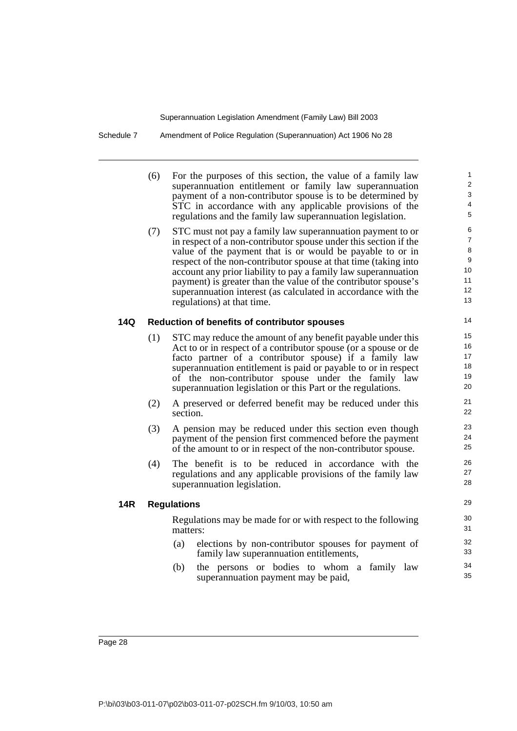|            | (6) | For the purposes of this section, the value of a family law<br>superannuation entitlement or family law superannuation<br>payment of a non-contributor spouse is to be determined by<br>STC in accordance with any applicable provisions of the<br>regulations and the family law superannuation legislation.                                                                                                                                                                                     | 1<br>2<br>3<br>4<br>5                                       |
|------------|-----|---------------------------------------------------------------------------------------------------------------------------------------------------------------------------------------------------------------------------------------------------------------------------------------------------------------------------------------------------------------------------------------------------------------------------------------------------------------------------------------------------|-------------------------------------------------------------|
|            | (7) | STC must not pay a family law superannuation payment to or<br>in respect of a non-contributor spouse under this section if the<br>value of the payment that is or would be payable to or in<br>respect of the non-contributor spouse at that time (taking into<br>account any prior liability to pay a family law superannuation<br>payment) is greater than the value of the contributor spouse's<br>superannuation interest (as calculated in accordance with the<br>regulations) at that time. | 6<br>$\overline{7}$<br>$\,8\,$<br>9<br>10<br>11<br>12<br>13 |
| 14Q        |     | <b>Reduction of benefits of contributor spouses</b>                                                                                                                                                                                                                                                                                                                                                                                                                                               | 14                                                          |
|            | (1) | STC may reduce the amount of any benefit payable under this<br>Act to or in respect of a contributor spouse (or a spouse or de<br>facto partner of a contributor spouse) if a family law<br>superannuation entitlement is paid or payable to or in respect<br>of the non-contributor spouse under the family law<br>superannuation legislation or this Part or the regulations.                                                                                                                   | 15<br>16<br>17<br>18<br>19<br>20                            |
|            | (2) | A preserved or deferred benefit may be reduced under this<br>section.                                                                                                                                                                                                                                                                                                                                                                                                                             | 21<br>22                                                    |
|            | (3) | A pension may be reduced under this section even though<br>payment of the pension first commenced before the payment<br>of the amount to or in respect of the non-contributor spouse.                                                                                                                                                                                                                                                                                                             | 23<br>24<br>25                                              |
|            | (4) | The benefit is to be reduced in accordance with the<br>regulations and any applicable provisions of the family law<br>superannuation legislation.                                                                                                                                                                                                                                                                                                                                                 | 26<br>27<br>28                                              |
| <b>14R</b> |     | <b>Regulations</b>                                                                                                                                                                                                                                                                                                                                                                                                                                                                                | 29                                                          |
|            |     | Regulations may be made for or with respect to the following<br>matters:                                                                                                                                                                                                                                                                                                                                                                                                                          | 30<br>31                                                    |
|            |     | elections by non-contributor spouses for payment of<br>(a)<br>family law superannuation entitlements,                                                                                                                                                                                                                                                                                                                                                                                             | 32<br>33                                                    |
|            |     | the persons or bodies to whom a family law<br>(b)<br>superannuation payment may be paid,                                                                                                                                                                                                                                                                                                                                                                                                          | 34<br>35                                                    |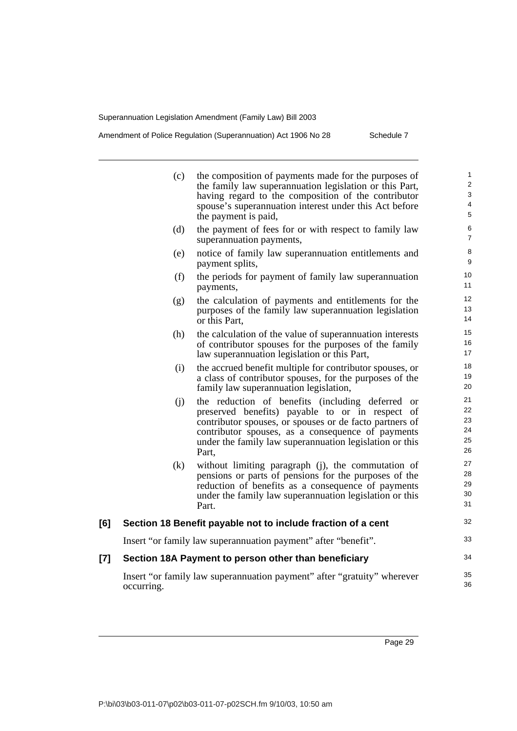Amendment of Police Regulation (Superannuation) Act 1906 No 28 Schedule 7

|       | (c)        | the composition of payments made for the purposes of<br>the family law superannuation legislation or this Part,<br>having regard to the composition of the contributor<br>spouse's superannuation interest under this Act before<br>the payment is paid,                                | 1<br>$\overline{2}$<br>3<br>4<br>5 |
|-------|------------|-----------------------------------------------------------------------------------------------------------------------------------------------------------------------------------------------------------------------------------------------------------------------------------------|------------------------------------|
|       | (d)        | the payment of fees for or with respect to family law<br>superannuation payments,                                                                                                                                                                                                       | 6<br>$\overline{7}$                |
|       | (e)        | notice of family law superannuation entitlements and<br>payment splits,                                                                                                                                                                                                                 | 8<br>9                             |
|       | (f)        | the periods for payment of family law superannuation<br>payments,                                                                                                                                                                                                                       | 10<br>11                           |
|       | (g)        | the calculation of payments and entitlements for the<br>purposes of the family law superannuation legislation<br>or this Part,                                                                                                                                                          | 12<br>13<br>14                     |
|       | (h)        | the calculation of the value of superannuation interests<br>of contributor spouses for the purposes of the family<br>law superannuation legislation or this Part,                                                                                                                       | 15<br>16<br>17                     |
|       | (i)        | the accrued benefit multiple for contributor spouses, or<br>a class of contributor spouses, for the purposes of the<br>family law superannuation legislation,                                                                                                                           | 18<br>19<br>20                     |
|       | (j)        | the reduction of benefits (including deferred or<br>preserved benefits) payable to or in respect of<br>contributor spouses, or spouses or de facto partners of<br>contributor spouses, as a consequence of payments<br>under the family law superannuation legislation or this<br>Part, | 21<br>22<br>23<br>24<br>25<br>26   |
|       | (k)        | without limiting paragraph (j), the commutation of<br>pensions or parts of pensions for the purposes of the<br>reduction of benefits as a consequence of payments<br>under the family law superannuation legislation or this<br>Part.                                                   | 27<br>28<br>29<br>30<br>31         |
| [6]   |            | Section 18 Benefit payable not to include fraction of a cent                                                                                                                                                                                                                            | 32                                 |
|       |            | Insert "or family law superannuation payment" after "benefit".                                                                                                                                                                                                                          | 33                                 |
| $[7]$ |            | Section 18A Payment to person other than beneficiary                                                                                                                                                                                                                                    | 34                                 |
|       | occurring. | Insert "or family law superannuation payment" after "gratuity" wherever                                                                                                                                                                                                                 | 35<br>36                           |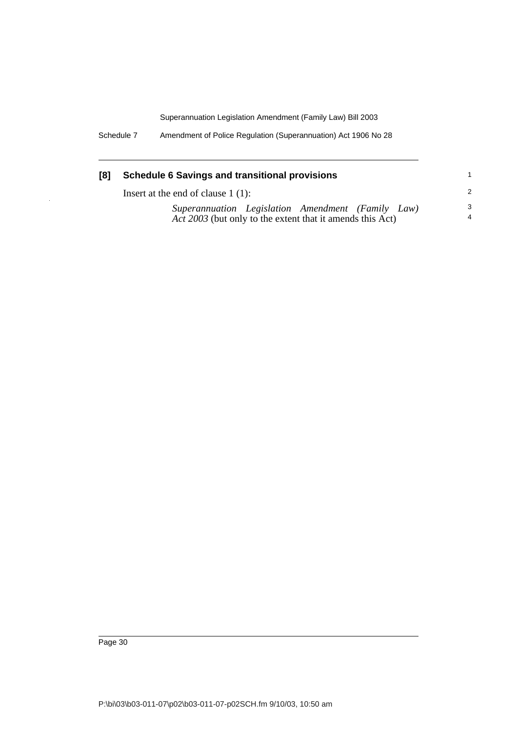Schedule 7 Amendment of Police Regulation (Superannuation) Act 1906 No 28

| [8] | <b>Schedule 6 Savings and transitional provisions</b>                                                          |                      |  |
|-----|----------------------------------------------------------------------------------------------------------------|----------------------|--|
|     | Insert at the end of clause $1(1)$ :                                                                           |                      |  |
|     | Superannuation Legislation Amendment (Family Law)<br>Act 2003 (but only to the extent that it amends this Act) | -3<br>$\overline{4}$ |  |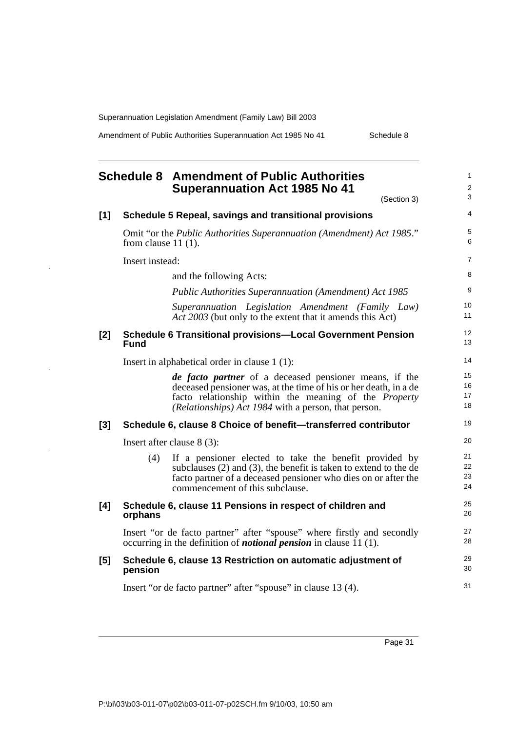$\ddot{\phantom{0}}$ 

l,

Amendment of Public Authorities Superannuation Act 1985 No 41 Schedule 8

|       |                       | <b>Schedule 8 Amendment of Public Authorities</b><br><b>Superannuation Act 1985 No 41</b>                                                                                                                                                                                 | $\mathbf{1}$<br>2<br>3 |
|-------|-----------------------|---------------------------------------------------------------------------------------------------------------------------------------------------------------------------------------------------------------------------------------------------------------------------|------------------------|
|       |                       | (Section 3)                                                                                                                                                                                                                                                               |                        |
| $[1]$ |                       | Schedule 5 Repeal, savings and transitional provisions                                                                                                                                                                                                                    | 4                      |
|       | from clause $11(1)$ . | Omit "or the Public Authorities Superannuation (Amendment) Act 1985."                                                                                                                                                                                                     | 5<br>6                 |
|       | Insert instead:       |                                                                                                                                                                                                                                                                           | $\overline{7}$         |
|       |                       | and the following Acts:                                                                                                                                                                                                                                                   | 8                      |
|       |                       | <b>Public Authorities Superannuation (Amendment) Act 1985</b>                                                                                                                                                                                                             | 9                      |
|       |                       | Superannuation Legislation Amendment (Family Law)<br>Act 2003 (but only to the extent that it amends this Act)                                                                                                                                                            | 10<br>11               |
| [2]   | <b>Fund</b>           | <b>Schedule 6 Transitional provisions-Local Government Pension</b>                                                                                                                                                                                                        | 12<br>13               |
|       |                       | Insert in alphabetical order in clause 1 (1):                                                                                                                                                                                                                             | 14                     |
|       |                       | <i>de facto partner</i> of a deceased pensioner means, if the<br>deceased pensioner was, at the time of his or her death, in a de<br>facto relationship within the meaning of the <i>Property</i><br>( <i>Relationships</i> ) <i>Act 1984</i> with a person, that person. | 15<br>16<br>17<br>18   |
| [3]   |                       | Schedule 6, clause 8 Choice of benefit-transferred contributor                                                                                                                                                                                                            | 19                     |
|       |                       | Insert after clause $8(3)$ :                                                                                                                                                                                                                                              | 20                     |
|       | (4)                   | If a pensioner elected to take the benefit provided by<br>subclauses $(2)$ and $(3)$ , the benefit is taken to extend to the de<br>facto partner of a deceased pensioner who dies on or after the<br>commencement of this subclause.                                      | 21<br>22<br>23<br>24   |
| [4]   | orphans               | Schedule 6, clause 11 Pensions in respect of children and                                                                                                                                                                                                                 | 25<br>26               |
|       |                       | Insert "or de facto partner" after "spouse" where firstly and secondly<br>occurring in the definition of <i>notional pension</i> in clause 11 (1).                                                                                                                        | 27<br>28               |
| [5]   | pension               | Schedule 6, clause 13 Restriction on automatic adjustment of                                                                                                                                                                                                              | 29<br>30               |
|       |                       | Insert "or de facto partner" after "spouse" in clause 13 (4).                                                                                                                                                                                                             | 31                     |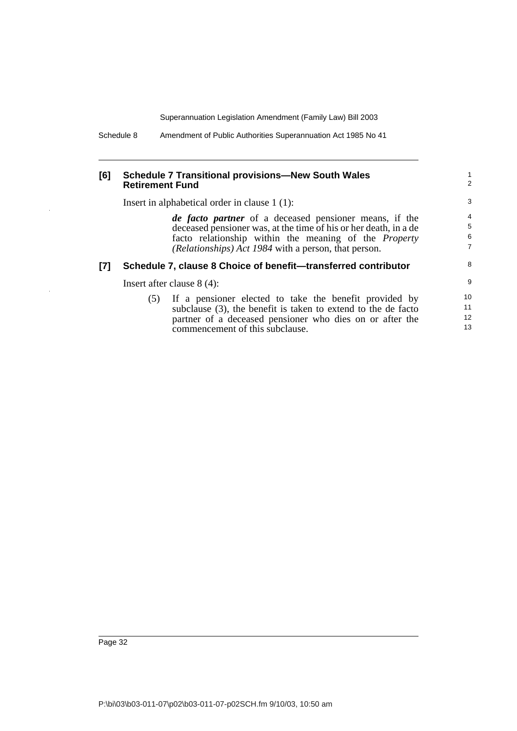Schedule 8 Amendment of Public Authorities Superannuation Act 1985 No 41

# **[6] Schedule 7 Transitional provisions—New South Wales Retirement Fund**

Insert in alphabetical order in clause 1 (1):

*de facto partner* of a deceased pensioner means, if the deceased pensioner was, at the time of his or her death, in a de facto relationship within the meaning of the *Property (Relationships) Act 1984* with a person, that person.

## **[7] Schedule 7, clause 8 Choice of benefit—transferred contributor**

Insert after clause 8 (4):

(5) If a pensioner elected to take the benefit provided by subclause (3), the benefit is taken to extend to the de facto partner of a deceased pensioner who dies on or after the commencement of this subclause.

12 13

1 2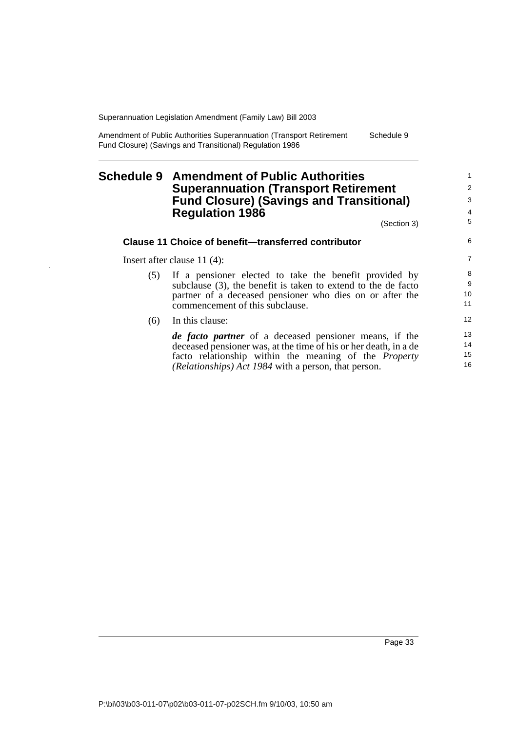Amendment of Public Authorities Superannuation (Transport Retirement Fund Closure) (Savings and Transitional) Regulation 1986 Schedule 9

# **Schedule 9 Amendment of Public Authorities Superannuation (Transport Retirement Fund Closure) (Savings and Transitional) Regulation 1986**

(Section 3)

6

# **Clause 11 Choice of benefit—transferred contributor**

Insert after clause 11 (4):

- (5) If a pensioner elected to take the benefit provided by subclause (3), the benefit is taken to extend to the de facto partner of a deceased pensioner who dies on or after the commencement of this subclause.
- (6) In this clause:

*de facto partner* of a deceased pensioner means, if the deceased pensioner was, at the time of his or her death, in a de facto relationship within the meaning of the *Property (Relationships) Act 1984* with a person, that person.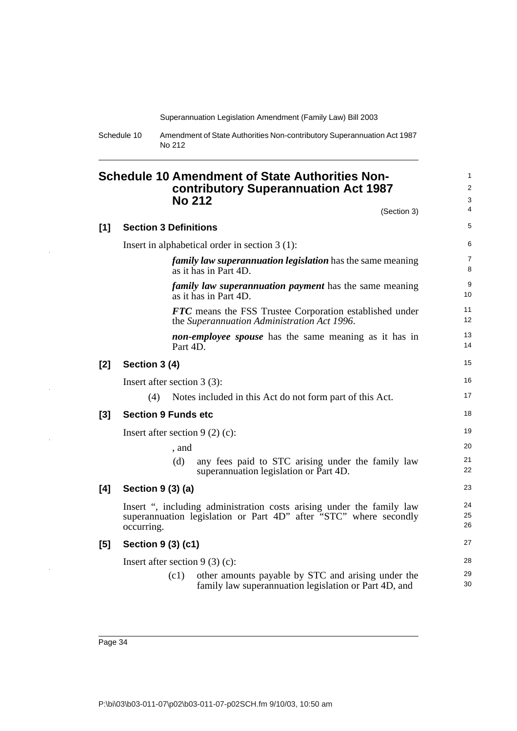Schedule 10 Amendment of State Authorities Non-contributory Superannuation Act 1987 No 212

# **Schedule 10 Amendment of State Authorities Noncontributory Superannuation Act 1987 No 212**

(Section 3)

| [1]   | <b>Section 3 Definitions</b>                                                                                                                             | 5                   |
|-------|----------------------------------------------------------------------------------------------------------------------------------------------------------|---------------------|
|       | Insert in alphabetical order in section $3(1)$ :                                                                                                         | 6                   |
|       | <i>family law superannuation legislation</i> has the same meaning<br>as it has in Part 4D.                                                               | $\overline{7}$<br>8 |
|       | <i>family law superannuation payment</i> has the same meaning<br>as it has in Part 4D.                                                                   | 9<br>10             |
|       | FTC means the FSS Trustee Corporation established under<br>the Superannuation Administration Act 1996.                                                   | 11<br>12            |
|       | <i>non-employee spouse</i> has the same meaning as it has in<br>Part 4D.                                                                                 | 13<br>14            |
| [2]   | Section 3 (4)                                                                                                                                            | 15                  |
|       | Insert after section $3(3)$ :                                                                                                                            | 16                  |
|       | Notes included in this Act do not form part of this Act.<br>(4)                                                                                          | 17                  |
| $[3]$ | <b>Section 9 Funds etc</b>                                                                                                                               | 18                  |
|       | Insert after section $9(2)(c)$ :                                                                                                                         | 19                  |
|       | , and                                                                                                                                                    | 20                  |
|       | (d)<br>any fees paid to STC arising under the family law<br>superannuation legislation or Part 4D.                                                       | 21<br>22            |
| [4]   | Section 9 (3) (a)                                                                                                                                        | 23                  |
|       | Insert ", including administration costs arising under the family law<br>superannuation legislation or Part 4D" after "STC" where secondly<br>occurring. | 24<br>25<br>26      |
| [5]   | Section 9 (3) (c1)                                                                                                                                       | 27                  |
|       | Insert after section $9(3)(c)$ :<br>other amounts payable by STC and arising under the<br>(c1)<br>family law superannuation legislation or Part 4D, and  | 28<br>29<br>30      |
|       |                                                                                                                                                          |                     |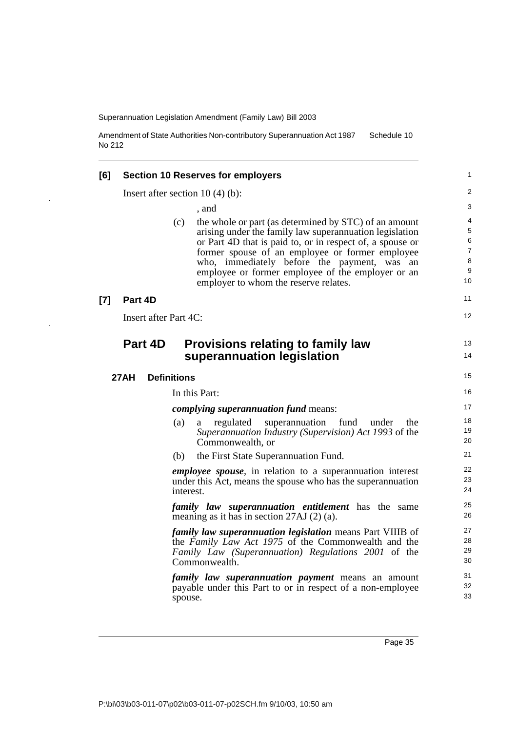J

Amendment of State Authorities Non-contributory Superannuation Act 1987 No 212 Schedule 10

| [6]      |                                                                                                   |         | <b>Section 10 Reserves for employers</b>                                                                                                                                                                                                                                                                                                                                             | 1                                             |
|----------|---------------------------------------------------------------------------------------------------|---------|--------------------------------------------------------------------------------------------------------------------------------------------------------------------------------------------------------------------------------------------------------------------------------------------------------------------------------------------------------------------------------------|-----------------------------------------------|
|          |                                                                                                   |         | Insert after section $10(4)(b)$ :                                                                                                                                                                                                                                                                                                                                                    | $\overline{c}$                                |
|          |                                                                                                   |         | , and                                                                                                                                                                                                                                                                                                                                                                                | 3                                             |
|          |                                                                                                   |         | (c)<br>the whole or part (as determined by STC) of an amount<br>arising under the family law superannuation legislation<br>or Part 4D that is paid to, or in respect of, a spouse or<br>former spouse of an employee or former employee<br>who, immediately before the payment, was an<br>employee or former employee of the employer or an<br>employer to whom the reserve relates. | 4<br>5<br>6<br>$\overline{7}$<br>8<br>9<br>10 |
| $[7]$    | Part 4D                                                                                           |         |                                                                                                                                                                                                                                                                                                                                                                                      | 11                                            |
|          |                                                                                                   |         | Insert after Part 4C:                                                                                                                                                                                                                                                                                                                                                                | 12                                            |
|          |                                                                                                   | Part 4D | <b>Provisions relating to family law</b><br>superannuation legislation                                                                                                                                                                                                                                                                                                               | 13<br>14                                      |
|          | 27AH<br><b>Definitions</b><br>In this Part:                                                       |         | 15                                                                                                                                                                                                                                                                                                                                                                                   |                                               |
|          |                                                                                                   |         | 16                                                                                                                                                                                                                                                                                                                                                                                   |                                               |
|          |                                                                                                   |         | <i>complying superannuation fund means:</i>                                                                                                                                                                                                                                                                                                                                          | 17                                            |
| (a)<br>a |                                                                                                   |         | superannuation<br>regulated<br>fund<br>under<br>the<br>Superannuation Industry (Supervision) Act 1993 of the<br>Commonwealth, or                                                                                                                                                                                                                                                     | 18<br>19<br>20                                |
|          |                                                                                                   |         | the First State Superannuation Fund.<br>(b)                                                                                                                                                                                                                                                                                                                                          | 21                                            |
|          |                                                                                                   |         | <i>employee spouse</i> , in relation to a superannuation interest<br>under this Act, means the spouse who has the superannuation<br>interest.                                                                                                                                                                                                                                        | 22<br>23<br>24                                |
|          | family law superannuation entitlement has the same<br>meaning as it has in section $27AJ(2)(a)$ . |         |                                                                                                                                                                                                                                                                                                                                                                                      | 25<br>26                                      |
|          |                                                                                                   |         | <i>family law superannuation legislation</i> means Part VIIIB of<br>the Family Law Act 1975 of the Commonwealth and the<br>Family Law (Superannuation) Regulations 2001 of the<br>Commonwealth.                                                                                                                                                                                      | 27<br>28<br>29<br>30                          |
|          |                                                                                                   |         | <i>family law superannuation payment</i> means an amount<br>payable under this Part to or in respect of a non-employee<br>spouse.                                                                                                                                                                                                                                                    | 31<br>32<br>33                                |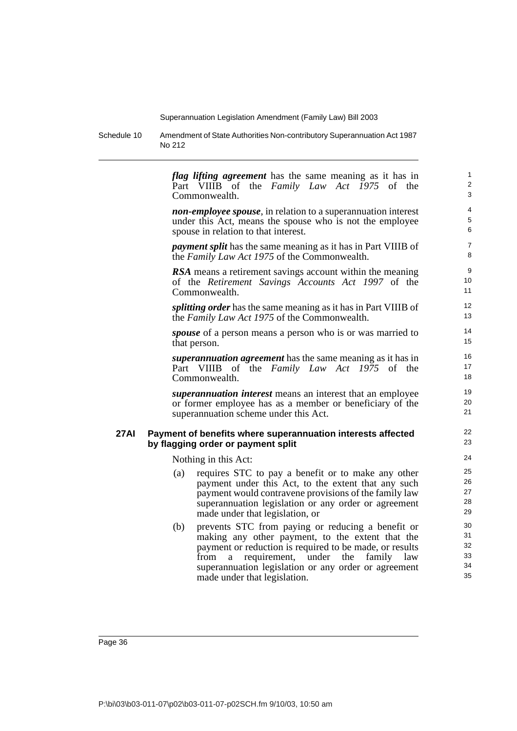Schedule 10 Amendment of State Authorities Non-contributory Superannuation Act 1987 No 212

*flag lifting agreement* has the same meaning as it has in Part VIIIB of the *Family Law Act 1975* of the Commonwealth. *non-employee spouse*, in relation to a superannuation interest under this Act, means the spouse who is not the employee spouse in relation to that interest. *payment split* has the same meaning as it has in Part VIIIB of the *Family Law Act 1975* of the Commonwealth. *RSA* means a retirement savings account within the meaning of the *Retirement Savings Accounts Act 1997* of the Commonwealth. *splitting order* has the same meaning as it has in Part VIIIB of the *Family Law Act 1975* of the Commonwealth. *spouse* of a person means a person who is or was married to that person. *superannuation agreement* has the same meaning as it has in Part VIIIB of the *Family Law Act 1975* of the Commonwealth. *superannuation interest* means an interest that an employee or former employee has as a member or beneficiary of the superannuation scheme under this Act. **27AI Payment of benefits where superannuation interests affected by flagging order or payment split** Nothing in this Act: (a) requires STC to pay a benefit or to make any other payment under this Act, to the extent that any such payment would contravene provisions of the family law superannuation legislation or any order or agreement made under that legislation, or (b) prevents STC from paying or reducing a benefit or making any other payment, to the extent that the payment or reduction is required to be made, or results from a requirement, under the family law superannuation legislation or any order or agreement made under that legislation. 1  $\overline{2}$ 3 4 5 6 7 8 9 10 11 12 13 14 15 16 17 18 19 20 21 22 23 24 25 26 27 28 29 30 31 32 33 34 35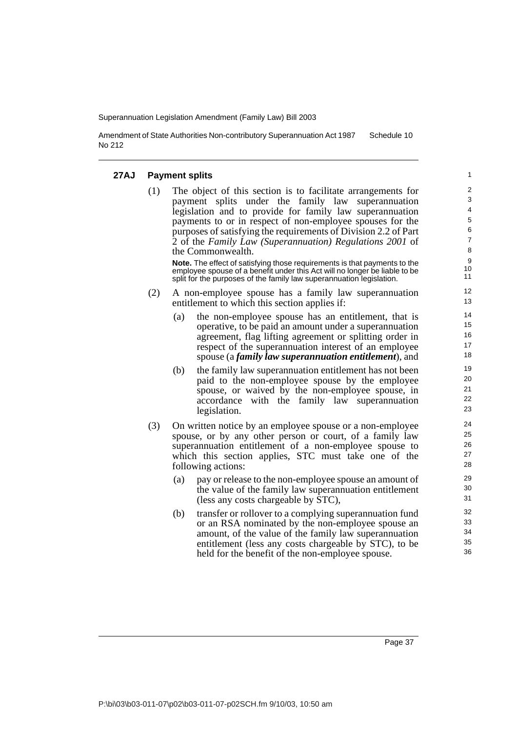Amendment of State Authorities Non-contributory Superannuation Act 1987 No 212 Schedule 10

## **27AJ Payment splits**

(1) The object of this section is to facilitate arrangements for payment splits under the family law superannuation legislation and to provide for family law superannuation payments to or in respect of non-employee spouses for the purposes of satisfying the requirements of Division 2.2 of Part 2 of the *Family Law (Superannuation) Regulations 2001* of the Commonwealth.

**Note.** The effect of satisfying those requirements is that payments to the employee spouse of a benefit under this Act will no longer be liable to be split for the purposes of the family law superannuation legislation.

- (2) A non-employee spouse has a family law superannuation entitlement to which this section applies if:
	- (a) the non-employee spouse has an entitlement, that is operative, to be paid an amount under a superannuation agreement, flag lifting agreement or splitting order in respect of the superannuation interest of an employee spouse (a *family law superannuation entitlement*), and
	- (b) the family law superannuation entitlement has not been paid to the non-employee spouse by the employee spouse, or waived by the non-employee spouse, in accordance with the family law superannuation legislation.
- (3) On written notice by an employee spouse or a non-employee spouse, or by any other person or court, of a family law superannuation entitlement of a non-employee spouse to which this section applies, STC must take one of the following actions:
	- (a) pay or release to the non-employee spouse an amount of the value of the family law superannuation entitlement (less any costs chargeable by STC),
	- (b) transfer or rollover to a complying superannuation fund or an RSA nominated by the non-employee spouse an amount, of the value of the family law superannuation entitlement (less any costs chargeable by STC), to be held for the benefit of the non-employee spouse.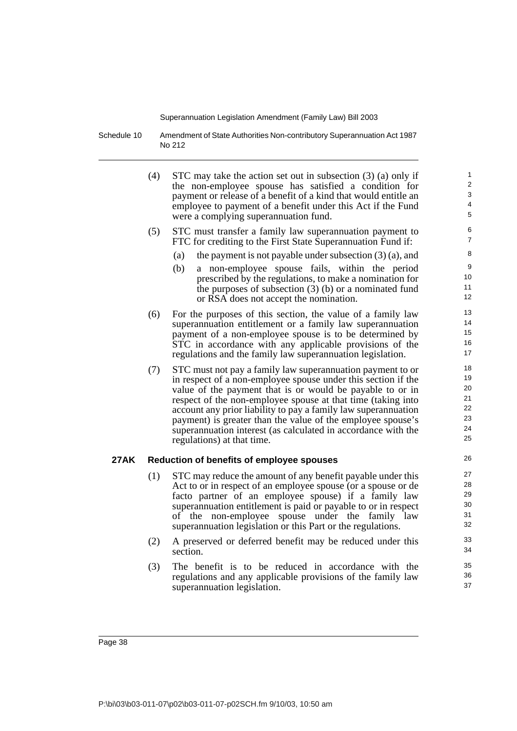Schedule 10 Amendment of State Authorities Non-contributory Superannuation Act 1987 No 212

(4) STC may take the action set out in subsection (3) (a) only if the non-employee spouse has satisfied a condition for payment or release of a benefit of a kind that would entitle an employee to payment of a benefit under this Act if the Fund were a complying superannuation fund. (5) STC must transfer a family law superannuation payment to FTC for crediting to the First State Superannuation Fund if: (a) the payment is not payable under subsection  $(3)$  (a), and (b) a non-employee spouse fails, within the period prescribed by the regulations, to make a nomination for the purposes of subsection (3) (b) or a nominated fund or RSA does not accept the nomination. (6) For the purposes of this section, the value of a family law superannuation entitlement or a family law superannuation payment of a non-employee spouse is to be determined by STC in accordance with any applicable provisions of the regulations and the family law superannuation legislation. (7) STC must not pay a family law superannuation payment to or in respect of a non-employee spouse under this section if the value of the payment that is or would be payable to or in respect of the non-employee spouse at that time (taking into account any prior liability to pay a family law superannuation payment) is greater than the value of the employee spouse's superannuation interest (as calculated in accordance with the regulations) at that time. **27AK Reduction of benefits of employee spouses** (1) STC may reduce the amount of any benefit payable under this Act to or in respect of an employee spouse (or a spouse or de facto partner of an employee spouse) if a family law superannuation entitlement is paid or payable to or in respect of the non-employee spouse under the family law superannuation legislation or this Part or the regulations. (2) A preserved or deferred benefit may be reduced under this section. (3) The benefit is to be reduced in accordance with the regulations and any applicable provisions of the family law superannuation legislation. 1  $\overline{2}$ 3 4 5 6 7 8 9 10 11 12 13 14 15 16 17 18 19  $20$ 21 22 23 24 25 26 27 28 29 30 31 32 33 34 35 36 37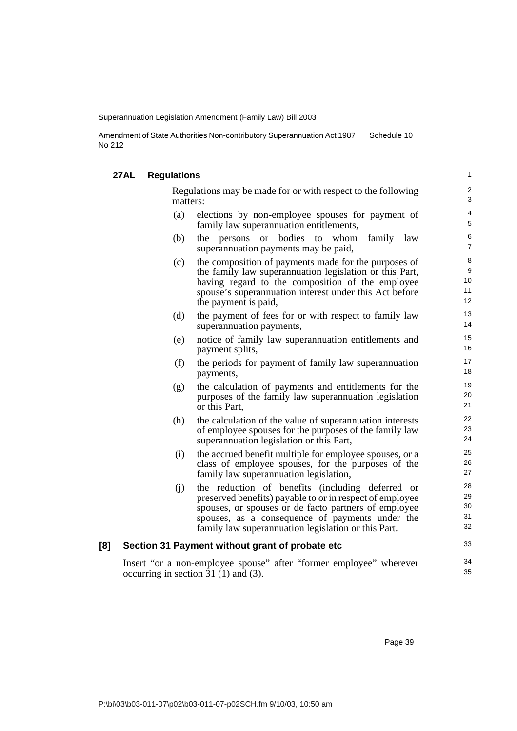Amendment of State Authorities Non-contributory Superannuation Act 1987 No 212 Schedule 10

#### **27AL Regulations** Regulations may be made for or with respect to the following matters: (a) elections by non-employee spouses for payment of family law superannuation entitlements, (b) the persons or bodies to whom family law superannuation payments may be paid, (c) the composition of payments made for the purposes of the family law superannuation legislation or this Part, having regard to the composition of the employee spouse's superannuation interest under this Act before the payment is paid, (d) the payment of fees for or with respect to family law superannuation payments, (e) notice of family law superannuation entitlements and payment splits, (f) the periods for payment of family law superannuation payments, (g) the calculation of payments and entitlements for the purposes of the family law superannuation legislation or this Part, (h) the calculation of the value of superannuation interests of employee spouses for the purposes of the family law superannuation legislation or this Part, (i) the accrued benefit multiple for employee spouses, or a class of employee spouses, for the purposes of the family law superannuation legislation, (j) the reduction of benefits (including deferred or preserved benefits) payable to or in respect of employee spouses, or spouses or de facto partners of employee spouses, as a consequence of payments under the family law superannuation legislation or this Part. **[8] Section 31 Payment without grant of probate etc** Insert "or a non-employee spouse" after "former employee" wherever occurring in section 31 (1) and (3). 1  $\mathcal{D}$ 3 4 5 6 7 8 9 10 11 12 13 14 15 16 17 18 19 20 21 22 23 24 25 26 27 28  $29$ 30 31 32 33 34 35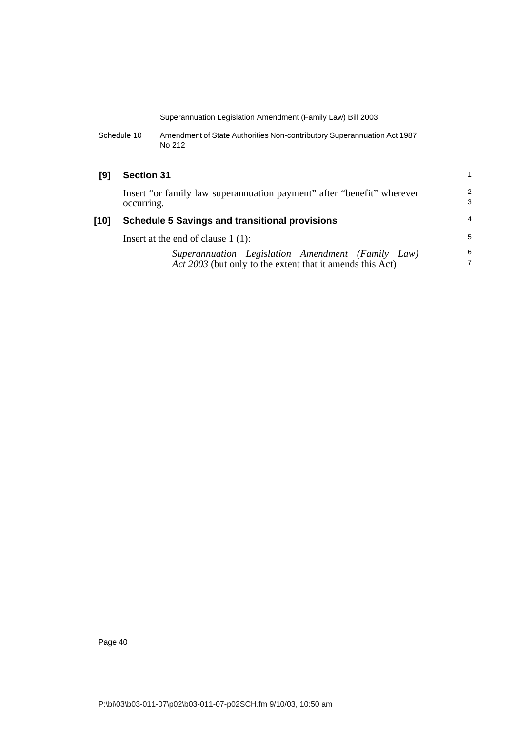Schedule 10 Amendment of State Authorities Non-contributory Superannuation Act 1987 No 212

# **[9] Section 31**

J.

|      | Insert "or family law superannuation payment" after "benefit" wherever<br>occurring.                           | 2<br>3         |
|------|----------------------------------------------------------------------------------------------------------------|----------------|
| [10] | <b>Schedule 5 Savings and transitional provisions</b>                                                          | $\overline{4}$ |
|      | Insert at the end of clause $1(1)$ :                                                                           | -5             |
|      | Superannuation Legislation Amendment (Family Law)<br>Act 2003 (but only to the extent that it amends this Act) |                |

1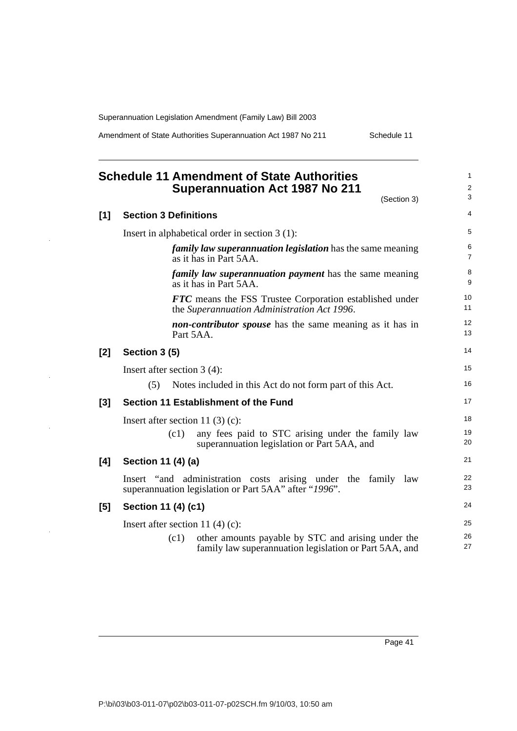Amendment of State Authorities Superannuation Act 1987 No 211 Schedule 11

|       | <b>Schedule 11 Amendment of State Authorities</b><br><b>Superannuation Act 1987 No 211</b>                             | $\mathbf{1}$<br>2   |
|-------|------------------------------------------------------------------------------------------------------------------------|---------------------|
|       | (Section 3)                                                                                                            | 3                   |
| $[1]$ | <b>Section 3 Definitions</b>                                                                                           | 4                   |
|       | Insert in alphabetical order in section $3(1)$ :                                                                       | 5                   |
|       | <i>family law superannuation legislation</i> has the same meaning<br>as it has in Part 5AA.                            | 6<br>$\overline{7}$ |
|       | <i>family law superannuation payment</i> has the same meaning<br>as it has in Part 5AA.                                | 8<br>9              |
|       | <b>FTC</b> means the FSS Trustee Corporation established under<br>the Superannuation Administration Act 1996.          | 10<br>11            |
|       | <i>non-contributor spouse</i> has the same meaning as it has in<br>Part 5AA.                                           | 12<br>13            |
| [2]   | Section 3 (5)                                                                                                          | 14                  |
|       | Insert after section $3(4)$ :                                                                                          | 15                  |
|       | (5)<br>Notes included in this Act do not form part of this Act.                                                        | 16                  |
| $[3]$ | Section 11 Establishment of the Fund                                                                                   | 17                  |
|       | Insert after section 11 $(3)(c)$ :                                                                                     | 18                  |
|       | any fees paid to STC arising under the family law<br>(c1)<br>superannuation legislation or Part 5AA, and               | 19<br>20            |
| [4]   | Section 11 (4) (a)                                                                                                     | 21                  |
|       | Insert "and administration costs arising under the family law<br>superannuation legislation or Part 5AA" after "1996". | 22<br>23            |
| [5]   | Section 11 (4) (c1)                                                                                                    | 24                  |
|       | Insert after section 11 $(4)$ $(c)$ :                                                                                  | 25                  |
|       | other amounts payable by STC and arising under the<br>(c1)<br>family law superannuation legislation or Part 5AA, and   | 26<br>27            |
|       |                                                                                                                        |                     |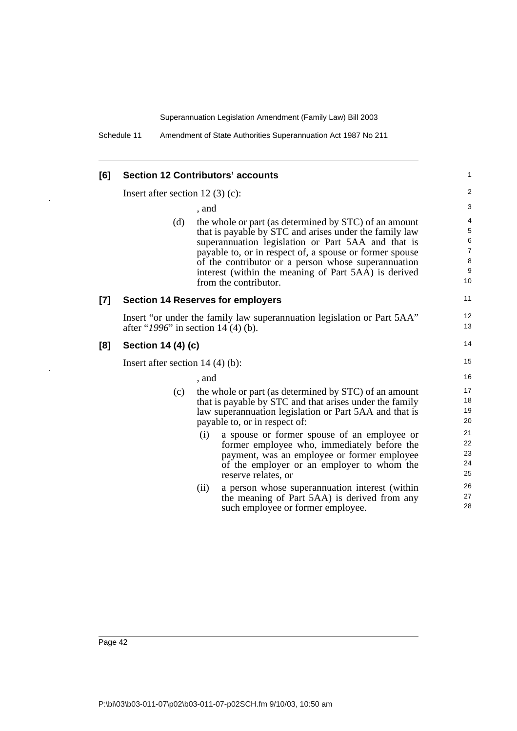| [6]   |                                       | <b>Section 12 Contributors' accounts</b>                                                                                                                                                                                                                                                                                                                                 | $\mathbf{1}$                                                                     |
|-------|---------------------------------------|--------------------------------------------------------------------------------------------------------------------------------------------------------------------------------------------------------------------------------------------------------------------------------------------------------------------------------------------------------------------------|----------------------------------------------------------------------------------|
|       | Insert after section 12 $(3)$ $(c)$ : |                                                                                                                                                                                                                                                                                                                                                                          | $\overline{2}$                                                                   |
|       |                                       | , and                                                                                                                                                                                                                                                                                                                                                                    | 3                                                                                |
|       | (d)                                   | the whole or part (as determined by STC) of an amount<br>that is payable by STC and arises under the family law<br>superannuation legislation or Part 5AA and that is<br>payable to, or in respect of, a spouse or former spouse<br>of the contributor or a person whose superannuation<br>interest (within the meaning of Part 5AA) is derived<br>from the contributor. | $\overline{\mathbf{4}}$<br>$\sqrt{5}$<br>$\,6$<br>$\overline{7}$<br>8<br>9<br>10 |
| $[7]$ |                                       | <b>Section 14 Reserves for employers</b>                                                                                                                                                                                                                                                                                                                                 | 11                                                                               |
|       |                                       | Insert "or under the family law superannuation legislation or Part 5AA"<br>after "1996" in section 14 (4) (b).                                                                                                                                                                                                                                                           | 12<br>13                                                                         |
| [8]   | Section 14 (4) (c)                    |                                                                                                                                                                                                                                                                                                                                                                          | 14                                                                               |
|       | Insert after section $14(4)(b)$ :     |                                                                                                                                                                                                                                                                                                                                                                          | 15                                                                               |
|       |                                       | , and                                                                                                                                                                                                                                                                                                                                                                    | 16                                                                               |
|       | (c)                                   | the whole or part (as determined by STC) of an amount<br>that is payable by STC and that arises under the family<br>law superannuation legislation or Part 5AA and that is<br>payable to, or in respect of:                                                                                                                                                              | 17<br>18<br>19<br>20                                                             |
|       |                                       | a spouse or former spouse of an employee or<br>(i)<br>former employee who, immediately before the<br>payment, was an employee or former employee<br>of the employer or an employer to whom the<br>reserve relates, or                                                                                                                                                    | 21<br>22<br>23<br>24<br>25                                                       |
|       |                                       | (ii)<br>a person whose superannuation interest (within<br>the meaning of Part 5AA) is derived from any<br>such employee or former employee.                                                                                                                                                                                                                              | 26<br>27<br>28                                                                   |

l,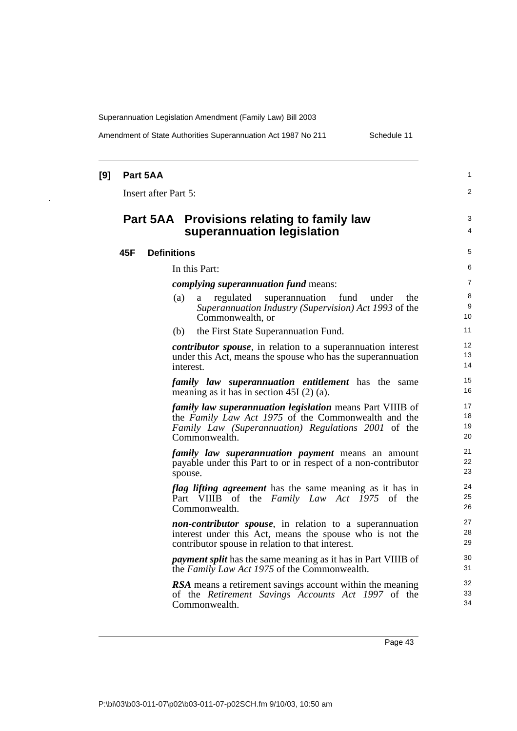Amendment of State Authorities Superannuation Act 1987 No 211 Schedule 11

| [9] |                                                                                                                                                                                                                                                             | Part 5AA           |                                                                                                                                                                                                 | $\mathbf{1}$         |
|-----|-------------------------------------------------------------------------------------------------------------------------------------------------------------------------------------------------------------------------------------------------------------|--------------------|-------------------------------------------------------------------------------------------------------------------------------------------------------------------------------------------------|----------------------|
|     | <b>Insert after Part 5:</b>                                                                                                                                                                                                                                 |                    |                                                                                                                                                                                                 | 2                    |
|     |                                                                                                                                                                                                                                                             |                    | Part 5AA Provisions relating to family law<br>superannuation legislation                                                                                                                        | 3<br>4               |
|     | 45F                                                                                                                                                                                                                                                         | <b>Definitions</b> |                                                                                                                                                                                                 | 5                    |
|     |                                                                                                                                                                                                                                                             |                    | In this Part:                                                                                                                                                                                   | 6                    |
|     |                                                                                                                                                                                                                                                             |                    | <i>complying superannuation fund</i> means:                                                                                                                                                     | $\overline{7}$       |
|     |                                                                                                                                                                                                                                                             |                    | regulated<br>superannuation fund<br>(a)<br>under<br>the<br>a<br>Superannuation Industry (Supervision) Act 1993 of the<br>Commonwealth, or                                                       | 8<br>9<br>10         |
|     |                                                                                                                                                                                                                                                             |                    | the First State Superannuation Fund.<br>(b)                                                                                                                                                     | 11                   |
|     | <i>contributor spouse</i> , in relation to a superannuation interest<br>under this Act, means the spouse who has the superannuation<br>interest.<br><i>family law superannuation entitlement</i> has the same<br>meaning as it has in section $45I(2)$ (a). |                    | 12<br>13<br>14                                                                                                                                                                                  |                      |
|     |                                                                                                                                                                                                                                                             |                    | 15<br>16                                                                                                                                                                                        |                      |
|     |                                                                                                                                                                                                                                                             |                    | <i>family law superannuation legislation</i> means Part VIIIB of<br>the Family Law Act 1975 of the Commonwealth and the<br>Family Law (Superannuation) Regulations 2001 of the<br>Commonwealth. | 17<br>18<br>19<br>20 |
|     |                                                                                                                                                                                                                                                             |                    | family law superannuation payment means an amount<br>payable under this Part to or in respect of a non-contributor<br>spouse.                                                                   | 21<br>22<br>23       |
|     |                                                                                                                                                                                                                                                             |                    | <i>flag lifting agreement</i> has the same meaning as it has in<br>Part VIIIB of the Family Law Act 1975 of the<br>Commonwealth.                                                                | 24<br>25<br>26       |
|     |                                                                                                                                                                                                                                                             |                    | <i>non-contributor spouse</i> , in relation to a superannuation<br>interest under this Act, means the spouse who is not the<br>contributor spouse in relation to that interest.                 | 27<br>28<br>29       |
|     |                                                                                                                                                                                                                                                             |                    | <i>payment split</i> has the same meaning as it has in Part VIIIB of<br>the Family Law Act 1975 of the Commonwealth.                                                                            | 30<br>31             |
|     |                                                                                                                                                                                                                                                             |                    | <b>RSA</b> means a retirement savings account within the meaning<br>of the Retirement Savings Accounts Act 1997 of the<br>Commonwealth.                                                         | 32<br>33<br>34       |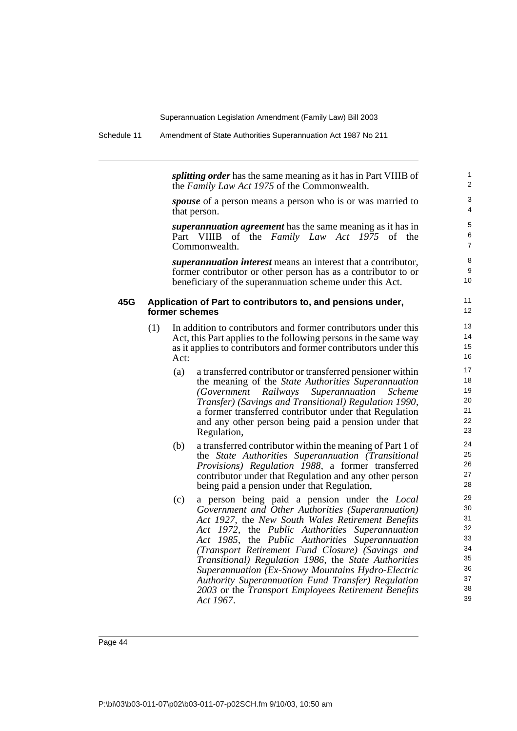#### Schedule 11 Amendment of State Authorities Superannuation Act 1987 No 211

*splitting order* has the same meaning as it has in Part VIIIB of the *Family Law Act 1975* of the Commonwealth.

*spouse* of a person means a person who is or was married to that person.

*superannuation agreement* has the same meaning as it has in Part VIIIB of the *Family Law Act 1975* of the Commonwealth.

*superannuation interest* means an interest that a contributor, former contributor or other person has as a contributor to or beneficiary of the superannuation scheme under this Act.

#### **45G Application of Part to contributors to, and pensions under, former schemes**

- (1) In addition to contributors and former contributors under this Act, this Part applies to the following persons in the same way as it applies to contributors and former contributors under this Act:
	- (a) a transferred contributor or transferred pensioner within the meaning of the *State Authorities Superannuation (Government Railways Superannuation Scheme Transfer) (Savings and Transitional) Regulation 1990*, a former transferred contributor under that Regulation and any other person being paid a pension under that Regulation,
	- (b) a transferred contributor within the meaning of Part 1 of the *State Authorities Superannuation (Transitional Provisions) Regulation 1988*, a former transferred contributor under that Regulation and any other person being paid a pension under that Regulation,
	- (c) a person being paid a pension under the *Local Government and Other Authorities (Superannuation) Act 1927*, the *New South Wales Retirement Benefits Act 1972*, the *Public Authorities Superannuation Act 1985*, the *Public Authorities Superannuation (Transport Retirement Fund Closure) (Savings and Transitional) Regulation 1986*, the *State Authorities Superannuation (Ex-Snowy Mountains Hydro-Electric Authority Superannuation Fund Transfer) Regulation 2003* or the *Transport Employees Retirement Benefits Act 1967*.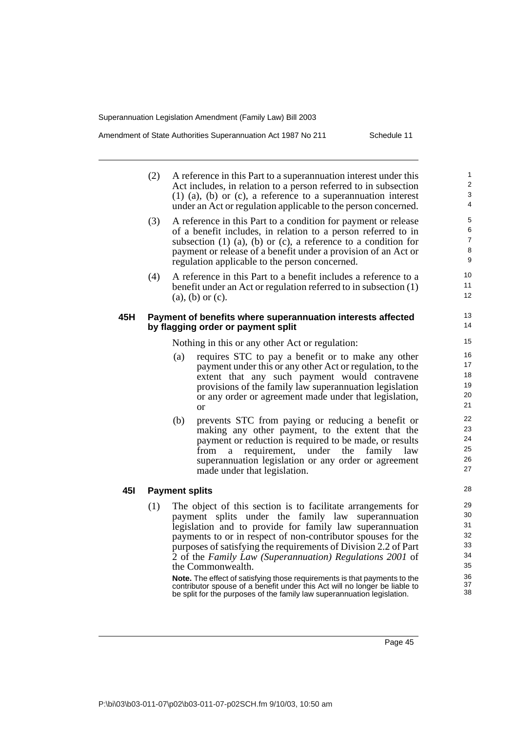Amendment of State Authorities Superannuation Act 1987 No 211 Schedule 11

|            | (2) | A reference in this Part to a superannuation interest under this<br>Act includes, in relation to a person referred to in subsection<br>$(1)$ (a), (b) or (c), a reference to a superannuation interest<br>under an Act or regulation applicable to the person concerned.                                                                                                                                                                                                                                                                                      | 1<br>$\overline{2}$<br>3<br>4                      |
|------------|-----|---------------------------------------------------------------------------------------------------------------------------------------------------------------------------------------------------------------------------------------------------------------------------------------------------------------------------------------------------------------------------------------------------------------------------------------------------------------------------------------------------------------------------------------------------------------|----------------------------------------------------|
|            | (3) | A reference in this Part to a condition for payment or release<br>of a benefit includes, in relation to a person referred to in<br>subsection $(1)$ $(a)$ , $(b)$ or $(c)$ , a reference to a condition for<br>payment or release of a benefit under a provision of an Act or<br>regulation applicable to the person concerned.                                                                                                                                                                                                                               | 5<br>6<br>7<br>8<br>9                              |
|            | (4) | A reference in this Part to a benefit includes a reference to a<br>benefit under an Act or regulation referred to in subsection (1)<br>$(a)$ , $(b)$ or $(c)$ .                                                                                                                                                                                                                                                                                                                                                                                               | 10<br>11<br>12                                     |
| 45H        |     | Payment of benefits where superannuation interests affected<br>by flagging order or payment split                                                                                                                                                                                                                                                                                                                                                                                                                                                             | 13<br>14                                           |
|            |     | Nothing in this or any other Act or regulation:                                                                                                                                                                                                                                                                                                                                                                                                                                                                                                               | 15                                                 |
|            |     | (a)<br>requires STC to pay a benefit or to make any other<br>payment under this or any other Act or regulation, to the<br>extent that any such payment would contravene<br>provisions of the family law superannuation legislation<br>or any order or agreement made under that legislation,<br>or                                                                                                                                                                                                                                                            | 16<br>17<br>18<br>19<br>20<br>21                   |
|            |     | (b)<br>prevents STC from paying or reducing a benefit or<br>making any other payment, to the extent that the<br>payment or reduction is required to be made, or results<br>from<br>under<br>family<br>requirement,<br>the<br>law<br>a<br>superannuation legislation or any order or agreement<br>made under that legislation.                                                                                                                                                                                                                                 | 22<br>23<br>24<br>25<br>26<br>27                   |
| <b>451</b> |     | <b>Payment splits</b>                                                                                                                                                                                                                                                                                                                                                                                                                                                                                                                                         | 28                                                 |
|            | (1) | The object of this section is to facilitate arrangements for<br>payment splits under the family law superannuation<br>legislation and to provide for family law superannuation<br>payments to or in respect of non-contributor spouses for the<br>purposes of satisfying the requirements of Division 2.2 of Part<br>2 of the Family Law (Superannuation) Regulations 2001 of<br>the Commonwealth.<br>Note. The effect of satisfying those requirements is that payments to the<br>contributor spouse of a benefit under this Act will no longer be liable to | 29<br>30<br>31<br>32<br>33<br>34<br>35<br>36<br>37 |

be split for the purposes of the family law superannuation legislation.

Page 45

38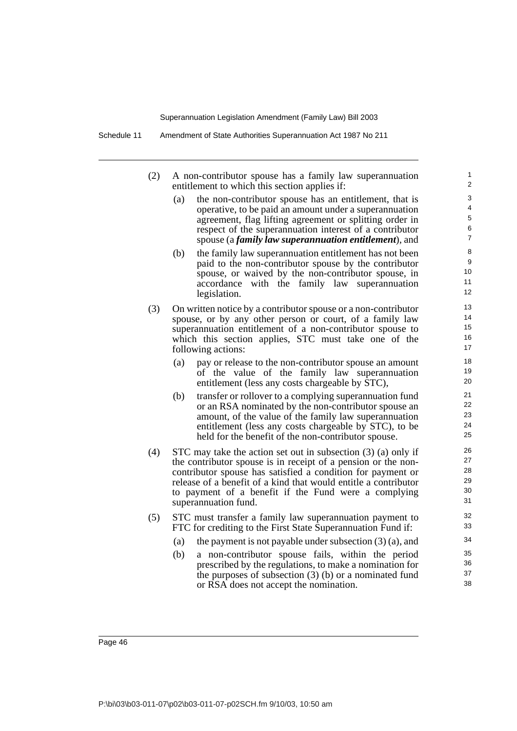Schedule 11 Amendment of State Authorities Superannuation Act 1987 No 211

- (2) A non-contributor spouse has a family law superannuation entitlement to which this section applies if:
	- (a) the non-contributor spouse has an entitlement, that is operative, to be paid an amount under a superannuation agreement, flag lifting agreement or splitting order in respect of the superannuation interest of a contributor spouse (a *family law superannuation entitlement*), and

- (b) the family law superannuation entitlement has not been paid to the non-contributor spouse by the contributor spouse, or waived by the non-contributor spouse, in accordance with the family law superannuation legislation.
- (3) On written notice by a contributor spouse or a non-contributor spouse, or by any other person or court, of a family law superannuation entitlement of a non-contributor spouse to which this section applies, STC must take one of the following actions:
	- (a) pay or release to the non-contributor spouse an amount of the value of the family law superannuation entitlement (less any costs chargeable by STC),
	- (b) transfer or rollover to a complying superannuation fund or an RSA nominated by the non-contributor spouse an amount, of the value of the family law superannuation entitlement (less any costs chargeable by STC), to be held for the benefit of the non-contributor spouse.
- (4) STC may take the action set out in subsection (3) (a) only if the contributor spouse is in receipt of a pension or the noncontributor spouse has satisfied a condition for payment or release of a benefit of a kind that would entitle a contributor to payment of a benefit if the Fund were a complying superannuation fund.
- (5) STC must transfer a family law superannuation payment to FTC for crediting to the First State Superannuation Fund if:
	- (a) the payment is not payable under subsection  $(3)$  (a), and
	- (b) a non-contributor spouse fails, within the period prescribed by the regulations, to make a nomination for the purposes of subsection (3) (b) or a nominated fund or RSA does not accept the nomination.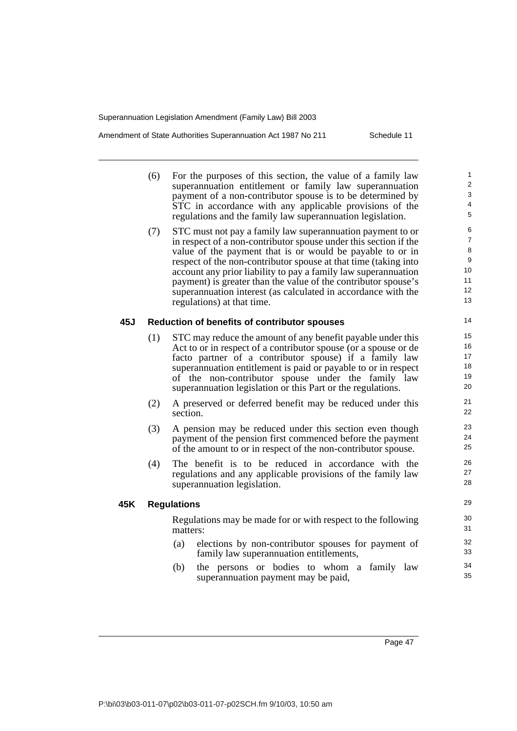Amendment of State Authorities Superannuation Act 1987 No 211 Schedule 11

|     | (6) | For the purposes of this section, the value of a family law                                 | 1              |
|-----|-----|---------------------------------------------------------------------------------------------|----------------|
|     |     | superannuation entitlement or family law superannuation                                     | 2              |
|     |     | payment of a non-contributor spouse is to be determined by                                  | $\mathbf{3}$   |
|     |     | STC in accordance with any applicable provisions of the                                     | 4              |
|     |     | regulations and the family law superannuation legislation.                                  | 5              |
|     | (7) | STC must not pay a family law superannuation payment to or                                  | 6              |
|     |     | in respect of a non-contributor spouse under this section if the                            | $\overline{7}$ |
|     |     | value of the payment that is or would be payable to or in                                   | $\,8\,$        |
|     |     | respect of the non-contributor spouse at that time (taking into                             | 9<br>10        |
|     |     | account any prior liability to pay a family law superannuation                              | 11             |
|     |     | payment) is greater than the value of the contributor spouse's                              | 12             |
|     |     | superannuation interest (as calculated in accordance with the<br>regulations) at that time. | 13             |
|     |     |                                                                                             |                |
| 45J |     | Reduction of benefits of contributor spouses                                                | 14             |
|     | (1) | STC may reduce the amount of any benefit payable under this                                 | 15             |
|     |     | Act to or in respect of a contributor spouse (or a spouse or de                             | 16             |
|     |     | facto partner of a contributor spouse) if a family law                                      | 17             |
|     |     | superannuation entitlement is paid or payable to or in respect                              | 18             |
|     |     | of the non-contributor spouse under the family law                                          | 19             |
|     |     | superannuation legislation or this Part or the regulations.                                 | 20             |
|     | (2) | A preserved or deferred benefit may be reduced under this                                   | 21             |
|     |     | section.                                                                                    | 22             |
|     | (3) | A pension may be reduced under this section even though                                     | 23             |
|     |     | payment of the pension first commenced before the payment                                   | 24             |
|     |     | of the amount to or in respect of the non-contributor spouse.                               | 25             |
|     | (4) | The benefit is to be reduced in accordance with the                                         | 26             |
|     |     | regulations and any applicable provisions of the family law                                 | 27             |
|     |     | superannuation legislation.                                                                 | 28             |
| 45K |     | <b>Regulations</b>                                                                          | 29             |
|     |     | Regulations may be made for or with respect to the following                                | 30             |
|     |     | matters:                                                                                    | 31             |
|     |     | (a)<br>elections by non-contributor spouses for payment of                                  | 32             |
|     |     | family law superannuation entitlements,                                                     | 33             |
|     |     | the persons or bodies to whom a family law<br>(b)                                           | 34             |
|     |     | superannuation payment may be paid,                                                         | 35             |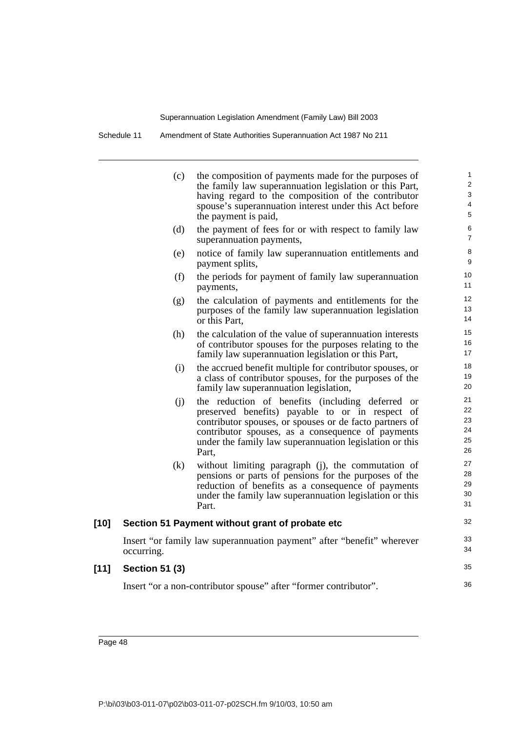Schedule 11 Amendment of State Authorities Superannuation Act 1987 No 211

|        | (c)                   | the composition of payments made for the purposes of<br>the family law superannuation legislation or this Part,<br>having regard to the composition of the contributor<br>spouse's superannuation interest under this Act before<br>the payment is paid,                                | $\mathbf{1}$<br>$\overline{2}$<br>$\ensuremath{\mathsf{3}}$<br>4<br>$\,$ 5 $\,$ |
|--------|-----------------------|-----------------------------------------------------------------------------------------------------------------------------------------------------------------------------------------------------------------------------------------------------------------------------------------|---------------------------------------------------------------------------------|
|        | (d)                   | the payment of fees for or with respect to family law<br>superannuation payments,                                                                                                                                                                                                       | 6<br>7                                                                          |
|        | (e)                   | notice of family law superannuation entitlements and<br>payment splits,                                                                                                                                                                                                                 | $\,8\,$<br>9                                                                    |
|        | (f)                   | the periods for payment of family law superannuation<br>payments,                                                                                                                                                                                                                       | 10<br>11                                                                        |
|        | (g)                   | the calculation of payments and entitlements for the<br>purposes of the family law superannuation legislation<br>or this Part,                                                                                                                                                          | 12<br>13<br>14                                                                  |
|        | (h)                   | the calculation of the value of superannuation interests<br>of contributor spouses for the purposes relating to the<br>family law superannuation legislation or this Part,                                                                                                              | 15<br>16<br>17                                                                  |
|        | (i)                   | the accrued benefit multiple for contributor spouses, or<br>a class of contributor spouses, for the purposes of the<br>family law superannuation legislation,                                                                                                                           | 18<br>19<br>20                                                                  |
|        | (j)                   | the reduction of benefits (including deferred or<br>preserved benefits) payable to or in respect of<br>contributor spouses, or spouses or de facto partners of<br>contributor spouses, as a consequence of payments<br>under the family law superannuation legislation or this<br>Part, | 21<br>22<br>23<br>24<br>25<br>26                                                |
|        | (k)                   | without limiting paragraph (j), the commutation of<br>pensions or parts of pensions for the purposes of the<br>reduction of benefits as a consequence of payments<br>under the family law superannuation legislation or this<br>Part.                                                   | 27<br>28<br>29<br>30<br>31                                                      |
| [10]   |                       | Section 51 Payment without grant of probate etc                                                                                                                                                                                                                                         | 32                                                                              |
|        | occurring.            | Insert "or family law superannuation payment" after "benefit" wherever                                                                                                                                                                                                                  | 33<br>34                                                                        |
| $[11]$ | <b>Section 51 (3)</b> |                                                                                                                                                                                                                                                                                         | 35                                                                              |
|        |                       | Insert "or a non-contributor spouse" after "former contributor".                                                                                                                                                                                                                        | 36                                                                              |

Page 48

 $[11]$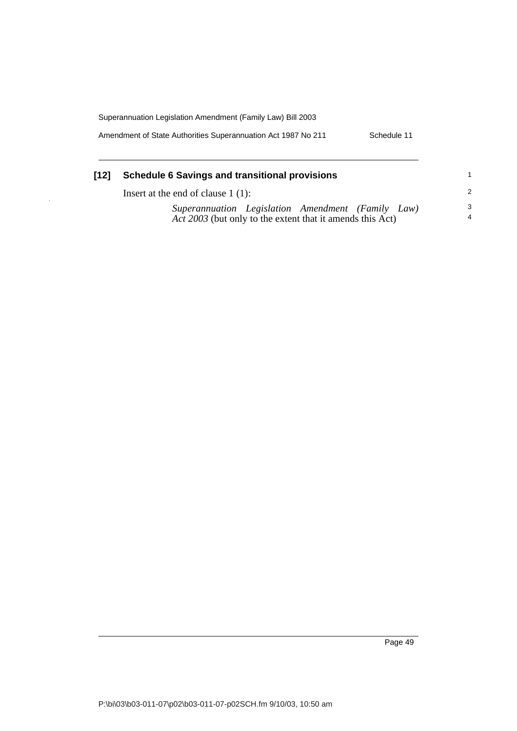Amendment of State Authorities Superannuation Act 1987 No 211 Schedule 11

| [12] | <b>Schedule 6 Savings and transitional provisions</b><br>Insert at the end of clause $1(1)$ :                  |                     |  |
|------|----------------------------------------------------------------------------------------------------------------|---------------------|--|
|      |                                                                                                                |                     |  |
|      | Superannuation Legislation Amendment (Family Law)<br>Act 2003 (but only to the extent that it amends this Act) | 3<br>$\overline{4}$ |  |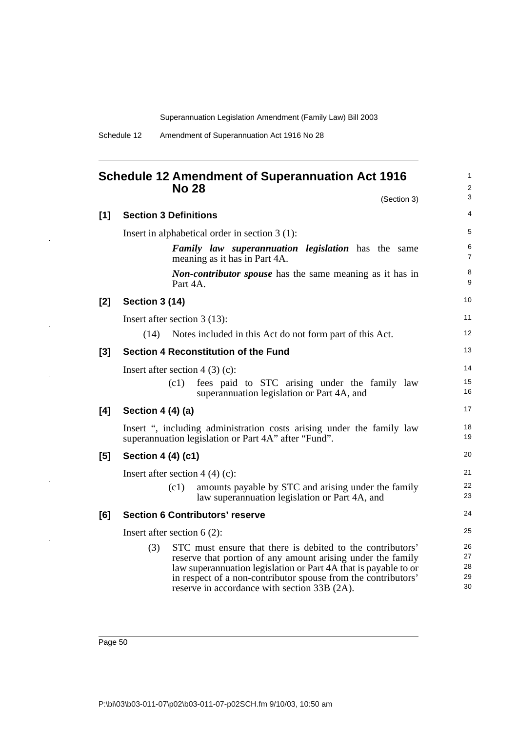Schedule 12 Amendment of Superannuation Act 1916 No 28

| <b>Schedule 12 Amendment of Superannuation Act 1916</b><br><b>No 28</b><br>(Section 3)<br><b>Section 3 Definitions</b><br>[1]<br>Insert in alphabetical order in section $3(1)$ :<br><b>Family law superannuation legislation</b> has the same<br>meaning as it has in Part 4A.<br><b>Non-contributor spouse</b> has the same meaning as it has in<br>Part 4A.<br>[2]<br><b>Section 3 (14)</b><br>Insert after section $3(13)$ :<br>Notes included in this Act do not form part of this Act.<br>(14)<br>Section 4 Reconstitution of the Fund<br>[3]<br>Insert after section $4(3)(c)$ :<br>(c1)<br>fees paid to STC arising under the family law<br>superannuation legislation or Part 4A, and<br>[4]<br>Section $4(4)(a)$<br>Insert ", including administration costs arising under the family law<br>superannuation legislation or Part 4A" after "Fund".<br>[5]<br>Section 4 (4) (c1)<br>Insert after section $4(4)(c)$ :<br>(c1)<br>amounts payable by STC and arising under the family<br>law superannuation legislation or Part 4A, and<br>[6]<br><b>Section 6 Contributors' reserve</b><br>Insert after section $6(2)$ :<br>STC must ensure that there is debited to the contributors'<br>(3)<br>reserve that portion of any amount arising under the family<br>law superannuation legislation or Part 4A that is payable to or |                                                               |                              |  |
|----------------------------------------------------------------------------------------------------------------------------------------------------------------------------------------------------------------------------------------------------------------------------------------------------------------------------------------------------------------------------------------------------------------------------------------------------------------------------------------------------------------------------------------------------------------------------------------------------------------------------------------------------------------------------------------------------------------------------------------------------------------------------------------------------------------------------------------------------------------------------------------------------------------------------------------------------------------------------------------------------------------------------------------------------------------------------------------------------------------------------------------------------------------------------------------------------------------------------------------------------------------------------------------------------------------------------------------|---------------------------------------------------------------|------------------------------|--|
|                                                                                                                                                                                                                                                                                                                                                                                                                                                                                                                                                                                                                                                                                                                                                                                                                                                                                                                                                                                                                                                                                                                                                                                                                                                                                                                                        |                                                               | 1<br>$\overline{\mathbf{c}}$ |  |
|                                                                                                                                                                                                                                                                                                                                                                                                                                                                                                                                                                                                                                                                                                                                                                                                                                                                                                                                                                                                                                                                                                                                                                                                                                                                                                                                        |                                                               |                              |  |
|                                                                                                                                                                                                                                                                                                                                                                                                                                                                                                                                                                                                                                                                                                                                                                                                                                                                                                                                                                                                                                                                                                                                                                                                                                                                                                                                        |                                                               | 4                            |  |
|                                                                                                                                                                                                                                                                                                                                                                                                                                                                                                                                                                                                                                                                                                                                                                                                                                                                                                                                                                                                                                                                                                                                                                                                                                                                                                                                        |                                                               | 5                            |  |
|                                                                                                                                                                                                                                                                                                                                                                                                                                                                                                                                                                                                                                                                                                                                                                                                                                                                                                                                                                                                                                                                                                                                                                                                                                                                                                                                        |                                                               | 6<br>$\overline{7}$          |  |
|                                                                                                                                                                                                                                                                                                                                                                                                                                                                                                                                                                                                                                                                                                                                                                                                                                                                                                                                                                                                                                                                                                                                                                                                                                                                                                                                        |                                                               | 8<br>9                       |  |
|                                                                                                                                                                                                                                                                                                                                                                                                                                                                                                                                                                                                                                                                                                                                                                                                                                                                                                                                                                                                                                                                                                                                                                                                                                                                                                                                        |                                                               | 10                           |  |
|                                                                                                                                                                                                                                                                                                                                                                                                                                                                                                                                                                                                                                                                                                                                                                                                                                                                                                                                                                                                                                                                                                                                                                                                                                                                                                                                        |                                                               | 11                           |  |
|                                                                                                                                                                                                                                                                                                                                                                                                                                                                                                                                                                                                                                                                                                                                                                                                                                                                                                                                                                                                                                                                                                                                                                                                                                                                                                                                        |                                                               | 12                           |  |
|                                                                                                                                                                                                                                                                                                                                                                                                                                                                                                                                                                                                                                                                                                                                                                                                                                                                                                                                                                                                                                                                                                                                                                                                                                                                                                                                        |                                                               | 13                           |  |
|                                                                                                                                                                                                                                                                                                                                                                                                                                                                                                                                                                                                                                                                                                                                                                                                                                                                                                                                                                                                                                                                                                                                                                                                                                                                                                                                        |                                                               | 14                           |  |
|                                                                                                                                                                                                                                                                                                                                                                                                                                                                                                                                                                                                                                                                                                                                                                                                                                                                                                                                                                                                                                                                                                                                                                                                                                                                                                                                        |                                                               | 15<br>16                     |  |
|                                                                                                                                                                                                                                                                                                                                                                                                                                                                                                                                                                                                                                                                                                                                                                                                                                                                                                                                                                                                                                                                                                                                                                                                                                                                                                                                        |                                                               | 17                           |  |
|                                                                                                                                                                                                                                                                                                                                                                                                                                                                                                                                                                                                                                                                                                                                                                                                                                                                                                                                                                                                                                                                                                                                                                                                                                                                                                                                        |                                                               | 18<br>19                     |  |
|                                                                                                                                                                                                                                                                                                                                                                                                                                                                                                                                                                                                                                                                                                                                                                                                                                                                                                                                                                                                                                                                                                                                                                                                                                                                                                                                        |                                                               | 20                           |  |
|                                                                                                                                                                                                                                                                                                                                                                                                                                                                                                                                                                                                                                                                                                                                                                                                                                                                                                                                                                                                                                                                                                                                                                                                                                                                                                                                        |                                                               | 21                           |  |
|                                                                                                                                                                                                                                                                                                                                                                                                                                                                                                                                                                                                                                                                                                                                                                                                                                                                                                                                                                                                                                                                                                                                                                                                                                                                                                                                        |                                                               | 22<br>23                     |  |
|                                                                                                                                                                                                                                                                                                                                                                                                                                                                                                                                                                                                                                                                                                                                                                                                                                                                                                                                                                                                                                                                                                                                                                                                                                                                                                                                        |                                                               | 24                           |  |
|                                                                                                                                                                                                                                                                                                                                                                                                                                                                                                                                                                                                                                                                                                                                                                                                                                                                                                                                                                                                                                                                                                                                                                                                                                                                                                                                        |                                                               | 25                           |  |
| reserve in accordance with section 33B (2A).                                                                                                                                                                                                                                                                                                                                                                                                                                                                                                                                                                                                                                                                                                                                                                                                                                                                                                                                                                                                                                                                                                                                                                                                                                                                                           | in respect of a non-contributor spouse from the contributors' | 26<br>27<br>28<br>29<br>30   |  |

Page 50

 $\hat{\mathcal{A}}$ 

 $\bar{z}$ 

 $\bar{\mathcal{A}}$ 

 $\frac{1}{2}$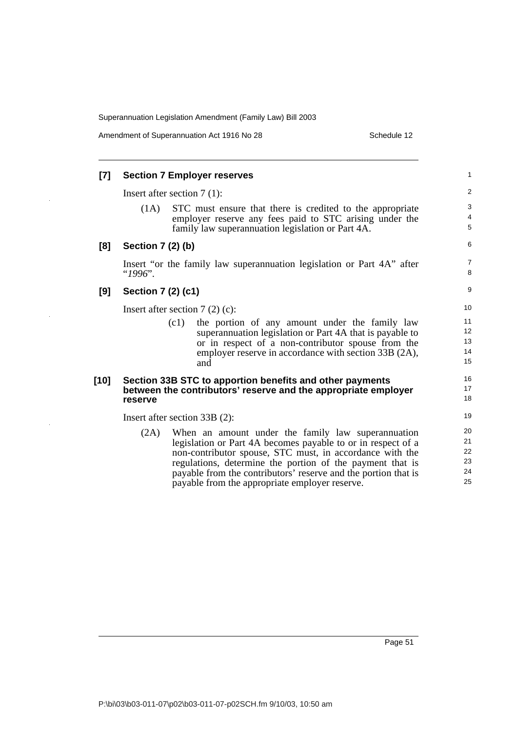Amendment of Superannuation Act 1916 No 28 Schedule 12

#### **[7] Section 7 Employer reserves** Insert after section 7 (1): (1A) STC must ensure that there is credited to the appropriate employer reserve any fees paid to STC arising under the family law superannuation legislation or Part 4A. **[8] Section 7 (2) (b)** Insert "or the family law superannuation legislation or Part 4A" after "*1996*". **[9] Section 7 (2) (c1)** Insert after section 7 (2) (c): (c1) the portion of any amount under the family law superannuation legislation or Part 4A that is payable to or in respect of a non-contributor spouse from the employer reserve in accordance with section 33B (2A), and **[10] Section 33B STC to apportion benefits and other payments between the contributors' reserve and the appropriate employer reserve** Insert after section 33B (2): (2A) When an amount under the family law superannuation legislation or Part 4A becomes payable to or in respect of a non-contributor spouse, STC must, in accordance with the regulations, determine the portion of the payment that is payable from the contributors' reserve and the portion that is payable from the appropriate employer reserve. 1  $\overline{2}$ 3 4 5 6 7 8 9 10 11 12 13 14 15 16 17 18 19 20 21 22 23 24 25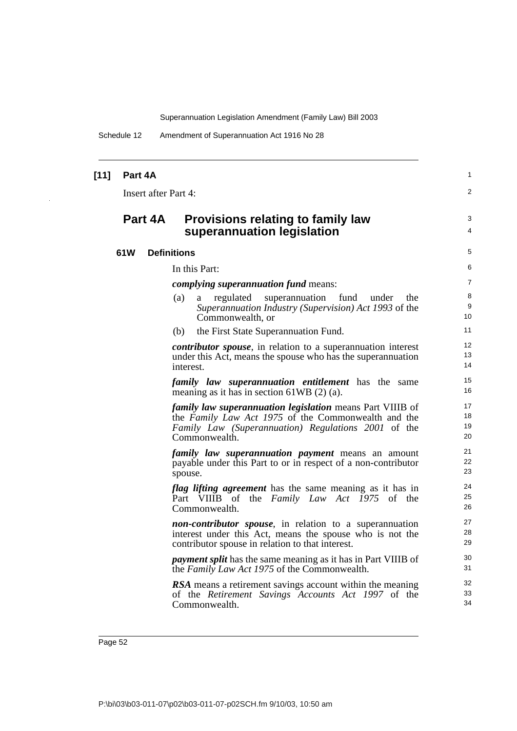Schedule 12 Amendment of Superannuation Act 1916 No 28

| [11] | Part 4A        |  |                                                                                                                                                                                                 | 1                    |
|------|----------------|--|-------------------------------------------------------------------------------------------------------------------------------------------------------------------------------------------------|----------------------|
|      |                |  | <b>Insert after Part 4:</b>                                                                                                                                                                     | 2                    |
|      | <b>Part 4A</b> |  | <b>Provisions relating to family law</b><br>superannuation legislation                                                                                                                          | 3<br>4               |
|      | 61W            |  | <b>Definitions</b>                                                                                                                                                                              | 5                    |
|      |                |  | In this Part:                                                                                                                                                                                   | 6                    |
|      |                |  | <i>complying superannuation fund</i> means:                                                                                                                                                     | 7                    |
|      |                |  | regulated superannuation fund<br>(a)<br>under<br>the<br>a<br>Superannuation Industry (Supervision) Act 1993 of the<br>Commonwealth, or                                                          | 8<br>9<br>10         |
|      |                |  | the First State Superannuation Fund.<br>(b)                                                                                                                                                     | 11                   |
|      |                |  | <i>contributor spouse</i> , in relation to a superannuation interest<br>under this Act, means the spouse who has the superannuation<br>interest.                                                | 12<br>13<br>14       |
|      |                |  | <i>family law superannuation entitlement</i> has the same<br>meaning as it has in section $61WB$ (2) (a).                                                                                       | 15<br>16             |
|      |                |  | <i>family law superannuation legislation</i> means Part VIIIB of<br>the Family Law Act 1975 of the Commonwealth and the<br>Family Law (Superannuation) Regulations 2001 of the<br>Commonwealth. | 17<br>18<br>19<br>20 |
|      |                |  | <i>family law superannuation payment</i> means an amount<br>payable under this Part to or in respect of a non-contributor<br>spouse.                                                            | 21<br>22<br>23       |
|      |                |  | <i>flag lifting agreement</i> has the same meaning as it has in<br>Part VIIIB of the Family Law Act 1975 of the<br>Commonwealth.                                                                | 24<br>25<br>26       |
|      |                |  | <i>non-contributor spouse</i> , in relation to a superannuation<br>interest under this Act, means the spouse who is not the<br>contributor spouse in relation to that interest.                 | 27<br>28<br>29       |
|      |                |  | <i>payment split</i> has the same meaning as it has in Part VIIIB of<br>the Family Law Act 1975 of the Commonwealth.                                                                            | 30<br>31             |
|      |                |  | <b>RSA</b> means a retirement savings account within the meaning<br>of the Retirement Savings Accounts Act 1997 of the<br>Commonwealth.                                                         | 32<br>33<br>34       |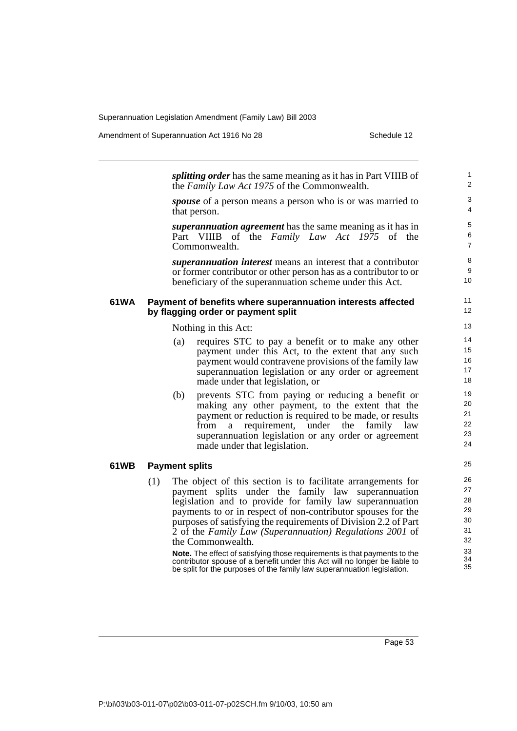*splitting order* has the same meaning as it has in Part VIIIB of the *Family Law Act 1975* of the Commonwealth. *spouse* of a person means a person who is or was married to that person. *superannuation agreement* has the same meaning as it has in Part VIIIB of the *Family Law Act 1975* of the Commonwealth. *superannuation interest* means an interest that a contributor or former contributor or other person has as a contributor to or beneficiary of the superannuation scheme under this Act. **61WA Payment of benefits where superannuation interests affected by flagging order or payment split** Nothing in this Act: (a) requires STC to pay a benefit or to make any other payment under this Act, to the extent that any such payment would contravene provisions of the family law superannuation legislation or any order or agreement made under that legislation, or (b) prevents STC from paying or reducing a benefit or making any other payment, to the extent that the payment or reduction is required to be made, or results from a requirement, under the family law superannuation legislation or any order or agreement made under that legislation. **61WB Payment splits** (1) The object of this section is to facilitate arrangements for payment splits under the family law superannuation legislation and to provide for family law superannuation payments to or in respect of non-contributor spouses for the purposes of satisfying the requirements of Division 2.2 of Part 2 of the *Family Law (Superannuation) Regulations 2001* of the Commonwealth. **Note.** The effect of satisfying those requirements is that payments to the contributor spouse of a benefit under this Act will no longer be liable to be split for the purposes of the family law superannuation legislation. 1  $\mathfrak{p}$ 3 4 5 6 7 8 9 10 11 12 13 14 15 16 17 18 19  $20$ 21 22 23 24 25 26 27 28 29 30 31 32 33 34 35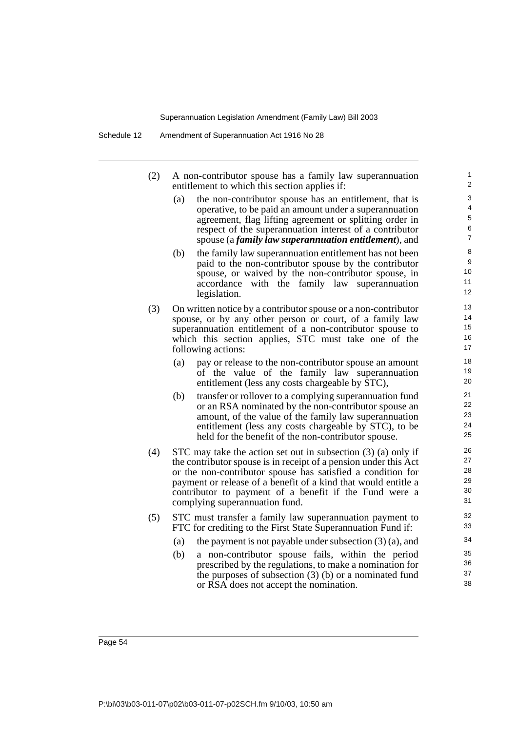- (2) A non-contributor spouse has a family law superannuation entitlement to which this section applies if:
	- (a) the non-contributor spouse has an entitlement, that is operative, to be paid an amount under a superannuation agreement, flag lifting agreement or splitting order in respect of the superannuation interest of a contributor spouse (a *family law superannuation entitlement*), and

- (b) the family law superannuation entitlement has not been paid to the non-contributor spouse by the contributor spouse, or waived by the non-contributor spouse, in accordance with the family law superannuation legislation.
- (3) On written notice by a contributor spouse or a non-contributor spouse, or by any other person or court, of a family law superannuation entitlement of a non-contributor spouse to which this section applies, STC must take one of the following actions:
	- (a) pay or release to the non-contributor spouse an amount of the value of the family law superannuation entitlement (less any costs chargeable by STC),
	- (b) transfer or rollover to a complying superannuation fund or an RSA nominated by the non-contributor spouse an amount, of the value of the family law superannuation entitlement (less any costs chargeable by STC), to be held for the benefit of the non-contributor spouse.
- (4) STC may take the action set out in subsection (3) (a) only if the contributor spouse is in receipt of a pension under this Act or the non-contributor spouse has satisfied a condition for payment or release of a benefit of a kind that would entitle a contributor to payment of a benefit if the Fund were a complying superannuation fund.
- (5) STC must transfer a family law superannuation payment to FTC for crediting to the First State Superannuation Fund if:
	- (a) the payment is not payable under subsection  $(3)$  (a), and
	- (b) a non-contributor spouse fails, within the period prescribed by the regulations, to make a nomination for the purposes of subsection (3) (b) or a nominated fund or RSA does not accept the nomination.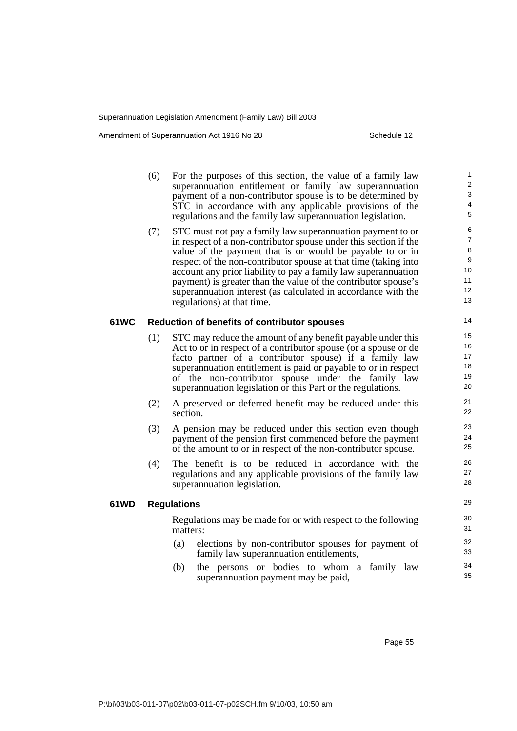Amendment of Superannuation Act 1916 No 28 Schedule 12

|             | (6)                                          | For the purposes of this section, the value of a family law              | 1              |  |  |
|-------------|----------------------------------------------|--------------------------------------------------------------------------|----------------|--|--|
|             |                                              | superannuation entitlement or family law superannuation                  | 2              |  |  |
|             |                                              | payment of a non-contributor spouse is to be determined by               | $\mathsf 3$    |  |  |
|             |                                              | STC in accordance with any applicable provisions of the                  | 4<br>5         |  |  |
|             |                                              | regulations and the family law superannuation legislation.               |                |  |  |
|             | (7)                                          | STC must not pay a family law superannuation payment to or               | 6              |  |  |
|             |                                              | in respect of a non-contributor spouse under this section if the         | $\overline{7}$ |  |  |
|             |                                              | value of the payment that is or would be payable to or in                | 8              |  |  |
|             |                                              | respect of the non-contributor spouse at that time (taking into          | 9              |  |  |
|             |                                              | account any prior liability to pay a family law superannuation           | 10             |  |  |
|             |                                              | payment) is greater than the value of the contributor spouse's           | 11<br>12       |  |  |
|             |                                              | superannuation interest (as calculated in accordance with the            | 13             |  |  |
|             |                                              | regulations) at that time.                                               |                |  |  |
| <b>61WC</b> | Reduction of benefits of contributor spouses |                                                                          |                |  |  |
|             | (1)                                          | STC may reduce the amount of any benefit payable under this              | 15             |  |  |
|             |                                              | Act to or in respect of a contributor spouse (or a spouse or de          | 16             |  |  |
|             |                                              | facto partner of a contributor spouse) if a family law                   | 17             |  |  |
|             |                                              | superannuation entitlement is paid or payable to or in respect           | 18             |  |  |
|             |                                              | of the non-contributor spouse under the family law                       | 19             |  |  |
|             |                                              | superannuation legislation or this Part or the regulations.              | 20             |  |  |
|             | (2)                                          | A preserved or deferred benefit may be reduced under this                | 21             |  |  |
|             |                                              | section.                                                                 | 22             |  |  |
|             | (3)                                          | A pension may be reduced under this section even though                  | 23             |  |  |
|             |                                              | payment of the pension first commenced before the payment                | 24             |  |  |
|             |                                              | of the amount to or in respect of the non-contributor spouse.            | 25             |  |  |
|             | (4)                                          | The benefit is to be reduced in accordance with the                      | 26             |  |  |
|             |                                              | regulations and any applicable provisions of the family law              | 27             |  |  |
|             |                                              | superannuation legislation.                                              | 28             |  |  |
| 61WD        | <b>Regulations</b>                           |                                                                          |                |  |  |
|             |                                              |                                                                          |                |  |  |
|             |                                              | Regulations may be made for or with respect to the following<br>matters: | 30<br>31       |  |  |
|             |                                              | elections by non-contributor spouses for payment of<br>(a)               | 32             |  |  |
|             |                                              | family law superannuation entitlements,                                  | 33             |  |  |
|             |                                              | the persons or bodies to whom a family law<br>(b)                        | 34             |  |  |
|             |                                              | superannuation payment may be paid,                                      | 35             |  |  |

Page 55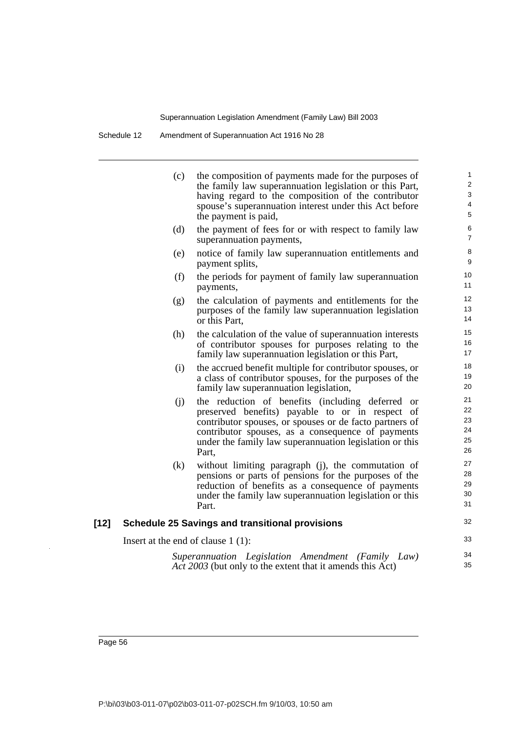Schedule 12 Amendment of Superannuation Act 1916 No 28

|        | (c)                                  | the composition of payments made for the purposes of<br>the family law superannuation legislation or this Part,<br>having regard to the composition of the contributor<br>spouse's superannuation interest under this Act before<br>the payment is paid,                                | 1<br>$\overline{\mathbf{c}}$<br>3<br>4<br>5 |  |
|--------|--------------------------------------|-----------------------------------------------------------------------------------------------------------------------------------------------------------------------------------------------------------------------------------------------------------------------------------------|---------------------------------------------|--|
|        | (d)                                  | the payment of fees for or with respect to family law<br>superannuation payments,                                                                                                                                                                                                       | 6<br>7                                      |  |
|        | (e)                                  | notice of family law superannuation entitlements and<br>payment splits,                                                                                                                                                                                                                 | 8<br>9                                      |  |
|        | (f)                                  | the periods for payment of family law superannuation<br>payments,                                                                                                                                                                                                                       | 10<br>11                                    |  |
|        | (g)                                  | the calculation of payments and entitlements for the<br>purposes of the family law superannuation legislation<br>or this Part,                                                                                                                                                          | 12<br>13<br>14                              |  |
|        | (h)                                  | the calculation of the value of superannuation interests<br>of contributor spouses for purposes relating to the<br>family law superannuation legislation or this Part,                                                                                                                  | 15<br>16<br>17                              |  |
|        | (i)                                  | the accrued benefit multiple for contributor spouses, or<br>a class of contributor spouses, for the purposes of the<br>family law superannuation legislation,                                                                                                                           | 18<br>19<br>20                              |  |
|        | (j)                                  | the reduction of benefits (including deferred or<br>preserved benefits) payable to or in respect of<br>contributor spouses, or spouses or de facto partners of<br>contributor spouses, as a consequence of payments<br>under the family law superannuation legislation or this<br>Part, | 21<br>22<br>23<br>24<br>25<br>26            |  |
|        | (k)                                  | without limiting paragraph (j), the commutation of<br>pensions or parts of pensions for the purposes of the<br>reduction of benefits as a consequence of payments<br>under the family law superannuation legislation or this<br>Part.                                                   | 27<br>28<br>29<br>30<br>31                  |  |
| $[12]$ |                                      | <b>Schedule 25 Savings and transitional provisions</b>                                                                                                                                                                                                                                  | 32                                          |  |
|        | Insert at the end of clause $1(1)$ : |                                                                                                                                                                                                                                                                                         |                                             |  |
|        |                                      | Superannuation Legislation Amendment (Family<br>Law)<br>Act 2003 (but only to the extent that it amends this Act)                                                                                                                                                                       | 34<br>35                                    |  |

Page 56

 $\bar{z}$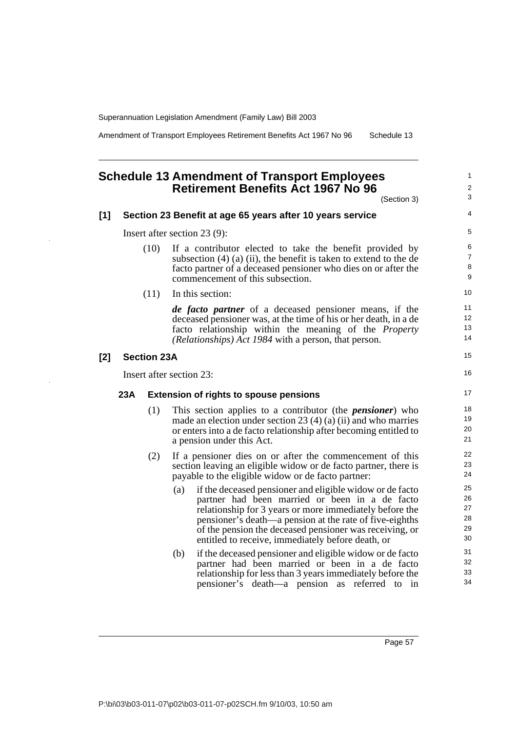Amendment of Transport Employees Retirement Benefits Act 1967 No 96 Schedule 13

## **Schedule 13 Amendment of Transport Employees Retirement Benefits Act 1967 No 96**

(Section 3)

16

## **[1] Section 23 Benefit at age 65 years after 10 years service**

Insert after section 23 (9):

- (10) If a contributor elected to take the benefit provided by subsection  $(4)$   $(a)$   $(ii)$ , the benefit is taken to extend to the de facto partner of a deceased pensioner who dies on or after the commencement of this subsection.
- (11) In this section:

*de facto partner* of a deceased pensioner means, if the deceased pensioner was, at the time of his or her death, in a de facto relationship within the meaning of the *Property (Relationships) Act 1984* with a person, that person.

## **[2] Section 23A**

Insert after section 23:

## **23A Extension of rights to spouse pensions**

- (1) This section applies to a contributor (the *pensioner*) who made an election under section 23 (4) (a) (ii) and who marries or enters into a de facto relationship after becoming entitled to a pension under this Act.
- (2) If a pensioner dies on or after the commencement of this section leaving an eligible widow or de facto partner, there is payable to the eligible widow or de facto partner:
	- (a) if the deceased pensioner and eligible widow or de facto partner had been married or been in a de facto relationship for 3 years or more immediately before the pensioner's death—a pension at the rate of five-eighths of the pension the deceased pensioner was receiving, or entitled to receive, immediately before death, or
	- (b) if the deceased pensioner and eligible widow or de facto partner had been married or been in a de facto relationship for less than 3 years immediately before the pensioner's death—a pension as referred to in

Page 57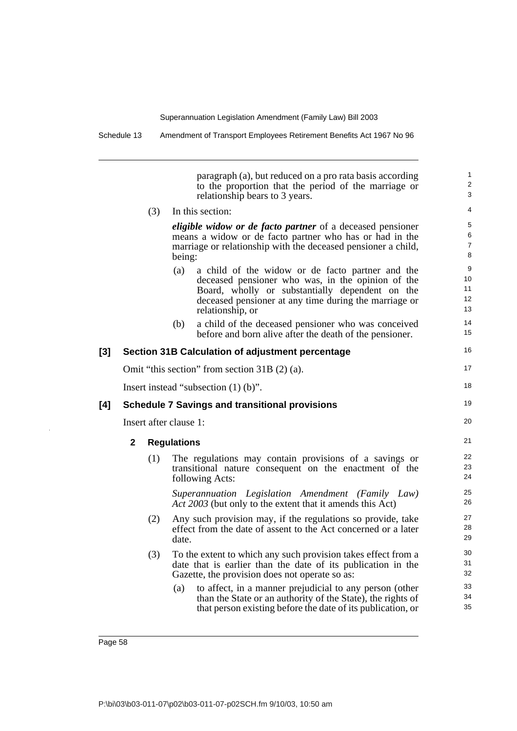paragraph (a), but reduced on a pro rata basis according to the proportion that the period of the marriage or relationship bears to 3 years. (3) In this section: *eligible widow or de facto partner* of a deceased pensioner means a widow or de facto partner who has or had in the marriage or relationship with the deceased pensioner a child, being: (a) a child of the widow or de facto partner and the deceased pensioner who was, in the opinion of the Board, wholly or substantially dependent on the deceased pensioner at any time during the marriage or relationship, or (b) a child of the deceased pensioner who was conceived before and born alive after the death of the pensioner. **[3] Section 31B Calculation of adjustment percentage** Omit "this section" from section 31B (2) (a). Insert instead "subsection (1) (b)". **[4] Schedule 7 Savings and transitional provisions** Insert after clause 1: **2 Regulations** (1) The regulations may contain provisions of a savings or transitional nature consequent on the enactment of the following Acts: *Superannuation Legislation Amendment (Family Law) Act 2003* (but only to the extent that it amends this Act) (2) Any such provision may, if the regulations so provide, take effect from the date of assent to the Act concerned or a later date. (3) To the extent to which any such provision takes effect from a date that is earlier than the date of its publication in the Gazette, the provision does not operate so as: (a) to affect, in a manner prejudicial to any person (other than the State or an authority of the State), the rights of that person existing before the date of its publication, or 1  $\overline{2}$ 3 4 5 6 7 8 9 10 11 12 13 14 15 16 17 18 19 20 21 22 23 24 25 26 27 28 29 30 31 32 33 34 35

Page 58